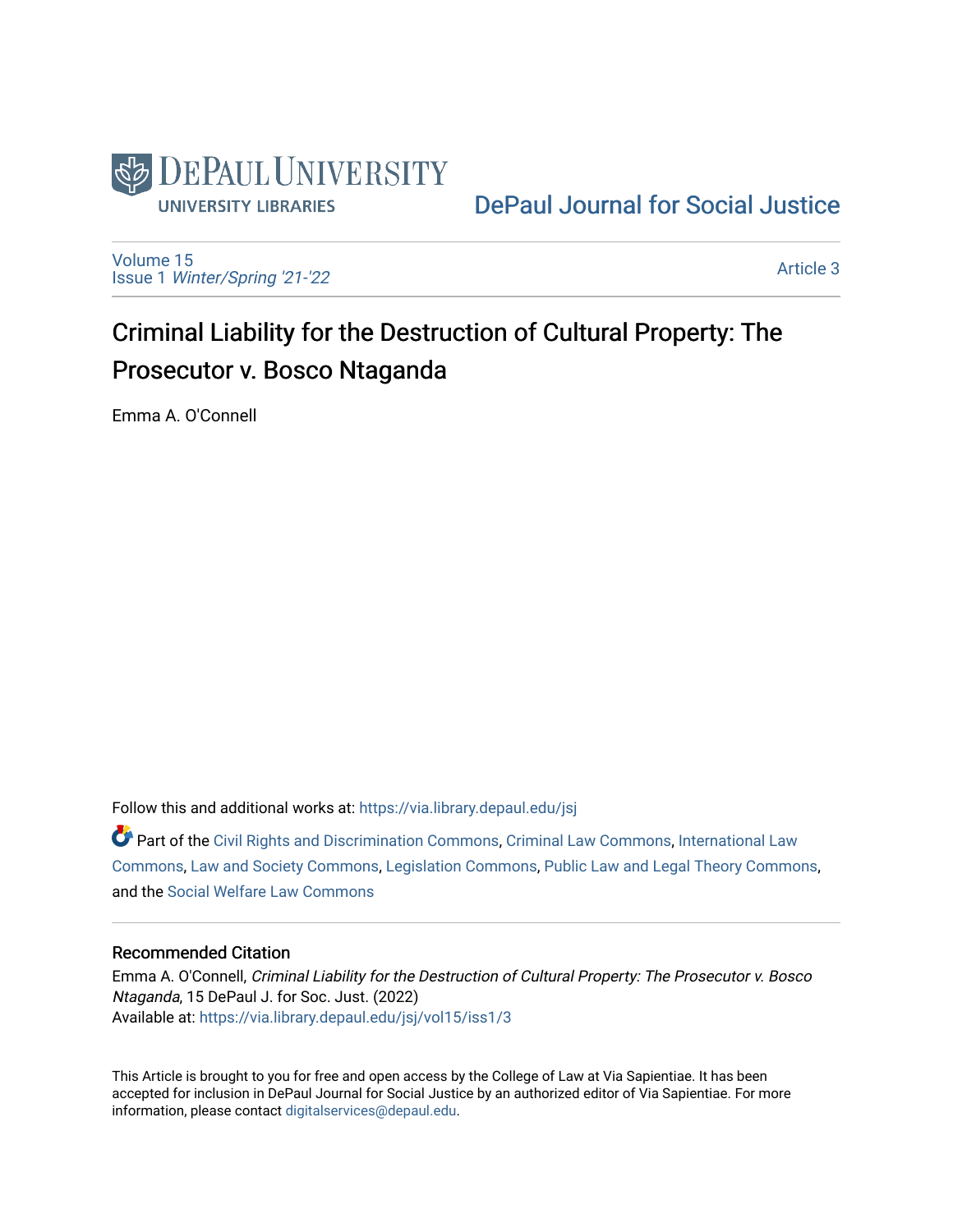

[DePaul Journal for Social Justice](https://via.library.depaul.edu/jsj) 

[Volume 15](https://via.library.depaul.edu/jsj/vol15) Issue 1 [Winter/Spring '21-'22](https://via.library.depaul.edu/jsj/vol15/iss1) 

[Article 3](https://via.library.depaul.edu/jsj/vol15/iss1/3) 

# Criminal Liability for the Destruction of Cultural Property: The Prosecutor v. Bosco Ntaganda

Emma A. O'Connell

Follow this and additional works at: [https://via.library.depaul.edu/jsj](https://via.library.depaul.edu/jsj?utm_source=via.library.depaul.edu%2Fjsj%2Fvol15%2Fiss1%2F3&utm_medium=PDF&utm_campaign=PDFCoverPages) 

 $\bullet$  Part of the [Civil Rights and Discrimination Commons,](https://network.bepress.com/hgg/discipline/585?utm_source=via.library.depaul.edu%2Fjsj%2Fvol15%2Fiss1%2F3&utm_medium=PDF&utm_campaign=PDFCoverPages) [Criminal Law Commons,](https://network.bepress.com/hgg/discipline/912?utm_source=via.library.depaul.edu%2Fjsj%2Fvol15%2Fiss1%2F3&utm_medium=PDF&utm_campaign=PDFCoverPages) International Law [Commons](https://network.bepress.com/hgg/discipline/609?utm_source=via.library.depaul.edu%2Fjsj%2Fvol15%2Fiss1%2F3&utm_medium=PDF&utm_campaign=PDFCoverPages), [Law and Society Commons,](https://network.bepress.com/hgg/discipline/853?utm_source=via.library.depaul.edu%2Fjsj%2Fvol15%2Fiss1%2F3&utm_medium=PDF&utm_campaign=PDFCoverPages) [Legislation Commons](https://network.bepress.com/hgg/discipline/859?utm_source=via.library.depaul.edu%2Fjsj%2Fvol15%2Fiss1%2F3&utm_medium=PDF&utm_campaign=PDFCoverPages), [Public Law and Legal Theory Commons,](https://network.bepress.com/hgg/discipline/871?utm_source=via.library.depaul.edu%2Fjsj%2Fvol15%2Fiss1%2F3&utm_medium=PDF&utm_campaign=PDFCoverPages) and the [Social Welfare Law Commons](https://network.bepress.com/hgg/discipline/878?utm_source=via.library.depaul.edu%2Fjsj%2Fvol15%2Fiss1%2F3&utm_medium=PDF&utm_campaign=PDFCoverPages) 

## Recommended Citation

Emma A. O'Connell, Criminal Liability for the Destruction of Cultural Property: The Prosecutor v. Bosco Ntaganda, 15 DePaul J. for Soc. Just. (2022) Available at: [https://via.library.depaul.edu/jsj/vol15/iss1/3](https://via.library.depaul.edu/jsj/vol15/iss1/3?utm_source=via.library.depaul.edu%2Fjsj%2Fvol15%2Fiss1%2F3&utm_medium=PDF&utm_campaign=PDFCoverPages) 

This Article is brought to you for free and open access by the College of Law at Via Sapientiae. It has been accepted for inclusion in DePaul Journal for Social Justice by an authorized editor of Via Sapientiae. For more information, please contact [digitalservices@depaul.edu](mailto:digitalservices@depaul.edu).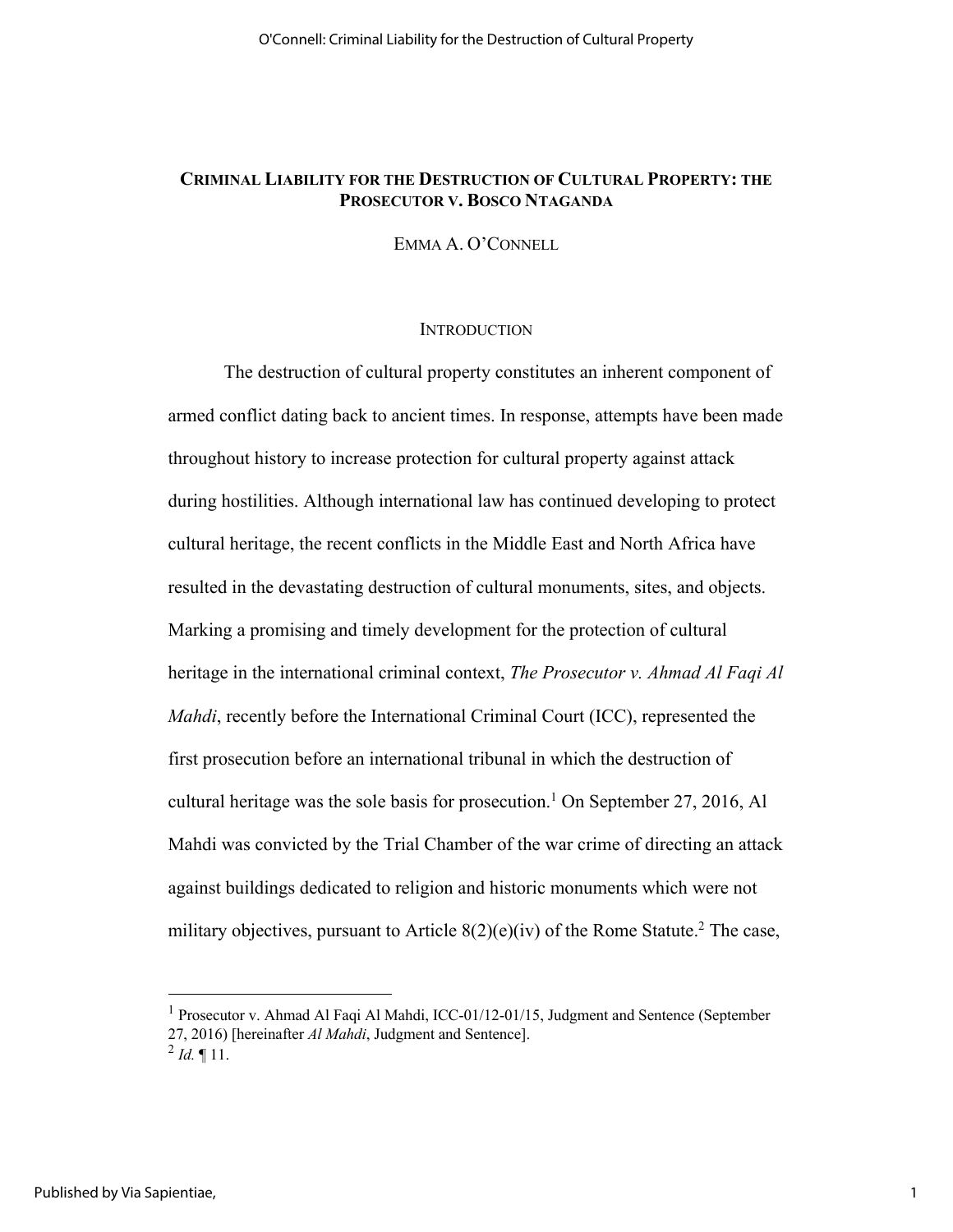## **CRIMINAL LIABILITY FOR THE DESTRUCTION OF CULTURAL PROPERTY: THE PROSECUTOR V. BOSCO NTAGANDA**

EMMA A. O'CONNELL

#### **INTRODUCTION**

The destruction of cultural property constitutes an inherent component of armed conflict dating back to ancient times. In response, attempts have been made throughout history to increase protection for cultural property against attack during hostilities. Although international law has continued developing to protect cultural heritage, the recent conflicts in the Middle East and North Africa have resulted in the devastating destruction of cultural monuments, sites, and objects. Marking a promising and timely development for the protection of cultural heritage in the international criminal context, *The Prosecutor v. Ahmad Al Faqi Al Mahdi*, recently before the International Criminal Court (ICC), represented the first prosecution before an international tribunal in which the destruction of cultural heritage was the sole basis for prosecution.<sup>1</sup> On September 27, 2016, Al Mahdi was convicted by the Trial Chamber of the war crime of directing an attack against buildings dedicated to religion and historic monuments which were not military objectives, pursuant to Article  $8(2)(e)(iv)$  of the Rome Statute.<sup>2</sup> The case,

<sup>1</sup> Prosecutor v. Ahmad Al Faqi Al Mahdi, ICC-01/12-01/15, Judgment and Sentence (September 27, 2016) [hereinafter *Al Mahdi*, Judgment and Sentence].

 $^{2}$  *Id.*  $\blacksquare$  11.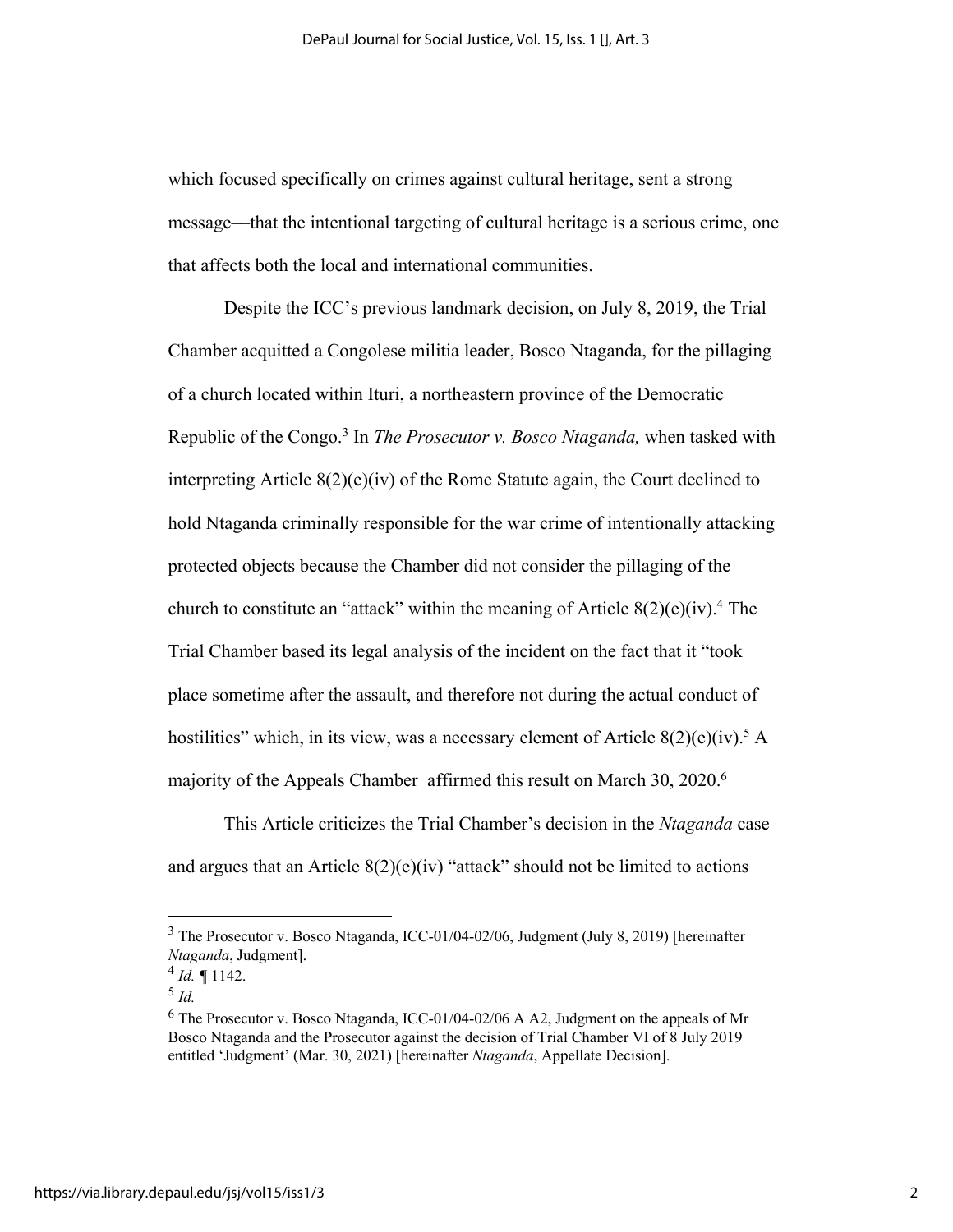which focused specifically on crimes against cultural heritage, sent a strong message––that the intentional targeting of cultural heritage is a serious crime, one that affects both the local and international communities.

Despite the ICC's previous landmark decision, on July 8, 2019, the Trial Chamber acquitted a Congolese militia leader, Bosco Ntaganda, for the pillaging of a church located within Ituri, a northeastern province of the Democratic Republic of the Congo.3 In *The Prosecutor v. Bosco Ntaganda,* when tasked with interpreting Article  $8(2)(e)(iv)$  of the Rome Statute again, the Court declined to hold Ntaganda criminally responsible for the war crime of intentionally attacking protected objects because the Chamber did not consider the pillaging of the church to constitute an "attack" within the meaning of Article  $8(2)(e)(iv)^4$ . The Trial Chamber based its legal analysis of the incident on the fact that it "took place sometime after the assault, and therefore not during the actual conduct of hostilities" which, in its view, was a necessary element of Article  $8(2)(e)(iv)^5$  A majority of the Appeals Chamber affirmed this result on March 30, 2020.<sup>6</sup>

This Article criticizes the Trial Chamber's decision in the *Ntaganda* case and argues that an Article  $8(2)(e)(iv)$  "attack" should not be limited to actions

<sup>3</sup> The Prosecutor v. Bosco Ntaganda, ICC-01/04-02/06, Judgment (July 8, 2019) [hereinafter *Ntaganda*, Judgment].

<sup>4</sup> *Id. ¶* 1142.

<sup>5</sup> *Id.*

 $6$  The Prosecutor v. Bosco Ntaganda, ICC-01/04-02/06 A A2, Judgment on the appeals of Mr Bosco Ntaganda and the Prosecutor against the decision of Trial Chamber VI of 8 July 2019 entitled 'Judgment' (Mar. 30, 2021) [hereinafter *Ntaganda*, Appellate Decision].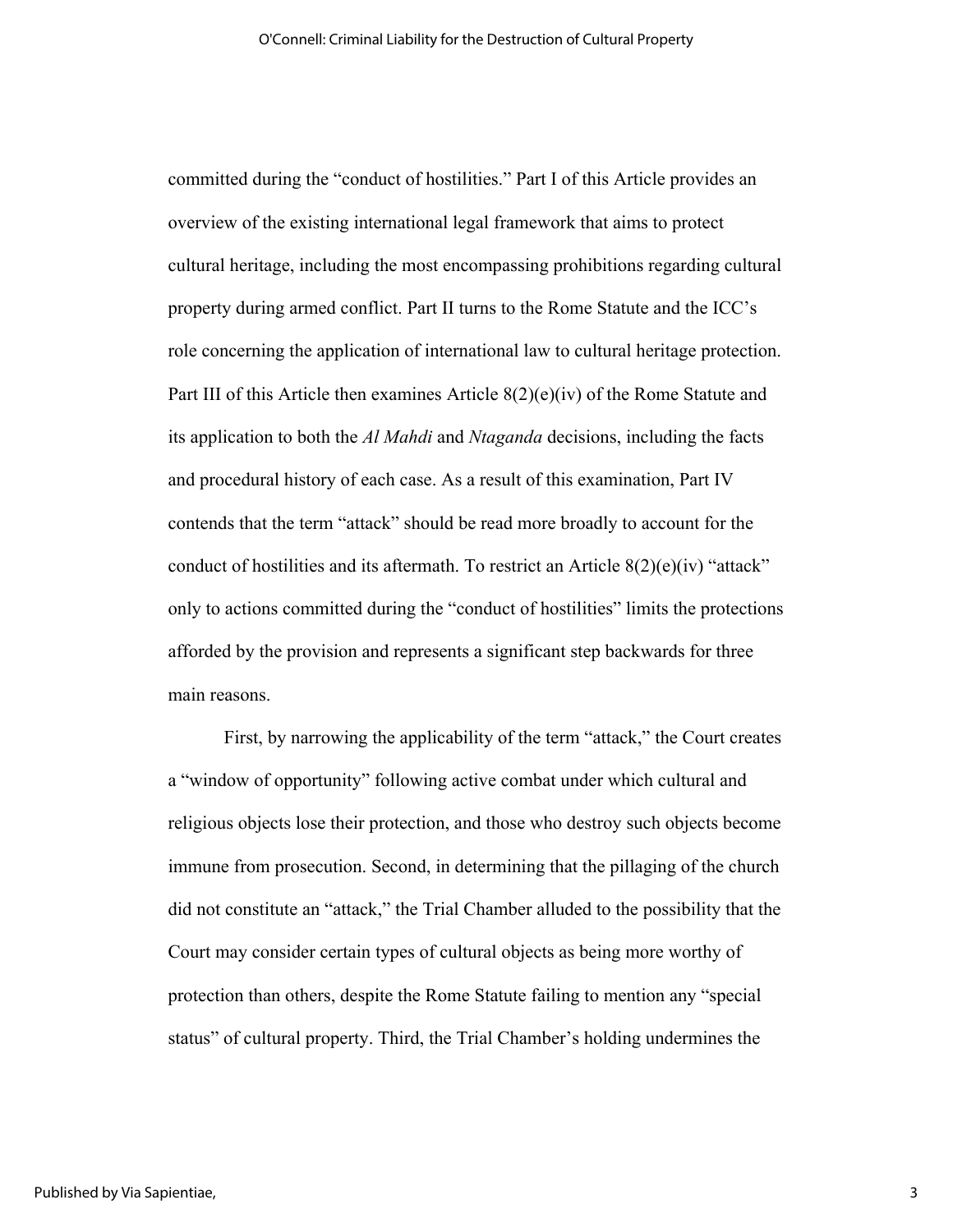committed during the "conduct of hostilities." Part I of this Article provides an overview of the existing international legal framework that aims to protect cultural heritage, including the most encompassing prohibitions regarding cultural property during armed conflict. Part II turns to the Rome Statute and the ICC's role concerning the application of international law to cultural heritage protection. Part III of this Article then examines Article  $8(2)(e)(iv)$  of the Rome Statute and its application to both the *Al Mahdi* and *Ntaganda* decisions, including the facts and procedural history of each case. As a result of this examination, Part IV contends that the term "attack" should be read more broadly to account for the conduct of hostilities and its aftermath. To restrict an Article  $8(2)(e)(iv)$  "attack" only to actions committed during the "conduct of hostilities" limits the protections afforded by the provision and represents a significant step backwards for three main reasons.

First, by narrowing the applicability of the term "attack," the Court creates a "window of opportunity" following active combat under which cultural and religious objects lose their protection, and those who destroy such objects become immune from prosecution. Second, in determining that the pillaging of the church did not constitute an "attack," the Trial Chamber alluded to the possibility that the Court may consider certain types of cultural objects as being more worthy of protection than others, despite the Rome Statute failing to mention any "special status" of cultural property. Third, the Trial Chamber's holding undermines the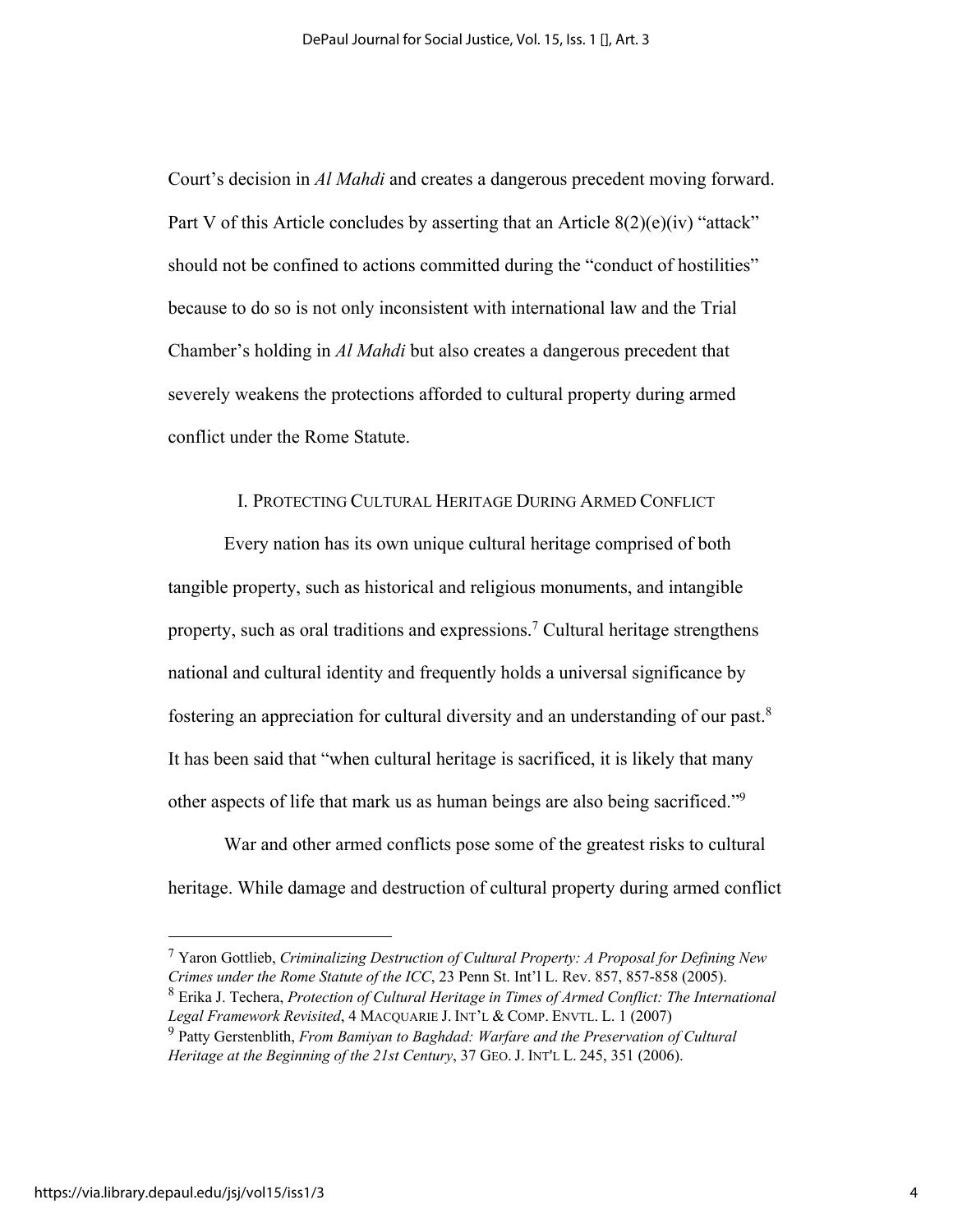Court's decision in *Al Mahdi* and creates a dangerous precedent moving forward. Part V of this Article concludes by asserting that an Article  $8(2)(e)(iv)$  "attack" should not be confined to actions committed during the "conduct of hostilities" because to do so is not only inconsistent with international law and the Trial Chamber's holding in *Al Mahdi* but also creates a dangerous precedent that severely weakens the protections afforded to cultural property during armed conflict under the Rome Statute.

## I. PROTECTING CULTURAL HERITAGE DURING ARMED CONFLICT

Every nation has its own unique cultural heritage comprised of both tangible property, such as historical and religious monuments, and intangible property, such as oral traditions and expressions.<sup>7</sup> Cultural heritage strengthens national and cultural identity and frequently holds a universal significance by fostering an appreciation for cultural diversity and an understanding of our past.8 It has been said that "when cultural heritage is sacrificed, it is likely that many other aspects of life that mark us as human beings are also being sacrificed."9

War and other armed conflicts pose some of the greatest risks to cultural heritage. While damage and destruction of cultural property during armed conflict

<sup>7</sup> Yaron Gottlieb, *Criminalizing Destruction of Cultural Property: A Proposal for Defining New Crimes under the Rome Statute of the ICC*, 23 Penn St. Int'l L. Rev. 857, 857-858 (2005). <sup>8</sup> Erika J. Techera, *Protection of Cultural Heritage in Times of Armed Conflict: The International Legal Framework Revisited*, 4 MACQUARIE J. INT'L & COMP. ENVTL. L. 1 (2007)

<sup>9</sup> Patty Gerstenblith, *From Bamiyan to Baghdad: Warfare and the Preservation of Cultural Heritage at the Beginning of the 21st Century*, 37 GEO. J. INT'L L. 245, 351 (2006).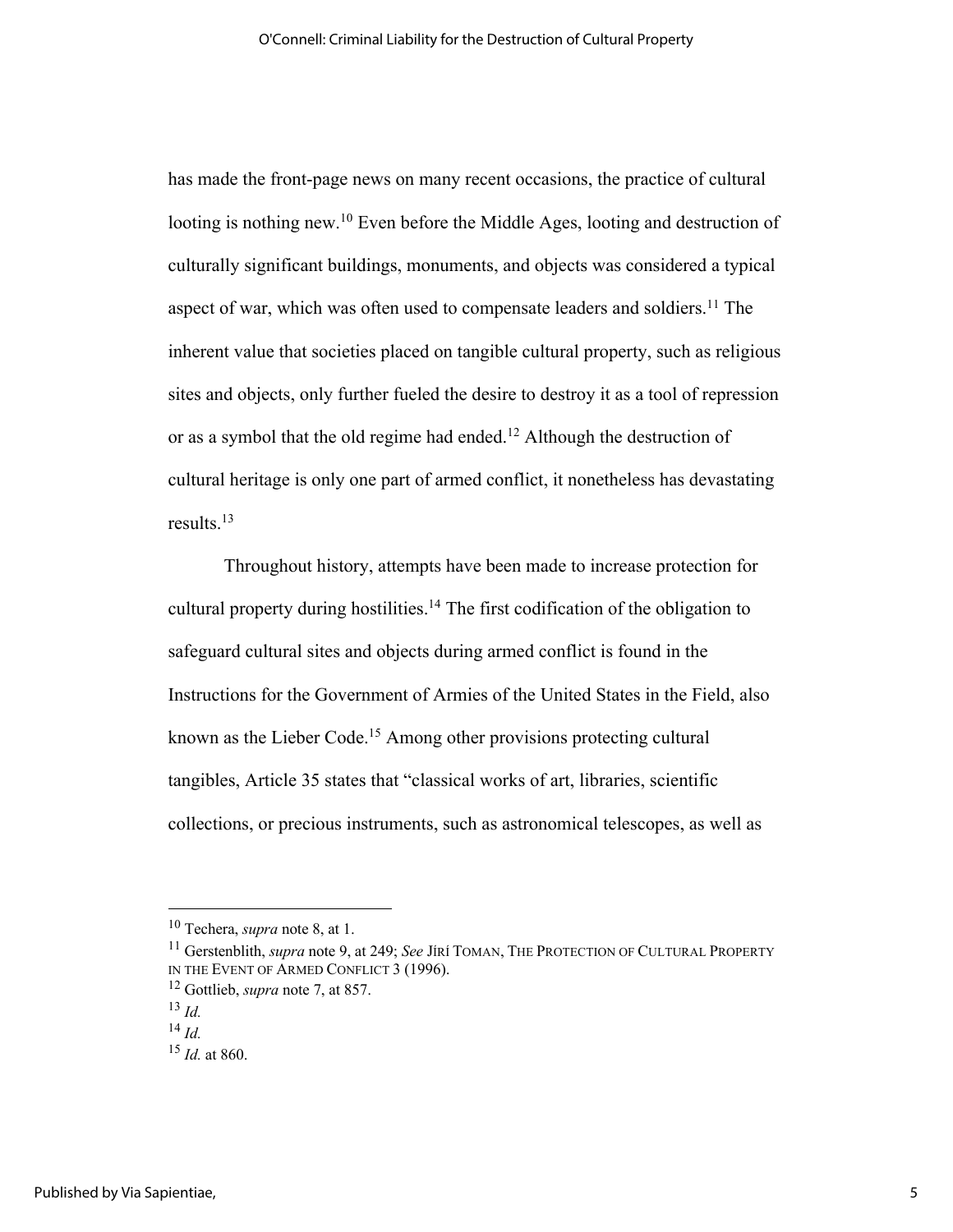has made the front-page news on many recent occasions, the practice of cultural looting is nothing new.<sup>10</sup> Even before the Middle Ages, looting and destruction of culturally significant buildings, monuments, and objects was considered a typical aspect of war, which was often used to compensate leaders and soldiers.<sup>11</sup> The inherent value that societies placed on tangible cultural property, such as religious sites and objects, only further fueled the desire to destroy it as a tool of repression or as a symbol that the old regime had ended.<sup>12</sup> Although the destruction of cultural heritage is only one part of armed conflict, it nonetheless has devastating results.13

Throughout history, attempts have been made to increase protection for cultural property during hostilities.<sup>14</sup> The first codification of the obligation to safeguard cultural sites and objects during armed conflict is found in the Instructions for the Government of Armies of the United States in the Field, also known as the Lieber Code.<sup>15</sup> Among other provisions protecting cultural tangibles, Article 35 states that "classical works of art, libraries, scientific collections, or precious instruments, such as astronomical telescopes, as well as

<sup>10</sup> Techera, *supra* note 8, at 1.

<sup>11</sup> Gerstenblith, *supra* note 9, at 249; *See* JÍRÍ TOMAN, THE PROTECTION OF CULTURAL PROPERTY IN THE EVENT OF ARMED CONFLICT 3 (1996).

<sup>12</sup> Gottlieb, *supra* note 7, at 857.

<sup>13</sup> *Id.*

<sup>14</sup> *Id.*

<sup>15</sup> *Id.* at 860.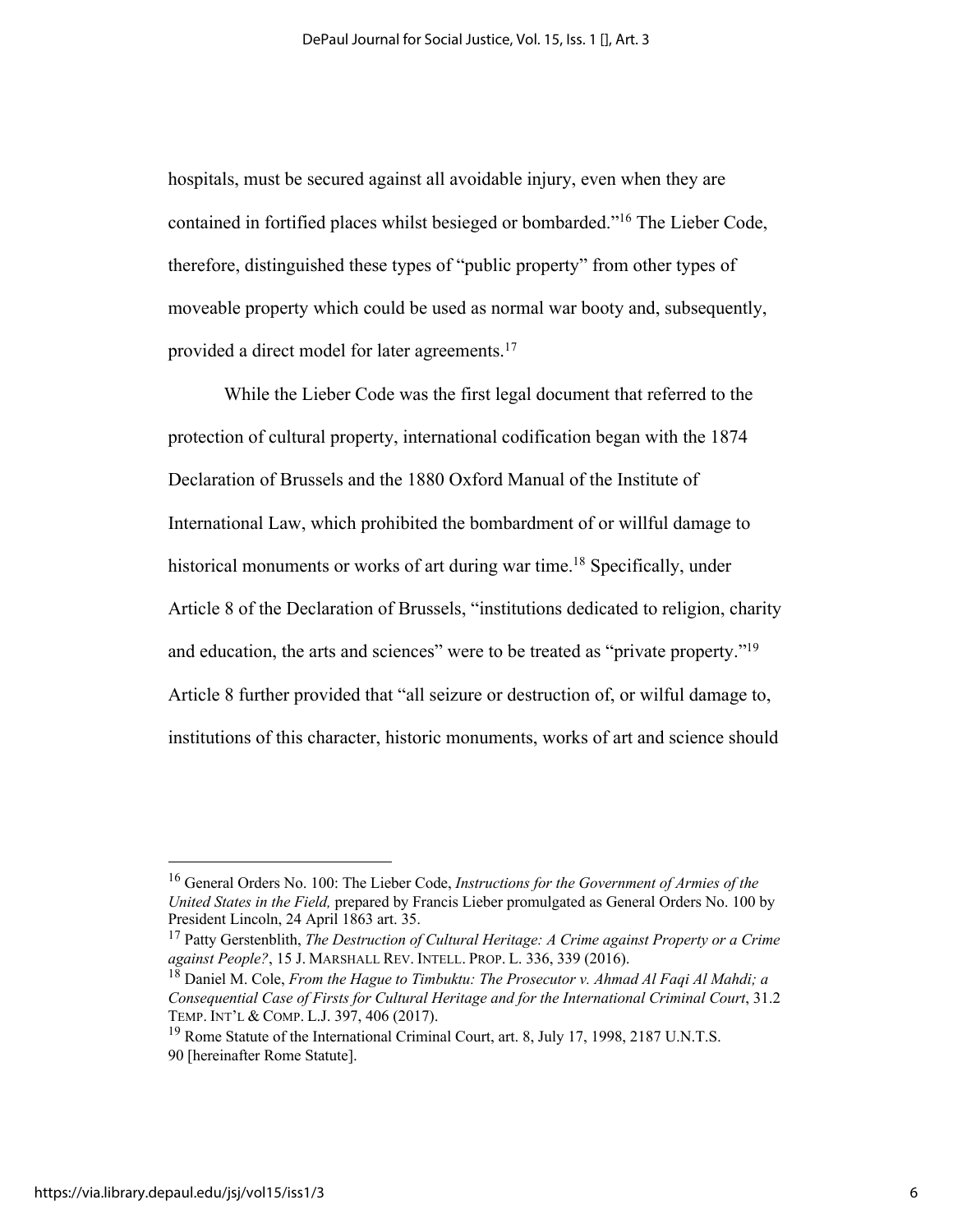hospitals, must be secured against all avoidable injury, even when they are contained in fortified places whilst besieged or bombarded."16 The Lieber Code, therefore, distinguished these types of "public property" from other types of moveable property which could be used as normal war booty and, subsequently, provided a direct model for later agreements.<sup>17</sup>

While the Lieber Code was the first legal document that referred to the protection of cultural property, international codification began with the 1874 Declaration of Brussels and the 1880 Oxford Manual of the Institute of International Law, which prohibited the bombardment of or willful damage to historical monuments or works of art during war time.<sup>18</sup> Specifically, under Article 8 of the Declaration of Brussels, "institutions dedicated to religion, charity and education, the arts and sciences" were to be treated as "private property."<sup>19</sup> Article 8 further provided that "all seizure or destruction of, or wilful damage to, institutions of this character, historic monuments, works of art and science should

<sup>16</sup> General Orders No. 100: The Lieber Code, *Instructions for the Government of Armies of the United States in the Field,* prepared by Francis Lieber promulgated as General Orders No. 100 by President Lincoln, 24 April 1863 art. 35.

<sup>17</sup> Patty Gerstenblith, *The Destruction of Cultural Heritage: A Crime against Property or a Crime against People?*, 15 J. MARSHALL REV. INTELL. PROP. L. 336, 339 (2016).

<sup>18</sup> Daniel M. Cole, *From the Hague to Timbuktu: The Prosecutor v. Ahmad Al Faqi Al Mahdi; a Consequential Case of Firsts for Cultural Heritage and for the International Criminal Court*, 31.2 TEMP. INT'L & COMP. L.J. 397, 406 (2017).

<sup>&</sup>lt;sup>19</sup> Rome Statute of the International Criminal Court, art. 8, July 17, 1998, 2187 U.N.T.S. 90 [hereinafter Rome Statute].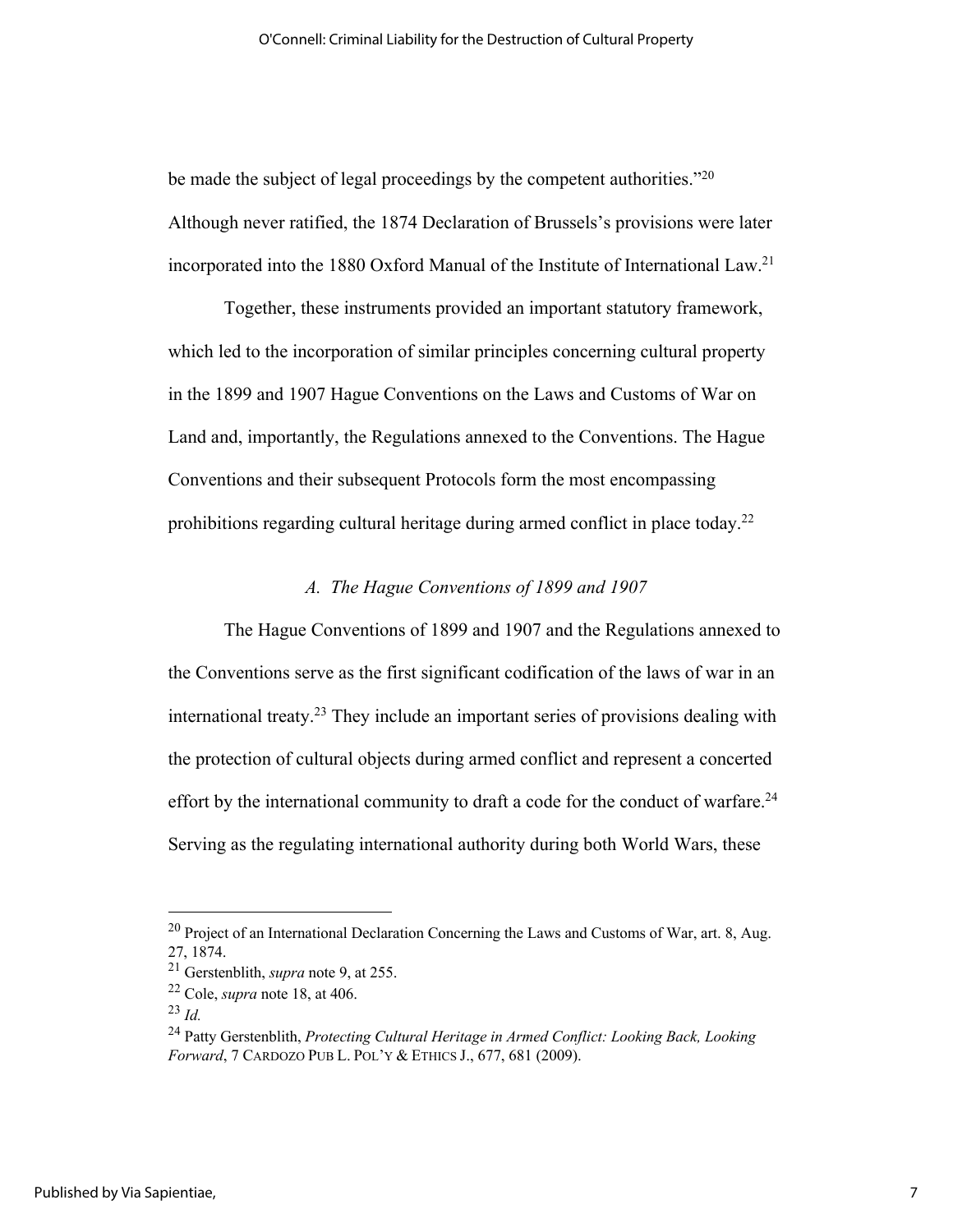be made the subject of legal proceedings by the competent authorities." $^{20}$ Although never ratified, the 1874 Declaration of Brussels's provisions were later incorporated into the 1880 Oxford Manual of the Institute of International Law. 21

Together, these instruments provided an important statutory framework, which led to the incorporation of similar principles concerning cultural property in the 1899 and 1907 Hague Conventions on the Laws and Customs of War on Land and, importantly, the Regulations annexed to the Conventions. The Hague Conventions and their subsequent Protocols form the most encompassing prohibitions regarding cultural heritage during armed conflict in place today.<sup>22</sup>

#### *A. The Hague Conventions of 1899 and 1907*

The Hague Conventions of 1899 and 1907 and the Regulations annexed to the Conventions serve as the first significant codification of the laws of war in an international treaty.23 They include an important series of provisions dealing with the protection of cultural objects during armed conflict and represent a concerted effort by the international community to draft a code for the conduct of warfare.<sup>24</sup> Serving as the regulating international authority during both World Wars, these

 $^{20}$  Project of an International Declaration Concerning the Laws and Customs of War, art. 8, Aug. 27, 1874.

<sup>21</sup> Gerstenblith, *supra* note 9, at 255.

<sup>22</sup> Cole, *supra* note 18, at 406.

<sup>23</sup> *Id.*

<sup>24</sup> Patty Gerstenblith, *Protecting Cultural Heritage in Armed Conflict: Looking Back, Looking Forward*, 7 CARDOZO PUB L. POL'Y & ETHICS J., 677, 681 (2009).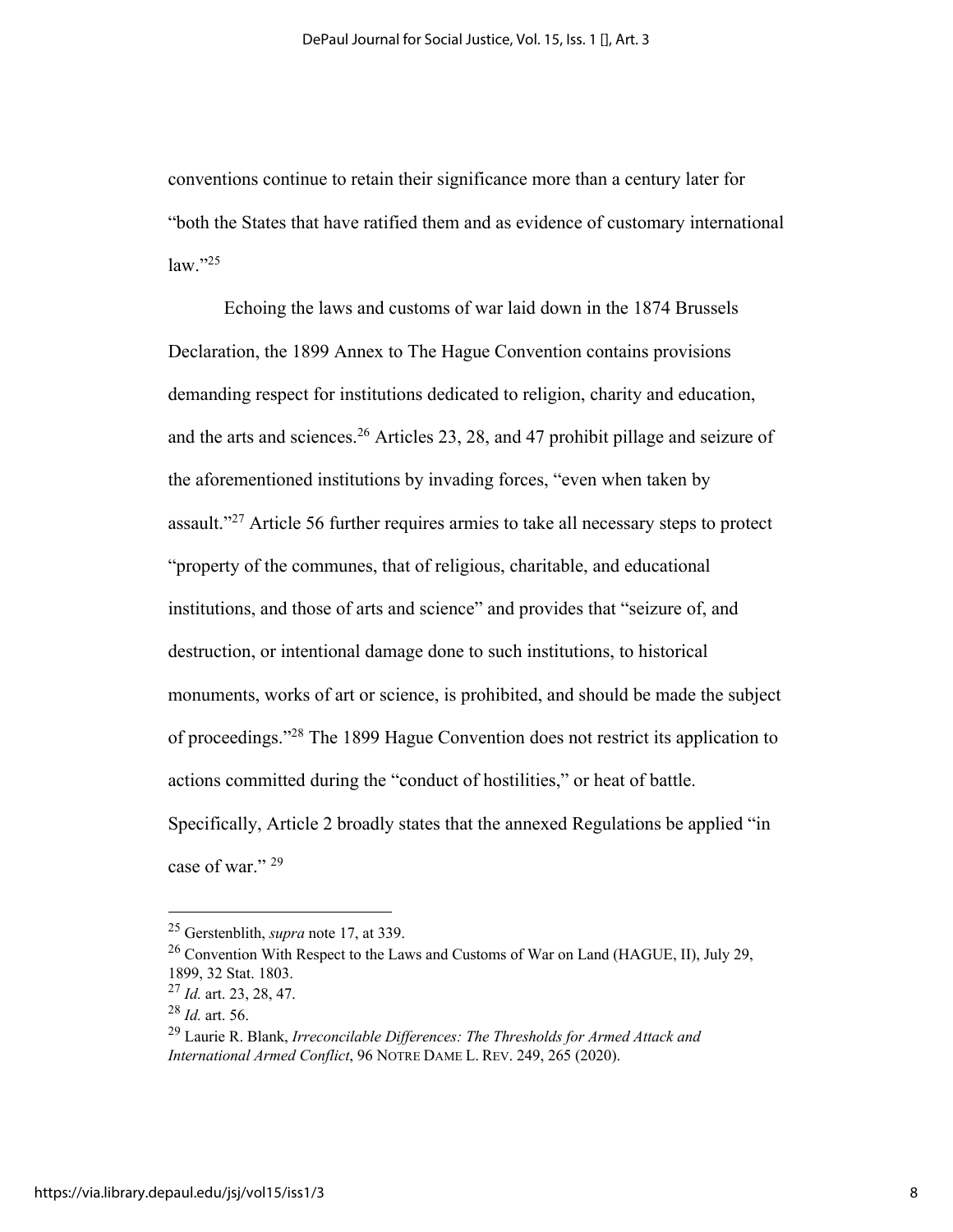conventions continue to retain their significance more than a century later for "both the States that have ratified them and as evidence of customary international  $law.$ "<sup>25</sup>

Echoing the laws and customs of war laid down in the 1874 Brussels Declaration, the 1899 Annex to The Hague Convention contains provisions demanding respect for institutions dedicated to religion, charity and education, and the arts and sciences.26 Articles 23, 28, and 47 prohibit pillage and seizure of the aforementioned institutions by invading forces, "even when taken by assault."27 Article 56 further requires armies to take all necessary steps to protect "property of the communes, that of religious, charitable, and educational institutions, and those of arts and science" and provides that "seizure of, and destruction, or intentional damage done to such institutions, to historical monuments, works of art or science, is prohibited, and should be made the subject of proceedings."28 The 1899 Hague Convention does not restrict its application to actions committed during the "conduct of hostilities," or heat of battle. Specifically, Article 2 broadly states that the annexed Regulations be applied "in case of war."<sup>29</sup>

<sup>25</sup> Gerstenblith, *supra* note 17, at 339.

<sup>26</sup> Convention With Respect to the Laws and Customs of War on Land (HAGUE, II), July 29, 1899, 32 Stat. 1803.

<sup>27</sup> *Id.* art. 23, 28, 47.

<sup>28</sup> *Id.* art. 56.

<sup>29</sup> Laurie R. Blank, *Irreconcilable Differences: The Thresholds for Armed Attack and International Armed Conflict*, 96 NOTRE DAME L. REV. 249, 265 (2020).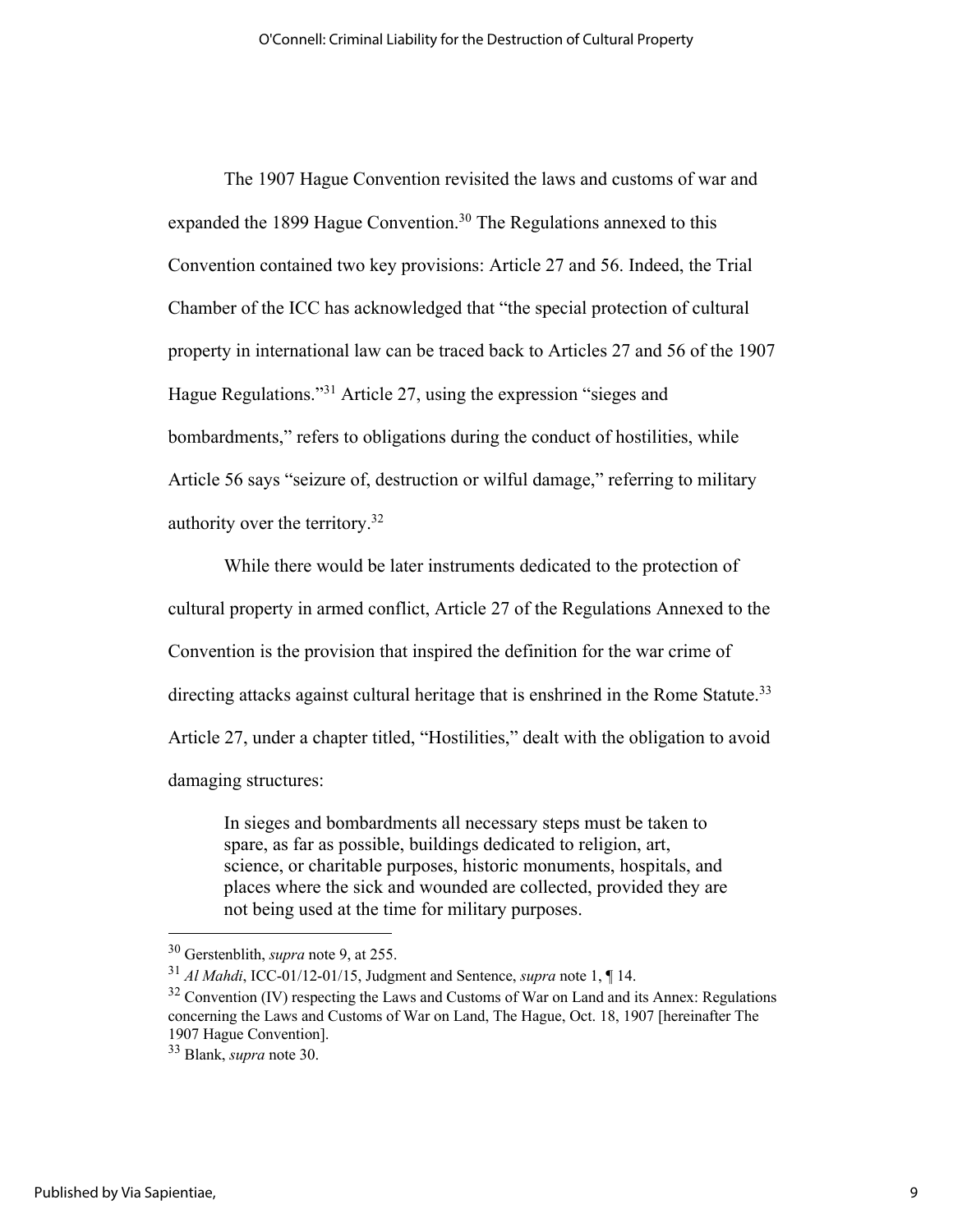The 1907 Hague Convention revisited the laws and customs of war and expanded the 1899 Hague Convention.<sup>30</sup> The Regulations annexed to this Convention contained two key provisions: Article 27 and 56. Indeed, the Trial Chamber of the ICC has acknowledged that "the special protection of cultural property in international law can be traced back to Articles 27 and 56 of the 1907 Hague Regulations."31 Article 27, using the expression "sieges and bombardments," refers to obligations during the conduct of hostilities, while Article 56 says "seizure of, destruction or wilful damage," referring to military authority over the territory.32

While there would be later instruments dedicated to the protection of cultural property in armed conflict, Article 27 of the Regulations Annexed to the Convention is the provision that inspired the definition for the war crime of directing attacks against cultural heritage that is enshrined in the Rome Statute.<sup>33</sup> Article 27, under a chapter titled, "Hostilities," dealt with the obligation to avoid damaging structures:

In sieges and bombardments all necessary steps must be taken to spare, as far as possible, buildings dedicated to religion, art, science, or charitable purposes, historic monuments, hospitals, and places where the sick and wounded are collected, provided they are not being used at the time for military purposes.

<sup>30</sup> Gerstenblith, *supra* note 9, at 255.

<sup>31</sup> *Al Mahdi*, ICC-01/12-01/15, Judgment and Sentence, *supra* note 1, ¶ 14.

 $32$  Convention (IV) respecting the Laws and Customs of War on Land and its Annex: Regulations concerning the Laws and Customs of War on Land, The Hague, Oct. 18, 1907 [hereinafter The 1907 Hague Convention].

<sup>33</sup> Blank, *supra* note 30.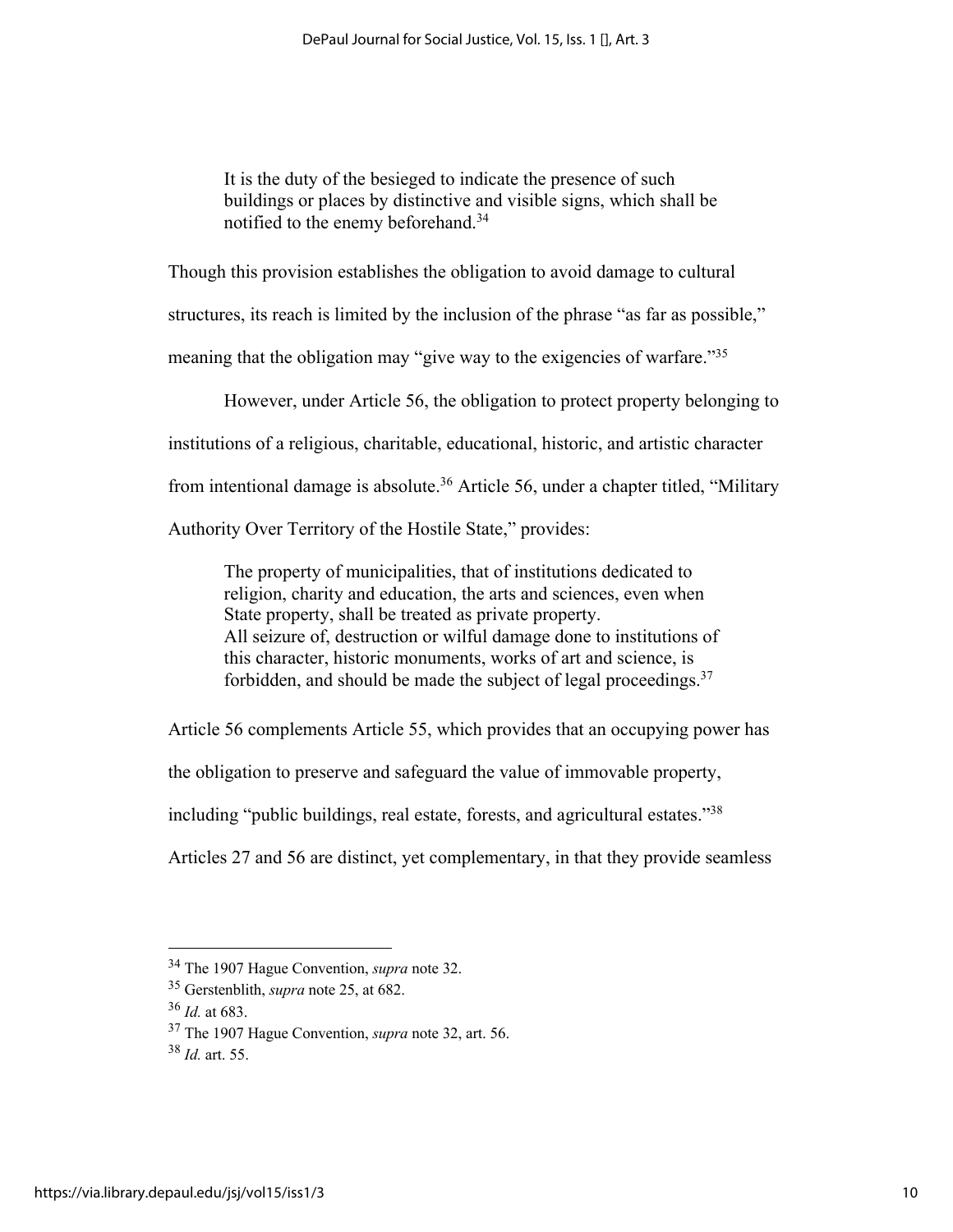It is the duty of the besieged to indicate the presence of such buildings or places by distinctive and visible signs, which shall be notified to the enemy beforehand.34

Though this provision establishes the obligation to avoid damage to cultural

structures, its reach is limited by the inclusion of the phrase "as far as possible,"

meaning that the obligation may "give way to the exigencies of warfare."<sup>35</sup>

However, under Article 56, the obligation to protect property belonging to

institutions of a religious, charitable, educational, historic, and artistic character

from intentional damage is absolute.<sup>36</sup> Article 56, under a chapter titled, "Military

Authority Over Territory of the Hostile State," provides:

The property of municipalities, that of institutions dedicated to religion, charity and education, the arts and sciences, even when State property, shall be treated as private property. All seizure of, destruction or wilful damage done to institutions of this character, historic monuments, works of art and science, is forbidden, and should be made the subject of legal proceedings. $37$ 

Article 56 complements Article 55, which provides that an occupying power has

the obligation to preserve and safeguard the value of immovable property,

including "public buildings, real estate, forests, and agricultural estates."38

Articles 27 and 56 are distinct, yet complementary, in that they provide seamless

<sup>34</sup> The 1907 Hague Convention, *supra* note 32. 35 Gerstenblith, *supra* note 25, at 682.

<sup>36</sup> *Id.* at 683.

<sup>37</sup> The 1907 Hague Convention, *supra* note 32, art. 56.

<sup>38</sup> *Id.* art. 55.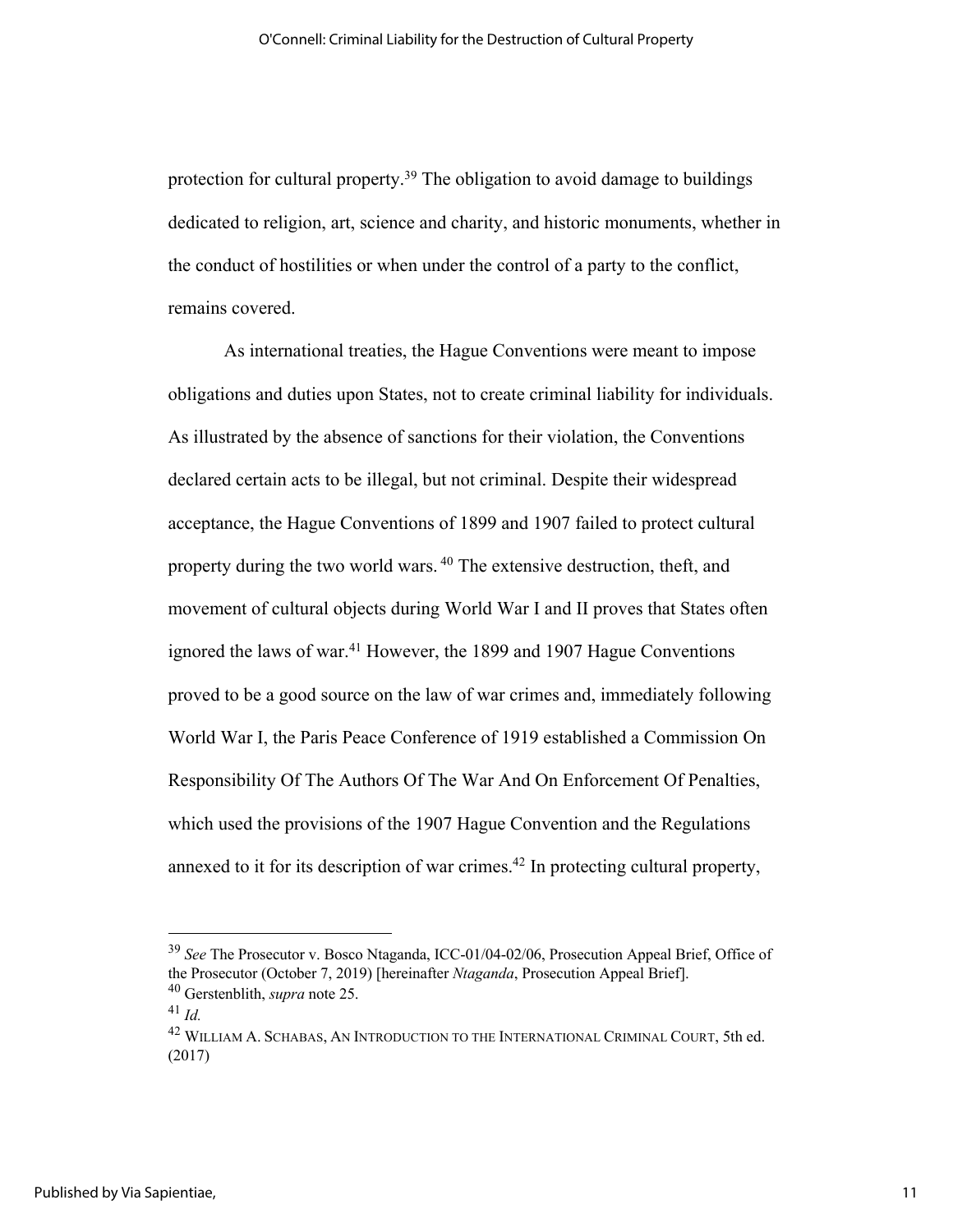protection for cultural property.<sup>39</sup> The obligation to avoid damage to buildings dedicated to religion, art, science and charity, and historic monuments, whether in the conduct of hostilities or when under the control of a party to the conflict, remains covered.

As international treaties, the Hague Conventions were meant to impose obligations and duties upon States, not to create criminal liability for individuals. As illustrated by the absence of sanctions for their violation, the Conventions declared certain acts to be illegal, but not criminal. Despite their widespread acceptance, the Hague Conventions of 1899 and 1907 failed to protect cultural property during the two world wars. <sup>40</sup> The extensive destruction, theft, and movement of cultural objects during World War I and II proves that States often ignored the laws of war.<sup>41</sup> However, the 1899 and 1907 Hague Conventions proved to be a good source on the law of war crimes and, immediately following World War I, the Paris Peace Conference of 1919 established a Commission On Responsibility Of The Authors Of The War And On Enforcement Of Penalties, which used the provisions of the 1907 Hague Convention and the Regulations annexed to it for its description of war crimes.42 In protecting cultural property,

<sup>39</sup> *See* The Prosecutor v. Bosco Ntaganda, ICC-01/04-02/06, Prosecution Appeal Brief, Office of the Prosecutor (October 7, 2019) [hereinafter *Ntaganda*, Prosecution Appeal Brief]. <sup>40</sup> Gerstenblith, *supra* note 25.

<sup>41</sup> *Id.*

<sup>42</sup> WILLIAM A. SCHABAS, AN INTRODUCTION TO THE INTERNATIONAL CRIMINAL COURT, 5th ed. (2017)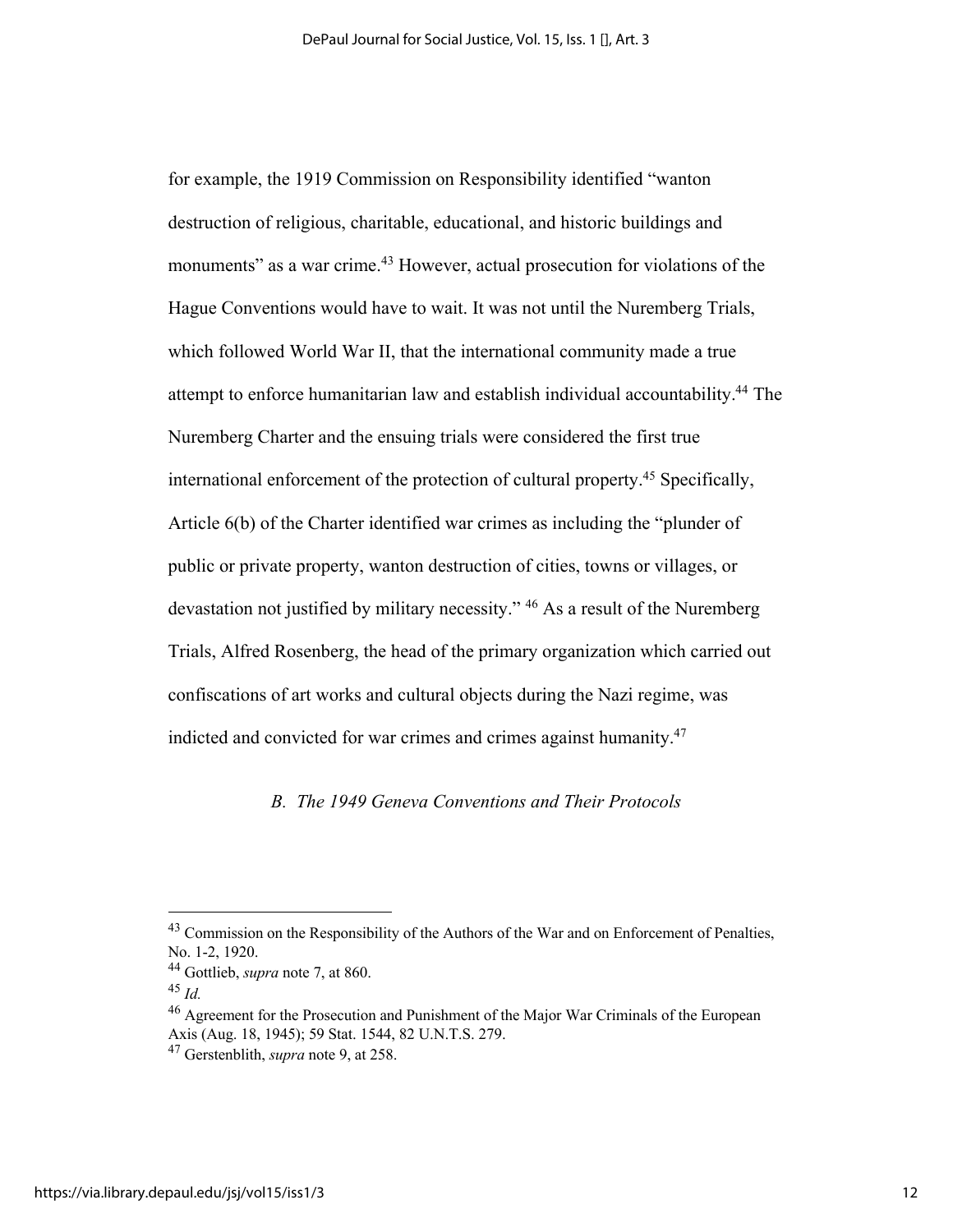for example, the 1919 Commission on Responsibility identified "wanton destruction of religious, charitable, educational, and historic buildings and monuments" as a war crime.<sup>43</sup> However, actual prosecution for violations of the Hague Conventions would have to wait. It was not until the Nuremberg Trials, which followed World War II, that the international community made a true attempt to enforce humanitarian law and establish individual accountability.44 The Nuremberg Charter and the ensuing trials were considered the first true international enforcement of the protection of cultural property.<sup>45</sup> Specifically, Article 6(b) of the Charter identified war crimes as including the "plunder of public or private property, wanton destruction of cities, towns or villages, or devastation not justified by military necessity." <sup>46</sup> As a result of the Nuremberg Trials, Alfred Rosenberg, the head of the primary organization which carried out confiscations of art works and cultural objects during the Nazi regime, was indicted and convicted for war crimes and crimes against humanity.<sup>47</sup>

## *B. The 1949 Geneva Conventions and Their Protocols*

<sup>&</sup>lt;sup>43</sup> Commission on the Responsibility of the Authors of the War and on Enforcement of Penalties, No. 1-2, 1920.

<sup>44</sup> Gottlieb, *supra* note 7, at 860.

<sup>45</sup> *Id.*

<sup>&</sup>lt;sup>46</sup> Agreement for the Prosecution and Punishment of the Major War Criminals of the European Axis (Aug. 18, 1945); 59 Stat. 1544, 82 U.N.T.S. 279.

<sup>47</sup> Gerstenblith, *supra* note 9, at 258.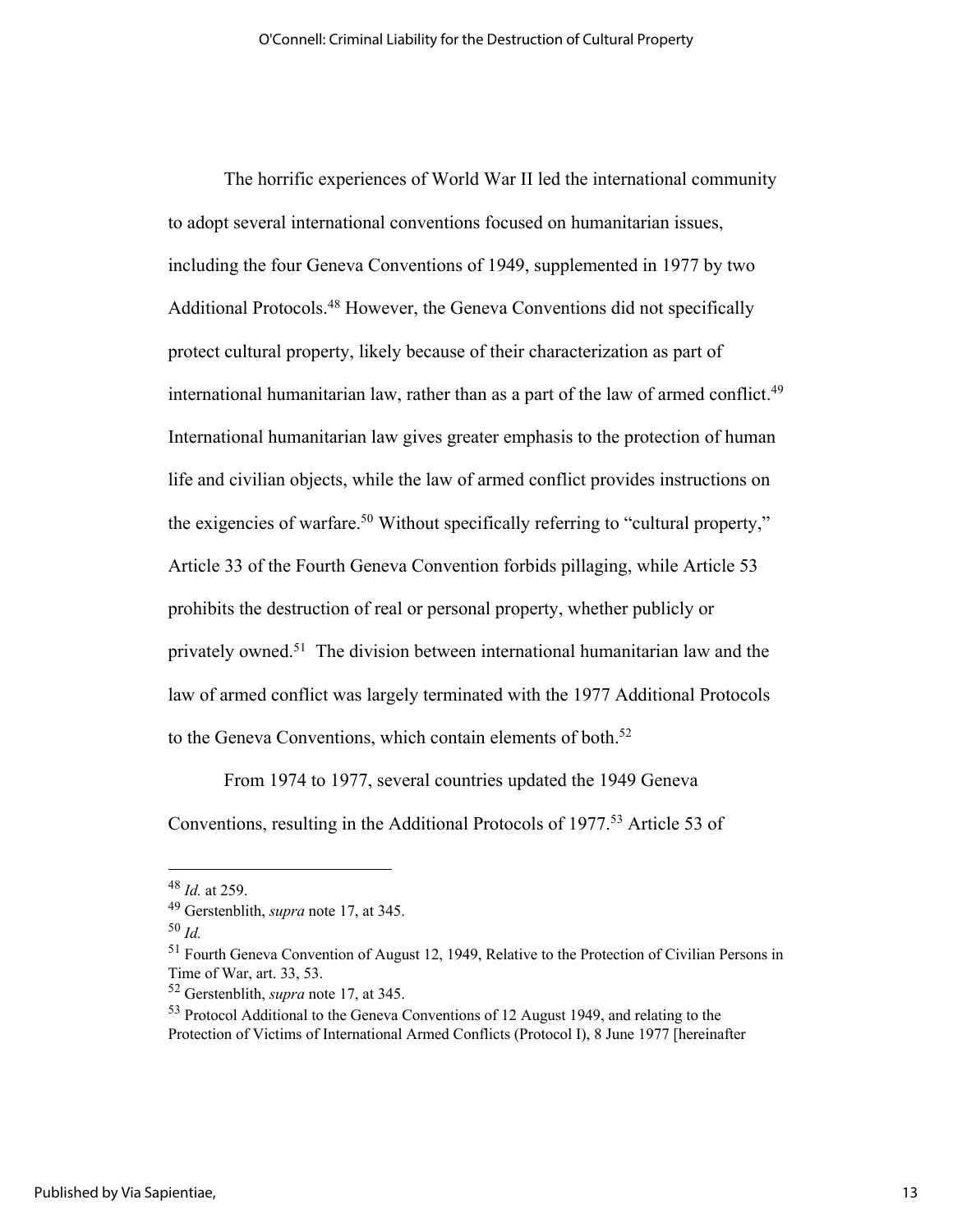The horrific experiences of World War II led the international community to adopt several international conventions focused on humanitarian issues, including the four Geneva Conventions of 1949, supplemented in 1977 by two Additional Protocols.<sup>48</sup> However, the Geneva Conventions did not specifically protect cultural property, likely because of their characterization as part of international humanitarian law, rather than as a part of the law of armed conflict.<sup>49</sup> International humanitarian law gives greater emphasis to the protection of human life and civilian objects, while the law of armed conflict provides instructions on the exigencies of warfare.<sup>50</sup> Without specifically referring to "cultural property," Article 33 of the Fourth Geneva Convention forbids pillaging, while Article 53 prohibits the destruction of real or personal property, whether publicly or privately owned.51 The division between international humanitarian law and the law of armed conflict was largely terminated with the 1977 Additional Protocols to the Geneva Conventions, which contain elements of both.<sup>52</sup>

From 1974 to 1977, several countries updated the 1949 Geneva Conventions, resulting in the Additional Protocols of 1977.<sup>53</sup> Article 53 of

<sup>48</sup> *Id.* at 259.

<sup>49</sup> Gerstenblith, *supra* note 17, at 345.

<sup>50</sup> *Id.*

<sup>51</sup> Fourth Geneva Convention of August 12, 1949, Relative to the Protection of Civilian Persons in Time of War, art. 33, 53.

<sup>52</sup> Gerstenblith, *supra* note 17, at 345.

<sup>&</sup>lt;sup>53</sup> Protocol Additional to the Geneva Conventions of 12 August 1949, and relating to the Protection of Victims of International Armed Conflicts (Protocol I), 8 June 1977 [hereinafter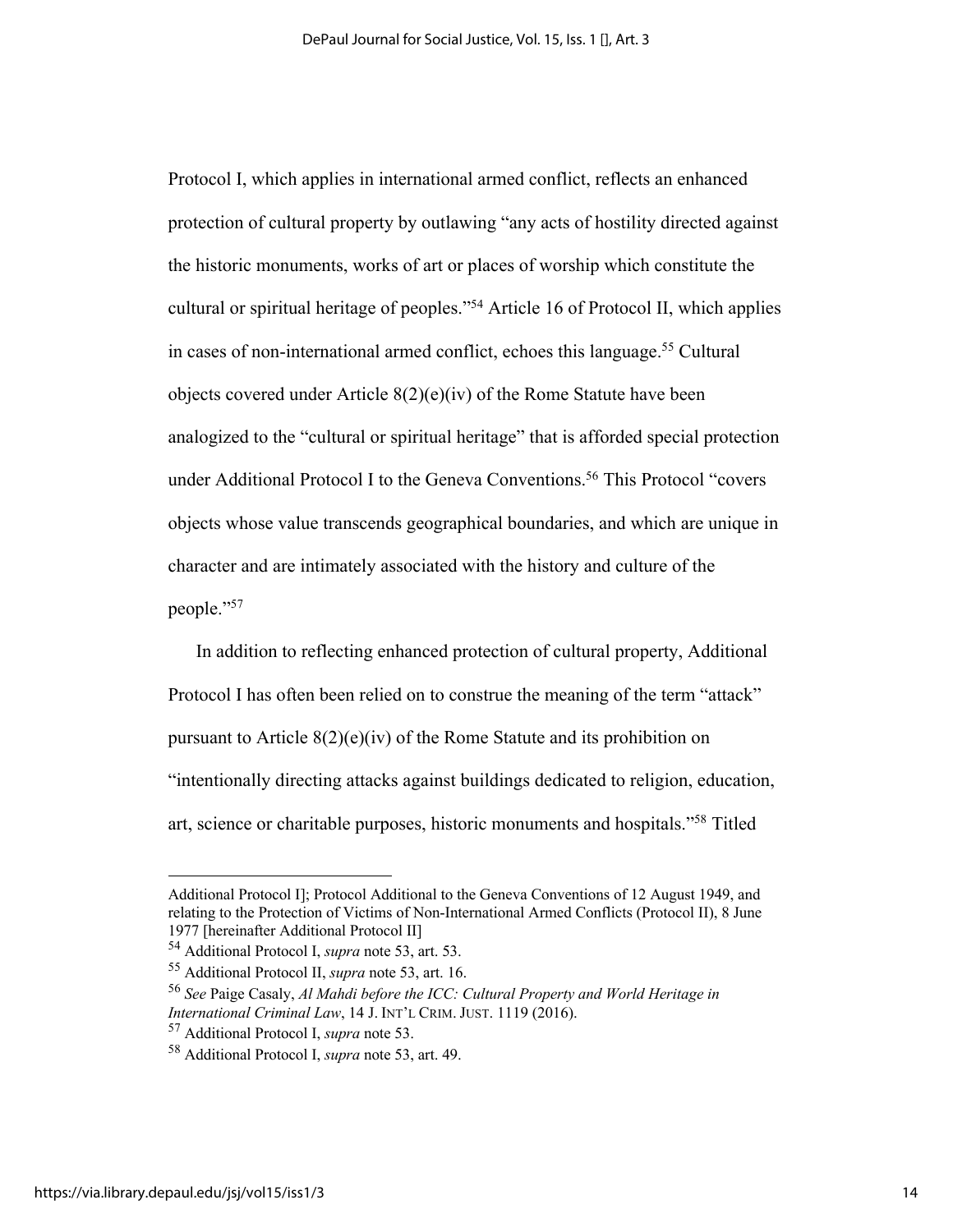Protocol I, which applies in international armed conflict, reflects an enhanced protection of cultural property by outlawing "any acts of hostility directed against the historic monuments, works of art or places of worship which constitute the cultural or spiritual heritage of peoples."54 Article 16 of Protocol II, which applies in cases of non-international armed conflict, echoes this language.<sup>55</sup> Cultural objects covered under Article  $8(2)(e)(iv)$  of the Rome Statute have been analogized to the "cultural or spiritual heritage" that is afforded special protection under Additional Protocol I to the Geneva Conventions.<sup>56</sup> This Protocol "covers objects whose value transcends geographical boundaries, and which are unique in character and are intimately associated with the history and culture of the people."57

In addition to reflecting enhanced protection of cultural property, Additional Protocol I has often been relied on to construe the meaning of the term "attack" pursuant to Article 8(2)(e)(iv) of the Rome Statute and its prohibition on "intentionally directing attacks against buildings dedicated to religion, education, art, science or charitable purposes, historic monuments and hospitals."58 Titled

Additional Protocol I]; Protocol Additional to the Geneva Conventions of 12 August 1949, and relating to the Protection of Victims of Non-International Armed Conflicts (Protocol II), 8 June 1977 [hereinafter Additional Protocol II]

<sup>54</sup> Additional Protocol I, *supra* note 53, art. 53.

<sup>55</sup> Additional Protocol II, *supra* note 53, art. 16.

<sup>56</sup> *See* Paige Casaly, *Al Mahdi before the ICC: Cultural Property and World Heritage in International Criminal Law*, 14 J. INT'L CRIM. JUST. 1119 (2016).

<sup>57</sup> Additional Protocol I, *supra* note 53.

<sup>58</sup> Additional Protocol I, *supra* note 53, art. 49.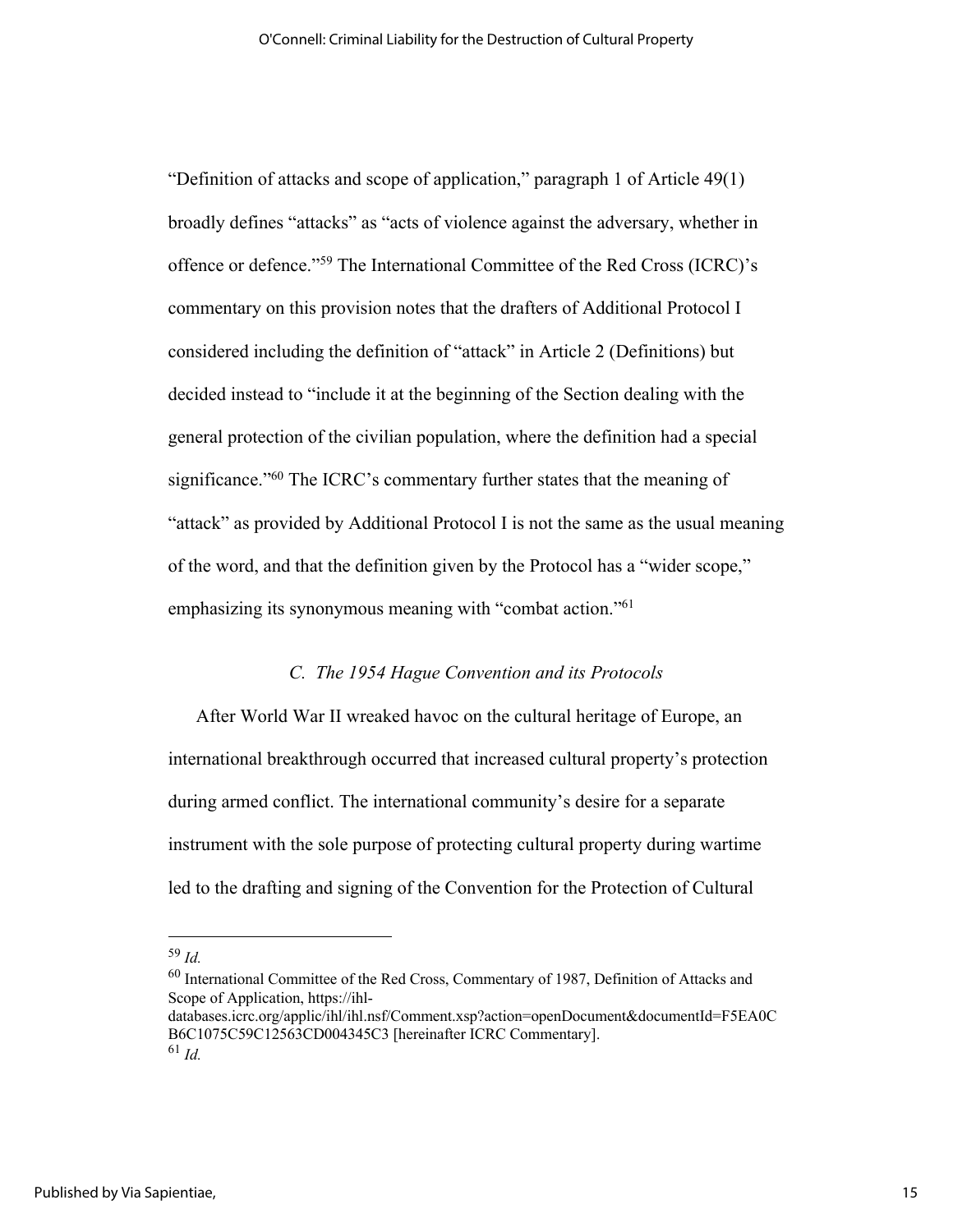"Definition of attacks and scope of application," paragraph 1 of Article 49(1) broadly defines "attacks" as "acts of violence against the adversary, whether in offence or defence."59 The International Committee of the Red Cross (ICRC)'s commentary on this provision notes that the drafters of Additional Protocol I considered including the definition of "attack" in Article 2 (Definitions) but decided instead to "include it at the beginning of the Section dealing with the general protection of the civilian population, where the definition had a special significance."60 The ICRC's commentary further states that the meaning of "attack" as provided by Additional Protocol I is not the same as the usual meaning of the word, and that the definition given by the Protocol has a "wider scope," emphasizing its synonymous meaning with "combat action."61

#### *C. The 1954 Hague Convention and its Protocols*

After World War II wreaked havoc on the cultural heritage of Europe, an international breakthrough occurred that increased cultural property's protection during armed conflict. The international community's desire for a separate instrument with the sole purpose of protecting cultural property during wartime led to the drafting and signing of the Convention for the Protection of Cultural

<sup>59</sup> *Id.*

<sup>60</sup> International Committee of the Red Cross, Commentary of 1987, Definition of Attacks and Scope of Application, https://ihl-

databases.icrc.org/applic/ihl/ihl.nsf/Comment.xsp?action=openDocument&documentId=F5EA0C B6C1075C59C12563CD004345C3 [hereinafter ICRC Commentary]. <sup>61</sup> *Id.*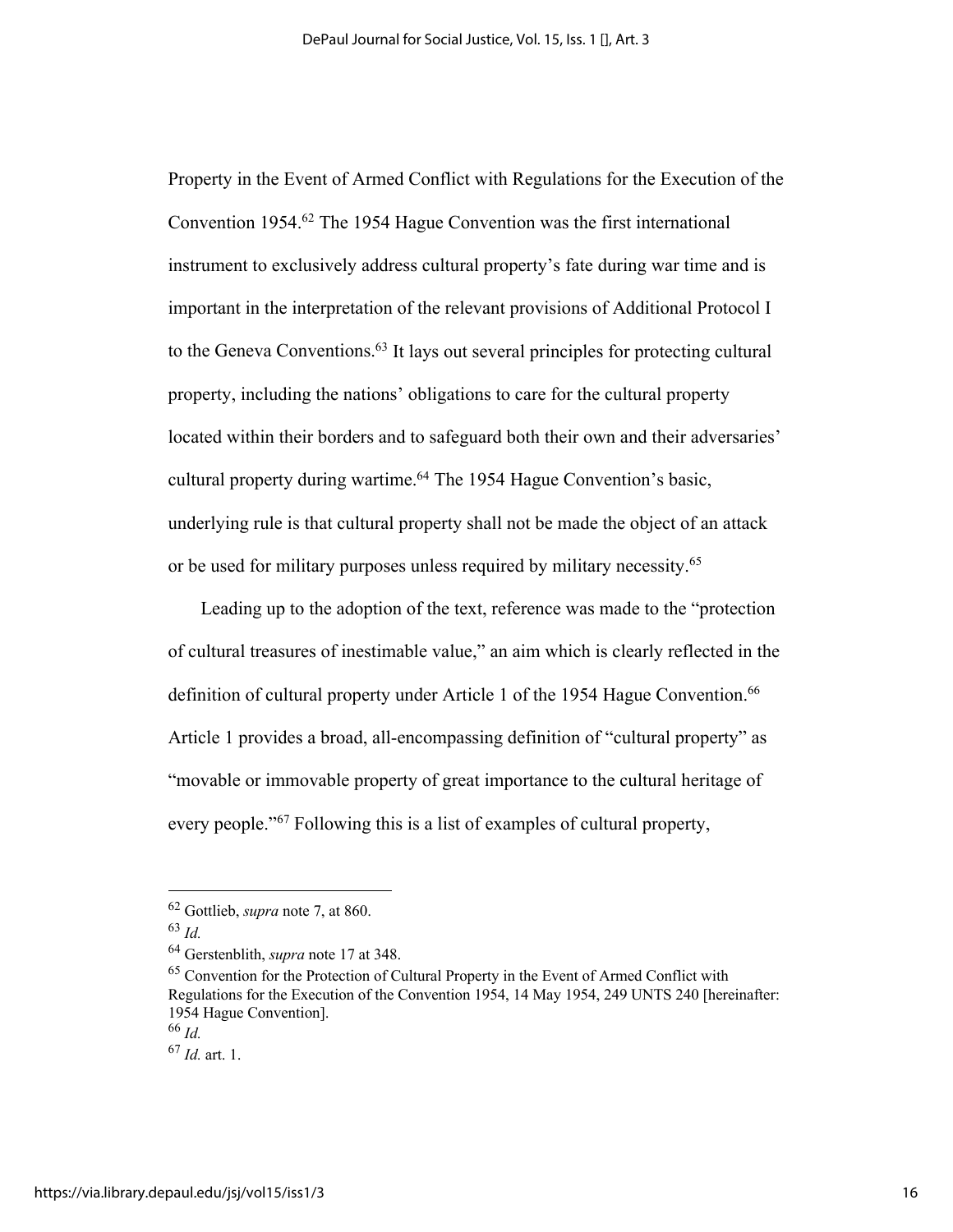Property in the Event of Armed Conflict with Regulations for the Execution of the Convention 1954.62 The 1954 Hague Convention was the first international instrument to exclusively address cultural property's fate during war time and is important in the interpretation of the relevant provisions of Additional Protocol I to the Geneva Conventions.63 It lays out several principles for protecting cultural property, including the nations' obligations to care for the cultural property located within their borders and to safeguard both their own and their adversaries' cultural property during wartime.64 The 1954 Hague Convention's basic, underlying rule is that cultural property shall not be made the object of an attack or be used for military purposes unless required by military necessity.65

Leading up to the adoption of the text, reference was made to the "protection of cultural treasures of inestimable value," an aim which is clearly reflected in the definition of cultural property under Article 1 of the 1954 Hague Convention.<sup>66</sup> Article 1 provides a broad, all-encompassing definition of "cultural property" as "movable or immovable property of great importance to the cultural heritage of every people."<sup>67</sup> Following this is a list of examples of cultural property,

<sup>62</sup> Gottlieb, *supra* note 7, at 860.

<sup>63</sup> *Id.*

<sup>&</sup>lt;sup>64</sup> Gerstenblith, *supra* note 17 at 348.<br><sup>65</sup> Convention for the Protection of Cultural Property in the Event of Armed Conflict with Regulations for the Execution of the Convention 1954, 14 May 1954, 249 UNTS 240 [hereinafter: 1954 Hague Convention].

<sup>66</sup> *Id.* 

<sup>67</sup> *Id.* art. 1.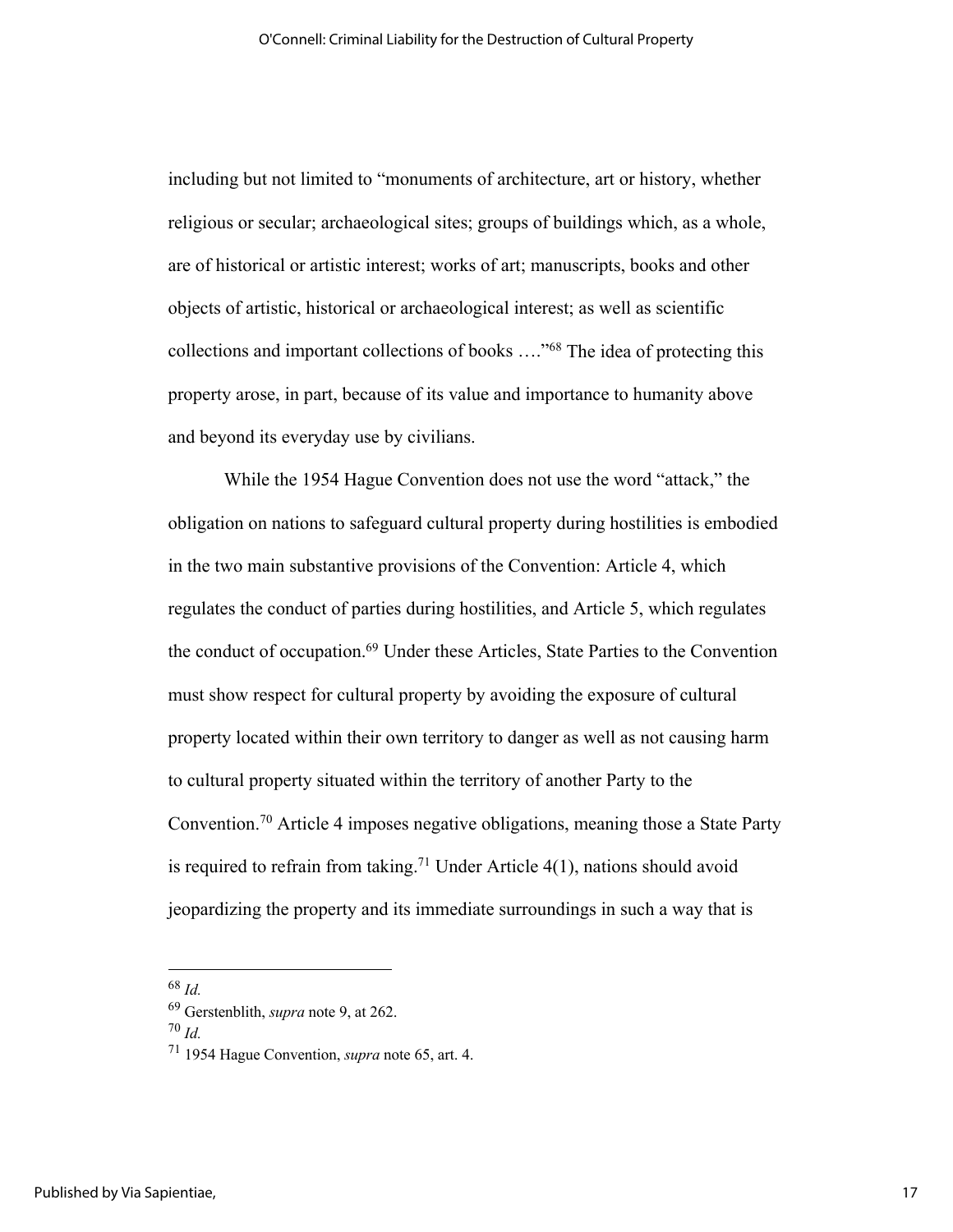including but not limited to "monuments of architecture, art or history, whether religious or secular; archaeological sites; groups of buildings which, as a whole, are of historical or artistic interest; works of art; manuscripts, books and other objects of artistic, historical or archaeological interest; as well as scientific collections and important collections of books …."68 The idea of protecting this property arose, in part, because of its value and importance to humanity above and beyond its everyday use by civilians.

While the 1954 Hague Convention does not use the word "attack," the obligation on nations to safeguard cultural property during hostilities is embodied in the two main substantive provisions of the Convention: Article 4, which regulates the conduct of parties during hostilities, and Article 5, which regulates the conduct of occupation.<sup>69</sup> Under these Articles, State Parties to the Convention must show respect for cultural property by avoiding the exposure of cultural property located within their own territory to danger as well as not causing harm to cultural property situated within the territory of another Party to the Convention.70 Article 4 imposes negative obligations, meaning those a State Party is required to refrain from taking.<sup>71</sup> Under Article  $4(1)$ , nations should avoid jeopardizing the property and its immediate surroundings in such a way that is

<sup>70</sup> *Id.*

<sup>68</sup> *Id.* 69 Gerstenblith, *supra* note 9, at 262.

<sup>71</sup> 1954 Hague Convention, *supra* note 65, art. 4.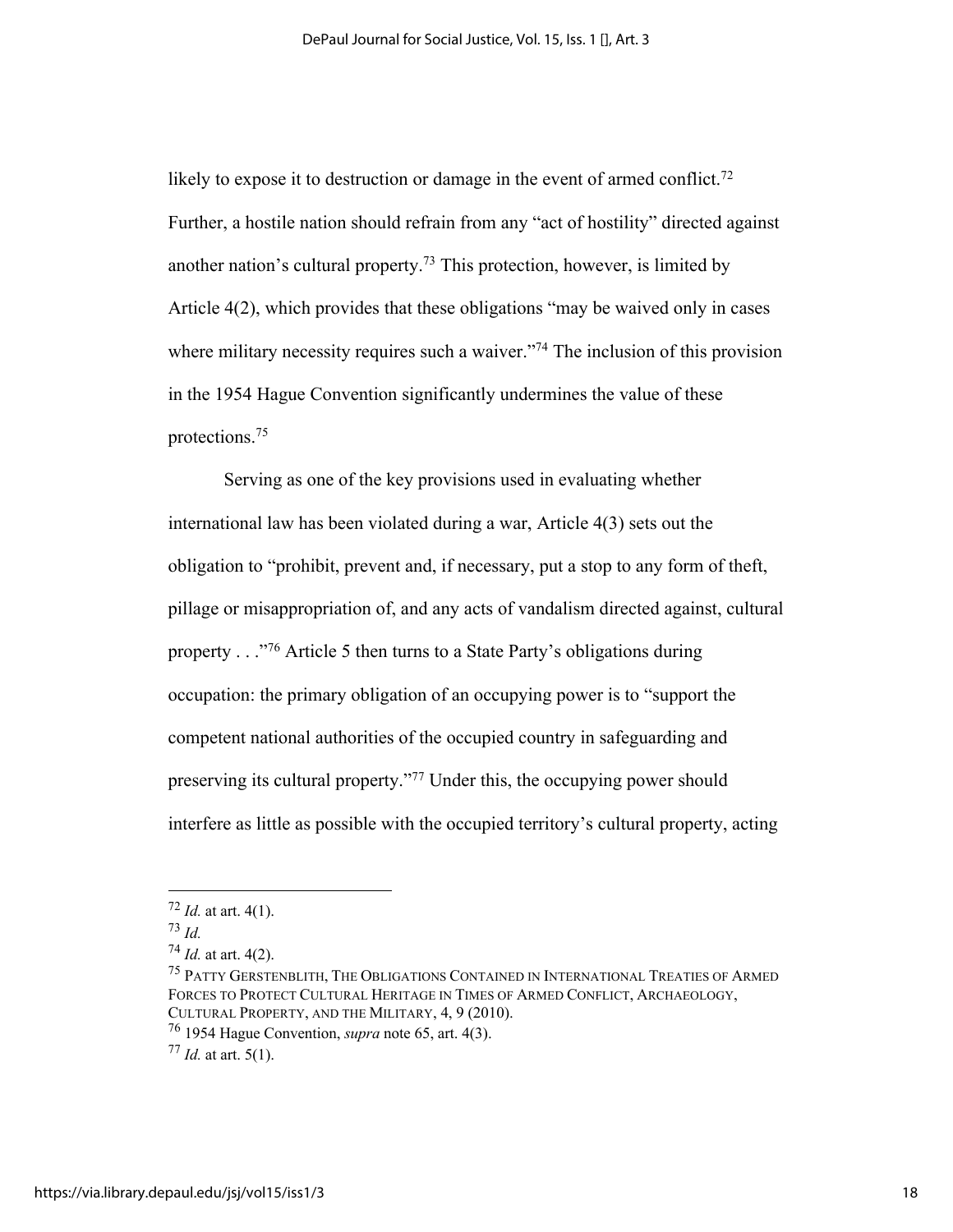likely to expose it to destruction or damage in the event of armed conflict.<sup>72</sup> Further, a hostile nation should refrain from any "act of hostility" directed against another nation's cultural property.<sup>73</sup> This protection, however, is limited by Article 4(2), which provides that these obligations "may be waived only in cases where military necessity requires such a waiver."<sup>74</sup> The inclusion of this provision in the 1954 Hague Convention significantly undermines the value of these protections. 75

Serving as one of the key provisions used in evaluating whether international law has been violated during a war, Article 4(3) sets out the obligation to "prohibit, prevent and, if necessary, put a stop to any form of theft, pillage or misappropriation of, and any acts of vandalism directed against, cultural property . . ."76 Article 5 then turns to a State Party's obligations during occupation: the primary obligation of an occupying power is to "support the competent national authorities of the occupied country in safeguarding and preserving its cultural property."77 Under this, the occupying power should interfere as little as possible with the occupied territory's cultural property, acting

 $72$  *Id.* at art. 4(1).

<sup>73</sup> *Id.*

<sup>74</sup> *Id.* at art. 4(2).

<sup>&</sup>lt;sup>75</sup> PATTY GERSTENBLITH, THE OBLIGATIONS CONTAINED IN INTERNATIONAL TREATIES OF ARMED FORCES TO PROTECT CULTURAL HERITAGE IN TIMES OF ARMED CONFLICT, ARCHAEOLOGY, CULTURAL PROPERTY, AND THE MILITARY, 4, 9 (2010).

<sup>76</sup> 1954 Hague Convention, *supra* note 65, art. 4(3).

<sup>77</sup> *Id.* at art. 5(1).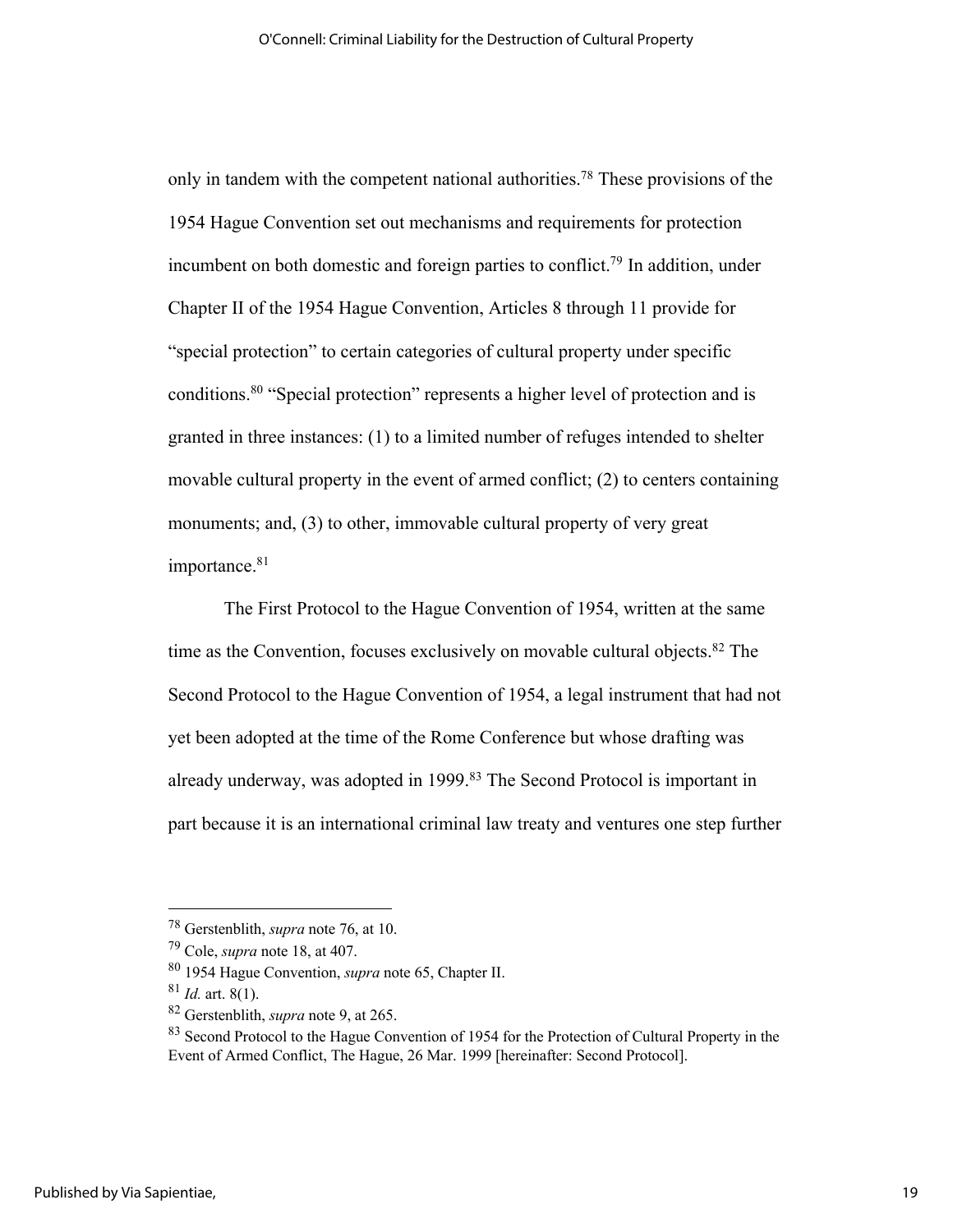only in tandem with the competent national authorities.<sup>78</sup> These provisions of the 1954 Hague Convention set out mechanisms and requirements for protection incumbent on both domestic and foreign parties to conflict.<sup>79</sup> In addition, under Chapter II of the 1954 Hague Convention, Articles 8 through 11 provide for "special protection" to certain categories of cultural property under specific conditions.80 "Special protection" represents a higher level of protection and is granted in three instances: (1) to a limited number of refuges intended to shelter movable cultural property in the event of armed conflict; (2) to centers containing monuments; and, (3) to other, immovable cultural property of very great importance.<sup>81</sup>

The First Protocol to the Hague Convention of 1954, written at the same time as the Convention, focuses exclusively on movable cultural objects. $82$  The Second Protocol to the Hague Convention of 1954, a legal instrument that had not yet been adopted at the time of the Rome Conference but whose drafting was already underway, was adopted in 1999.<sup>83</sup> The Second Protocol is important in part because it is an international criminal law treaty and ventures one step further

<sup>78</sup> Gerstenblith, *supra* note 76, at 10.

<sup>79</sup> Cole, *supra* note 18, at 407.

<sup>80</sup> 1954 Hague Convention, *supra* note 65, Chapter II.

<sup>81</sup> *Id.* art. 8(1).

<sup>82</sup> Gerstenblith, *supra* note 9, at 265.

<sup>&</sup>lt;sup>83</sup> Second Protocol to the Hague Convention of 1954 for the Protection of Cultural Property in the Event of Armed Conflict, The Hague, 26 Mar. 1999 [hereinafter: Second Protocol].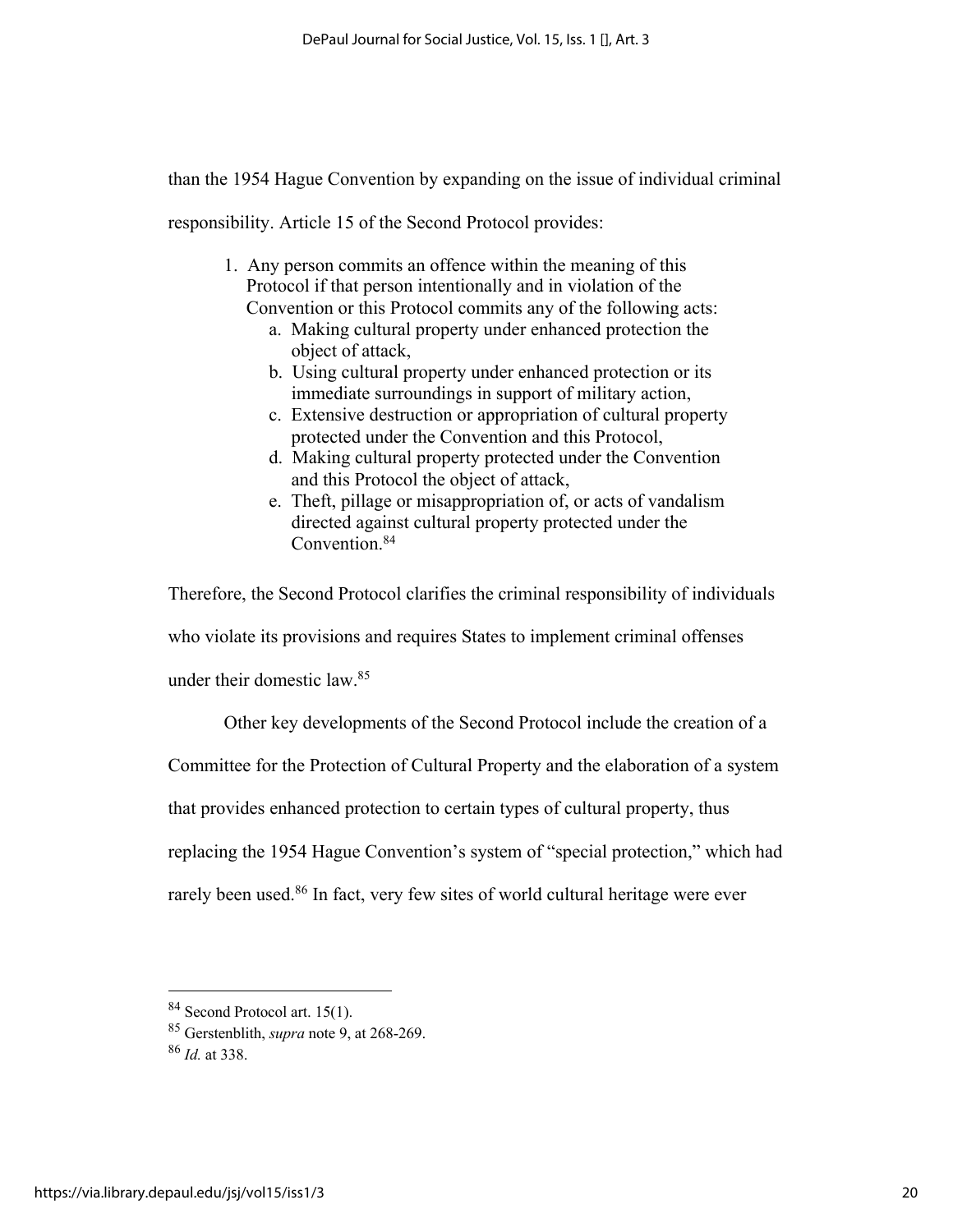than the 1954 Hague Convention by expanding on the issue of individual criminal

responsibility. Article 15 of the Second Protocol provides:

- 1. Any person commits an offence within the meaning of this Protocol if that person intentionally and in violation of the Convention or this Protocol commits any of the following acts:
	- a. Making cultural property under enhanced protection the object of attack,
		- b. Using cultural property under enhanced protection or its immediate surroundings in support of military action,
		- c. Extensive destruction or appropriation of cultural property protected under the Convention and this Protocol,
		- d. Making cultural property protected under the Convention and this Protocol the object of attack,
		- e. Theft, pillage or misappropriation of, or acts of vandalism directed against cultural property protected under the Convention.84

Therefore, the Second Protocol clarifies the criminal responsibility of individuals who violate its provisions and requires States to implement criminal offenses under their domestic law.85

Other key developments of the Second Protocol include the creation of a Committee for the Protection of Cultural Property and the elaboration of a system that provides enhanced protection to certain types of cultural property, thus replacing the 1954 Hague Convention's system of "special protection," which had rarely been used. <sup>86</sup> In fact, very few sites of world cultural heritage were ever

<sup>84</sup> Second Protocol art. 15(1).

<sup>85</sup> Gerstenblith, *supra* note 9, at 268-269.

<sup>86</sup> *Id.* at 338.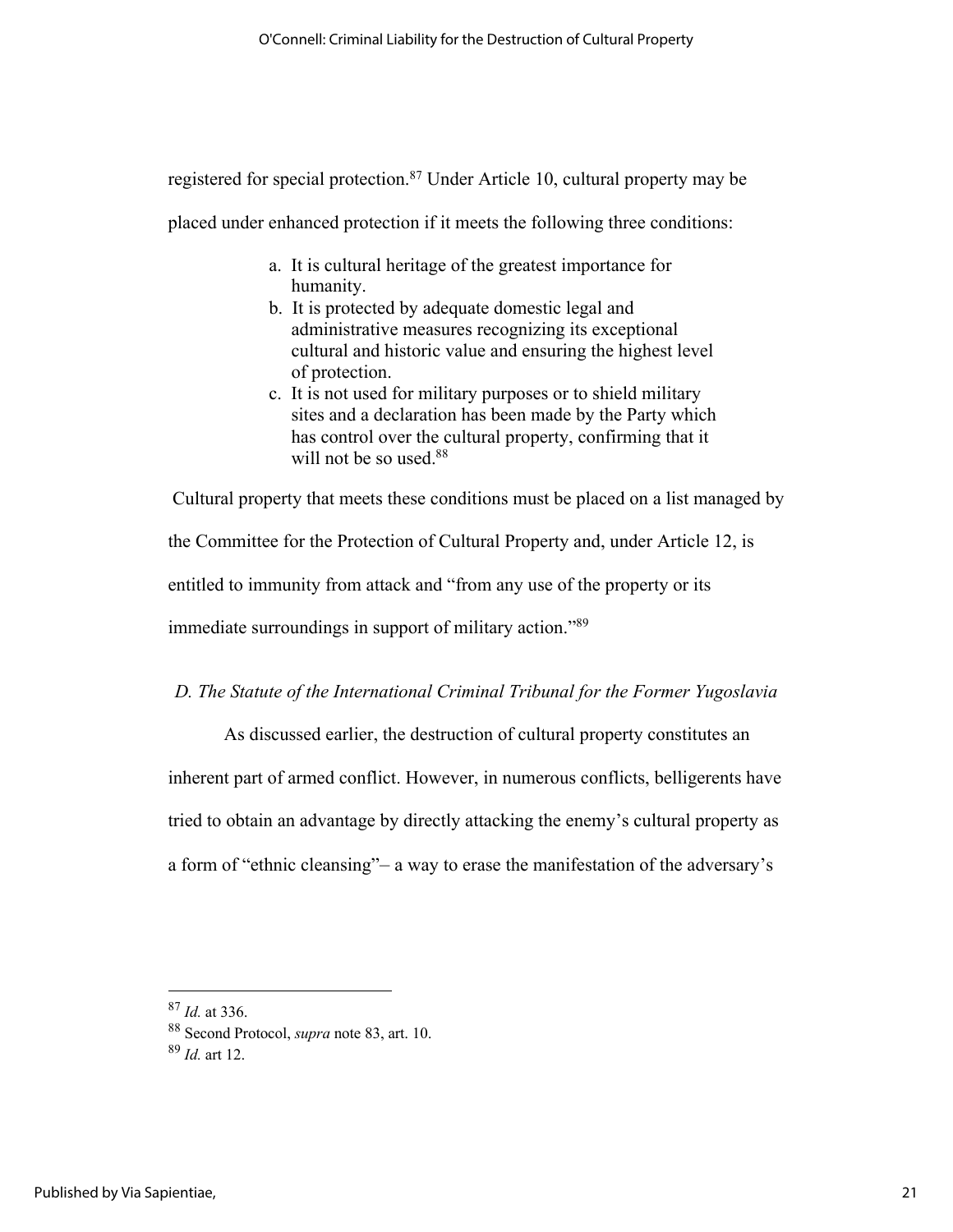registered for special protection.87 Under Article 10, cultural property may be

placed under enhanced protection if it meets the following three conditions:

- a. It is cultural heritage of the greatest importance for humanity.
- b. It is protected by adequate domestic legal and administrative measures recognizing its exceptional cultural and historic value and ensuring the highest level of protection.
- c. It is not used for military purposes or to shield military sites and a declaration has been made by the Party which has control over the cultural property, confirming that it will not be so used.<sup>88</sup>

Cultural property that meets these conditions must be placed on a list managed by the Committee for the Protection of Cultural Property and, under Article 12, is entitled to immunity from attack and "from any use of the property or its immediate surroundings in support of military action."89

# *D. The Statute of the International Criminal Tribunal for the Former Yugoslavia*

As discussed earlier, the destruction of cultural property constitutes an inherent part of armed conflict. However, in numerous conflicts, belligerents have tried to obtain an advantage by directly attacking the enemy's cultural property as a form of "ethnic cleansing"– a way to erase the manifestation of the adversary's

<sup>87</sup> *Id.* at 336.

<sup>88</sup> Second Protocol, *supra* note 83, art. 10. 89 *Id.* art 12.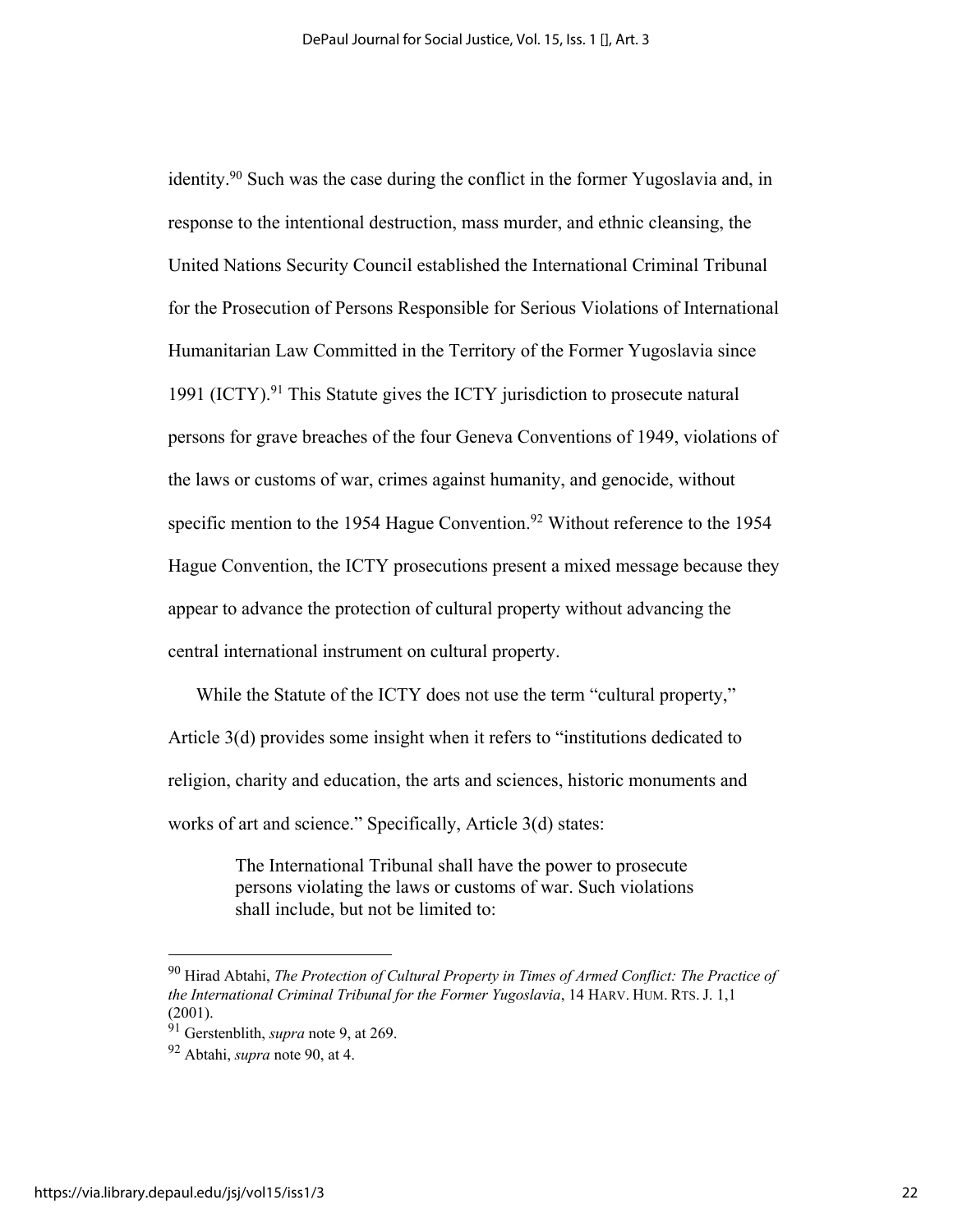identity.90 Such was the case during the conflict in the former Yugoslavia and, in response to the intentional destruction, mass murder, and ethnic cleansing, the United Nations Security Council established the International Criminal Tribunal for the Prosecution of Persons Responsible for Serious Violations of International Humanitarian Law Committed in the Territory of the Former Yugoslavia since 1991 (ICTY).91 This Statute gives the ICTY jurisdiction to prosecute natural persons for grave breaches of the four Geneva Conventions of 1949, violations of the laws or customs of war, crimes against humanity, and genocide, without specific mention to the 1954 Hague Convention.<sup>92</sup> Without reference to the 1954 Hague Convention, the ICTY prosecutions present a mixed message because they appear to advance the protection of cultural property without advancing the central international instrument on cultural property.

While the Statute of the ICTY does not use the term "cultural property," Article 3(d) provides some insight when it refers to "institutions dedicated to religion, charity and education, the arts and sciences, historic monuments and works of art and science." Specifically, Article 3(d) states:

> The International Tribunal shall have the power to prosecute persons violating the laws or customs of war. Such violations shall include, but not be limited to:

<sup>90</sup> Hirad Abtahi, *The Protection of Cultural Property in Times of Armed Conflict: The Practice of the International Criminal Tribunal for the Former Yugoslavia*, 14 HARV. HUM. RTS. J. 1,1 (2001).

<sup>91</sup> Gerstenblith, *supra* note 9, at 269.

<sup>92</sup> Abtahi, *supra* note 90, at 4.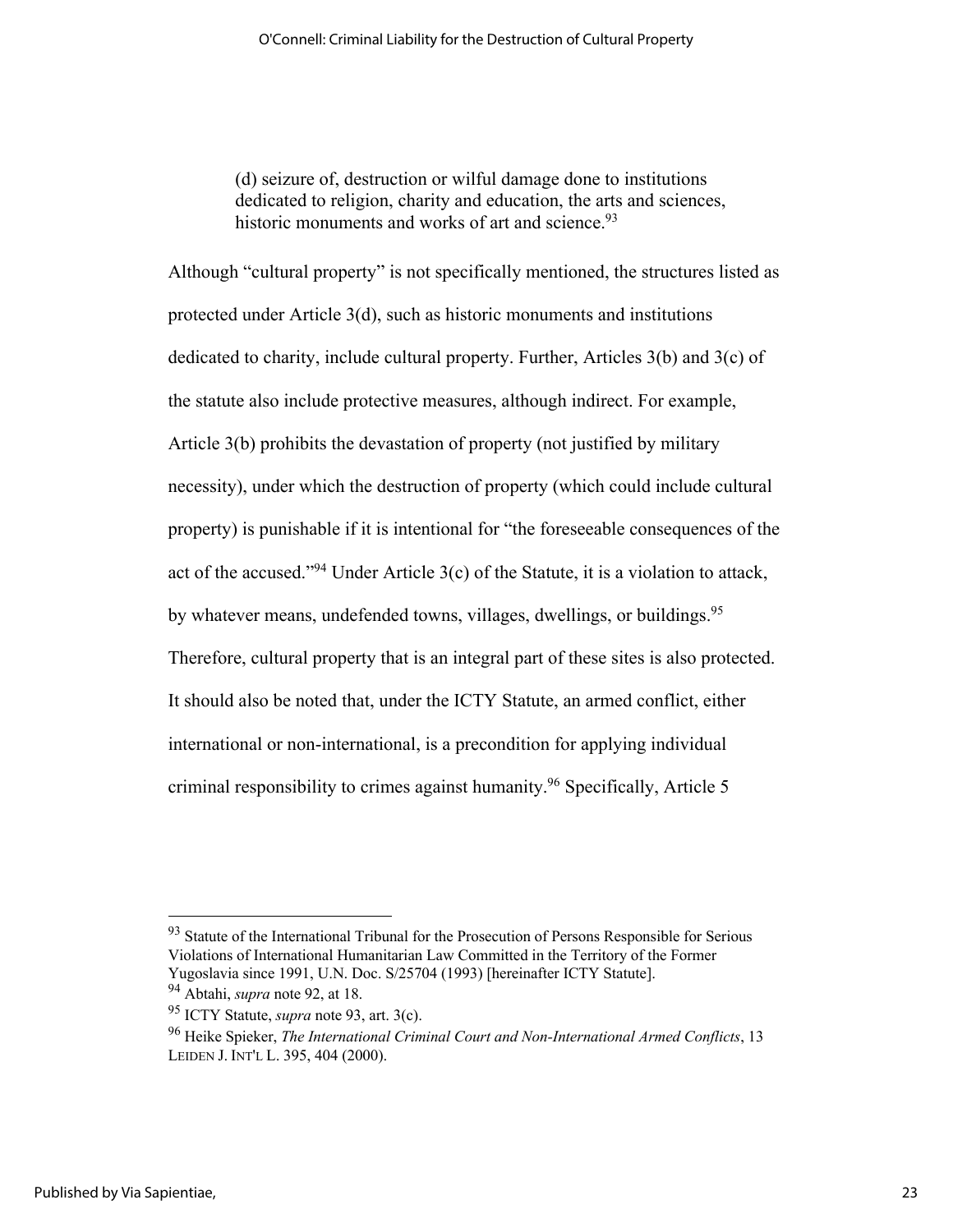(d) seizure of, destruction or wilful damage done to institutions dedicated to religion, charity and education, the arts and sciences, historic monuments and works of art and science.<sup>93</sup>

Although "cultural property" is not specifically mentioned, the structures listed as protected under Article 3(d), such as historic monuments and institutions dedicated to charity, include cultural property. Further, Articles 3(b) and 3(c) of the statute also include protective measures, although indirect. For example, Article 3(b) prohibits the devastation of property (not justified by military necessity), under which the destruction of property (which could include cultural property) is punishable if it is intentional for "the foreseeable consequences of the act of the accused."94 Under Article 3(c) of the Statute, it is a violation to attack, by whatever means, undefended towns, villages, dwellings, or buildings.<sup>95</sup> Therefore, cultural property that is an integral part of these sites is also protected. It should also be noted that, under the ICTY Statute, an armed conflict, either international or non-international, is a precondition for applying individual criminal responsibility to crimes against humanity.96 Specifically, Article 5

<sup>&</sup>lt;sup>93</sup> Statute of the International Tribunal for the Prosecution of Persons Responsible for Serious Violations of International Humanitarian Law Committed in the Territory of the Former Yugoslavia since 1991, U.N. Doc. S/25704 (1993) [hereinafter ICTY Statute].

<sup>94</sup> Abtahi, *supra* note 92, at 18.

<sup>95</sup> ICTY Statute, *supra* note 93, art. 3(c).

<sup>96</sup> Heike Spieker, *The International Criminal Court and Non-International Armed Conflicts*, 13 LEIDEN J. INT'L L. 395, 404 (2000).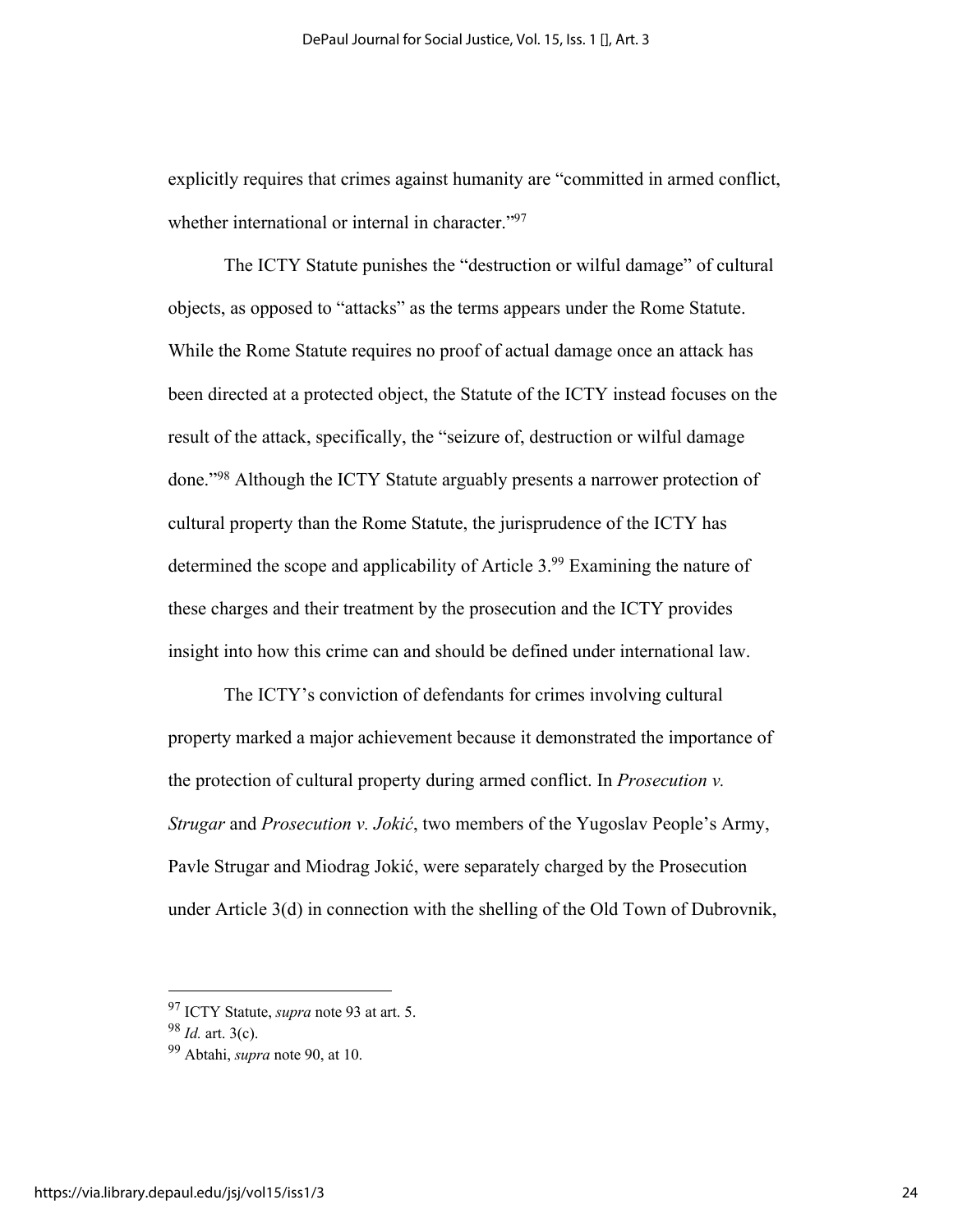explicitly requires that crimes against humanity are "committed in armed conflict, whether international or internal in character."97

The ICTY Statute punishes the "destruction or wilful damage" of cultural objects, as opposed to "attacks" as the terms appears under the Rome Statute. While the Rome Statute requires no proof of actual damage once an attack has been directed at a protected object, the Statute of the ICTY instead focuses on the result of the attack, specifically, the "seizure of, destruction or wilful damage done."98 Although the ICTY Statute arguably presents a narrower protection of cultural property than the Rome Statute, the jurisprudence of the ICTY has determined the scope and applicability of Article 3.<sup>99</sup> Examining the nature of these charges and their treatment by the prosecution and the ICTY provides insight into how this crime can and should be defined under international law.

The ICTY's conviction of defendants for crimes involving cultural property marked a major achievement because it demonstrated the importance of the protection of cultural property during armed conflict. In *Prosecution v. Strugar* and *Prosecution v. Jokić*, two members of the Yugoslav People's Army, Pavle Strugar and Miodrag Jokić, were separately charged by the Prosecution under Article 3(d) in connection with the shelling of the Old Town of Dubrovnik,

<sup>97</sup> ICTY Statute, *supra* note 93 at art. 5.

<sup>98</sup> *Id.* art. 3(c).

<sup>99</sup> Abtahi, *supra* note 90, at 10.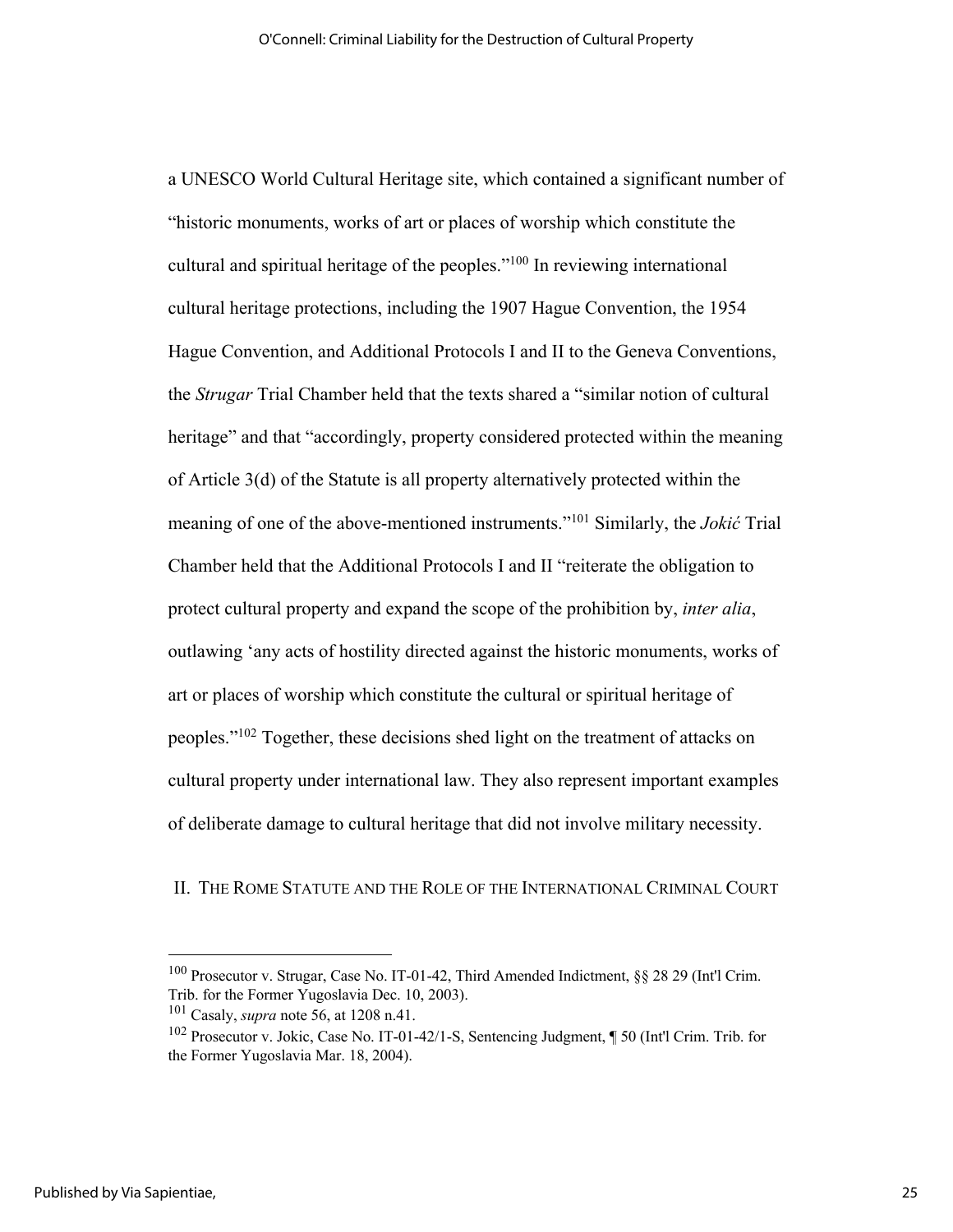a UNESCO World Cultural Heritage site, which contained a significant number of "historic monuments, works of art or places of worship which constitute the cultural and spiritual heritage of the peoples."100 In reviewing international cultural heritage protections, including the 1907 Hague Convention, the 1954 Hague Convention, and Additional Protocols I and II to the Geneva Conventions, the *Strugar* Trial Chamber held that the texts shared a "similar notion of cultural heritage" and that "accordingly, property considered protected within the meaning of Article 3(d) of the Statute is all property alternatively protected within the meaning of one of the above-mentioned instruments."101 Similarly, the *Jokić* Trial Chamber held that the Additional Protocols I and II "reiterate the obligation to protect cultural property and expand the scope of the prohibition by, *inter alia*, outlawing 'any acts of hostility directed against the historic monuments, works of art or places of worship which constitute the cultural or spiritual heritage of peoples."102 Together, these decisions shed light on the treatment of attacks on cultural property under international law. They also represent important examples of deliberate damage to cultural heritage that did not involve military necessity.

#### II. THE ROME STATUTE AND THE ROLE OF THE INTERNATIONAL CRIMINAL COURT

<sup>100</sup> Prosecutor v. Strugar, Case No. IT-01-42, Third Amended Indictment, §§ 28 29 (Int'l Crim. Trib. for the Former Yugoslavia Dec. 10, 2003).

<sup>&</sup>lt;sup>101</sup> Casaly, *supra* note 56, at 1208 n.41.<br><sup>102</sup> Prosecutor v. Jokic, Case No. IT-01-42/1-S, Sentencing Judgment, ¶ 50 (Int'l Crim. Trib. for the Former Yugoslavia Mar. 18, 2004).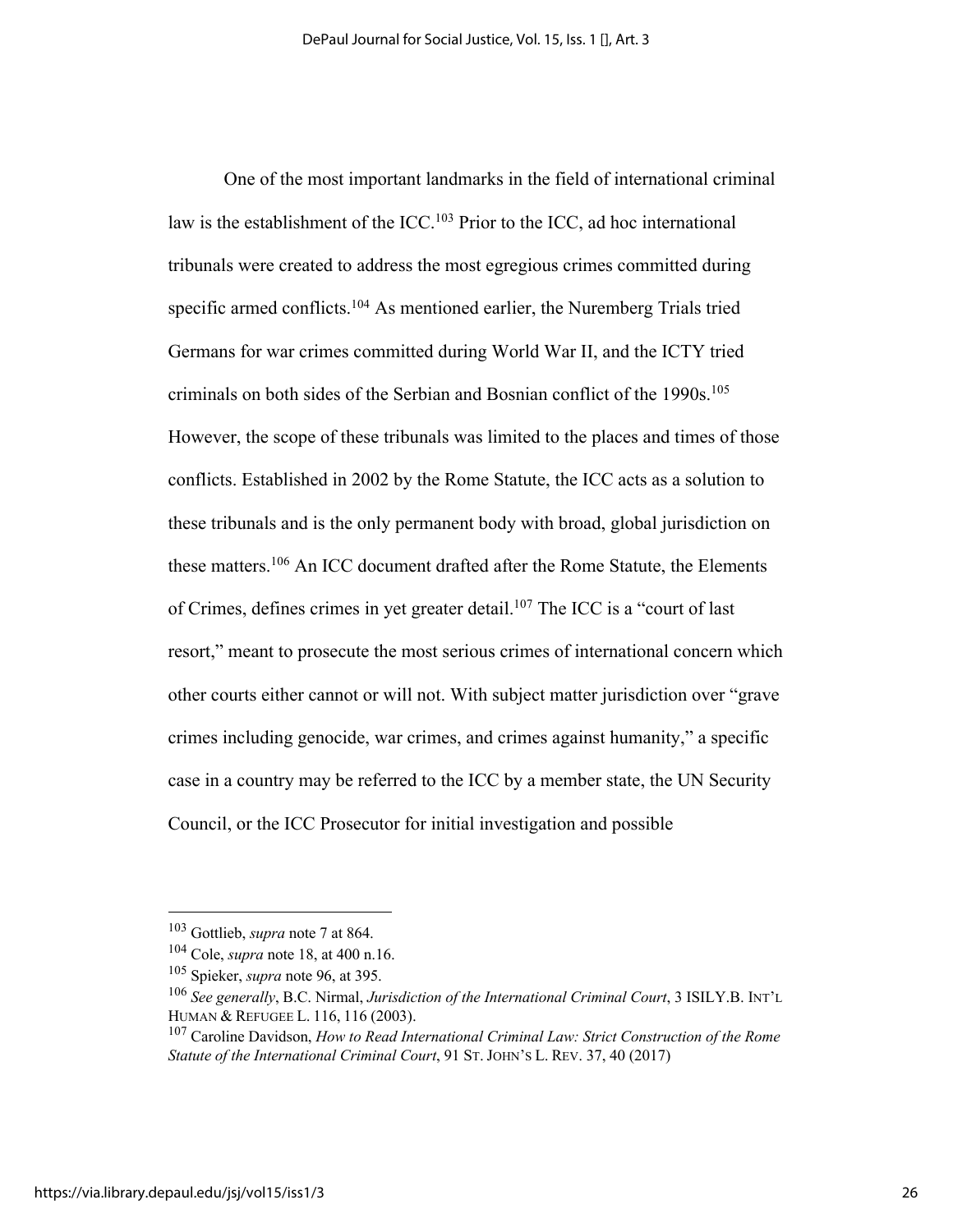One of the most important landmarks in the field of international criminal law is the establishment of the ICC.103 Prior to the ICC, ad hoc international tribunals were created to address the most egregious crimes committed during specific armed conflicts.<sup>104</sup> As mentioned earlier, the Nuremberg Trials tried Germans for war crimes committed during World War II, and the ICTY tried criminals on both sides of the Serbian and Bosnian conflict of the 1990s.<sup>105</sup> However, the scope of these tribunals was limited to the places and times of those conflicts. Established in 2002 by the Rome Statute, the ICC acts as a solution to these tribunals and is the only permanent body with broad, global jurisdiction on these matters.<sup>106</sup> An ICC document drafted after the Rome Statute, the Elements of Crimes, defines crimes in yet greater detail.<sup>107</sup> The ICC is a "court of last resort," meant to prosecute the most serious crimes of international concern which other courts either cannot or will not. With subject matter jurisdiction over "grave crimes including genocide, war crimes, and crimes against humanity," a specific case in a country may be referred to the ICC by a member state, the UN Security Council, or the ICC Prosecutor for initial investigation and possible

<sup>103</sup> Gottlieb, *supra* note 7 at 864.

<sup>104</sup> Cole, *supra* note 18, at 400 n.16.

<sup>&</sup>lt;sup>105</sup> Spieker, *supra* note 96, at 395.<br><sup>106</sup> *See generally*, B.C. Nirmal, *Jurisdiction of the International Criminal Court*, 3 ISILY.B. INT'L HUMAN & REFUGEE L. 116, 116 (2003).

<sup>107</sup> Caroline Davidson, *How to Read International Criminal Law: Strict Construction of the Rome Statute of the International Criminal Court*, 91 ST. JOHN'S L. REV. 37, 40 (2017)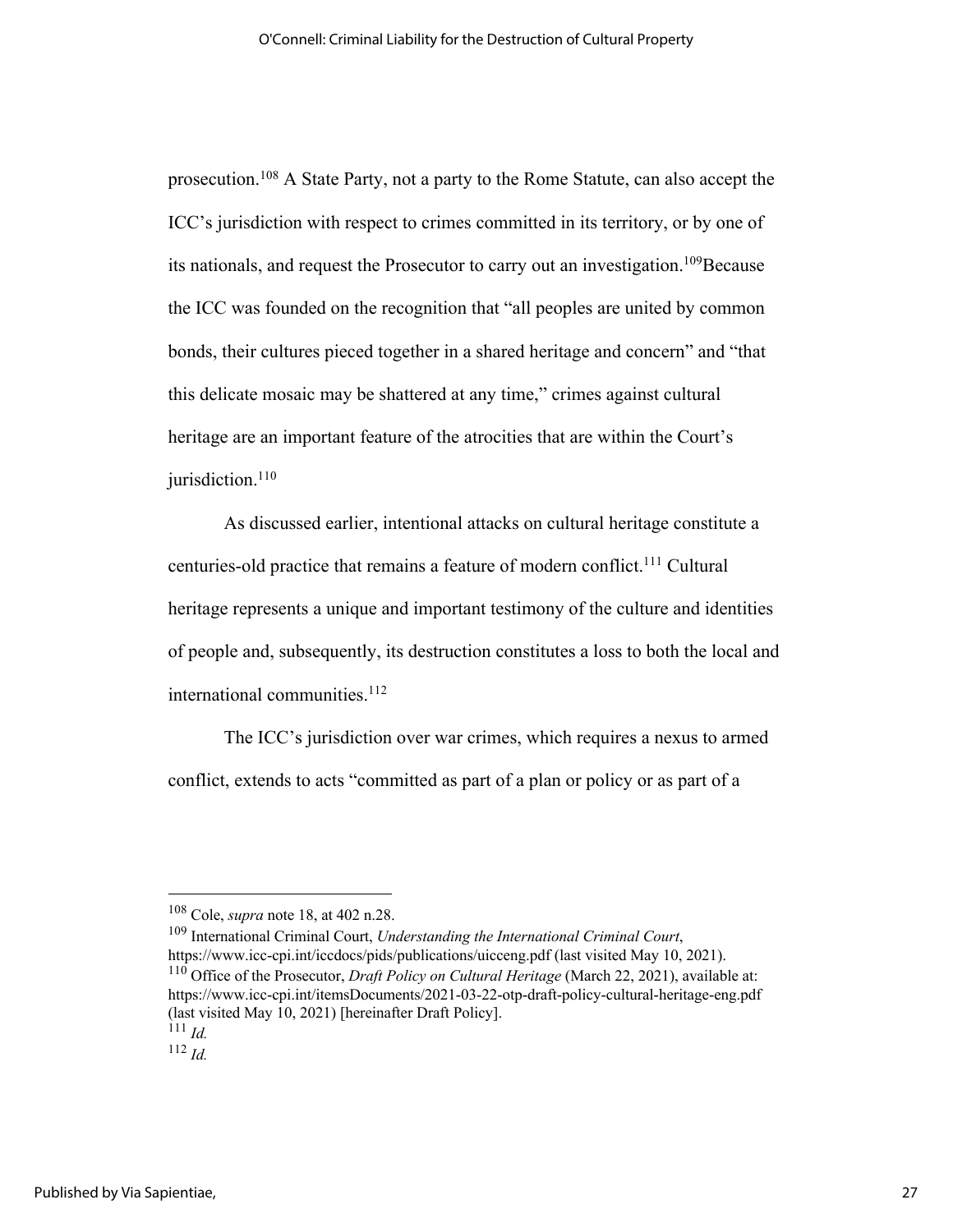prosecution.108 A State Party, not a party to the Rome Statute, can also accept the ICC's jurisdiction with respect to crimes committed in its territory, or by one of its nationals, and request the Prosecutor to carry out an investigation.<sup>109</sup>Because the ICC was founded on the recognition that "all peoples are united by common bonds, their cultures pieced together in a shared heritage and concern" and "that this delicate mosaic may be shattered at any time," crimes against cultural heritage are an important feature of the atrocities that are within the Court's jurisdiction.<sup>110</sup>

As discussed earlier, intentional attacks on cultural heritage constitute a centuries-old practice that remains a feature of modern conflict.<sup>111</sup> Cultural heritage represents a unique and important testimony of the culture and identities of people and, subsequently, its destruction constitutes a loss to both the local and international communities. 112

The ICC's jurisdiction over war crimes, which requires a nexus to armed conflict, extends to acts "committed as part of a plan or policy or as part of a

<sup>108</sup> Cole, *supra* note 18, at 402 n.28.<br><sup>109</sup> International Criminal Court, *Understanding the International Criminal Court*, https://www.icc-cpi.int/iccdocs/pids/publications/uicceng.pdf (last visited May 10, 2021). <sup>110</sup> Office of the Prosecutor, *Draft Policy on Cultural Heritage* (March 22, 2021), available at:

<sup>112</sup> *Id.*

https://www.icc-cpi.int/itemsDocuments/2021-03-22-otp-draft-policy-cultural-heritage-eng.pdf (last visited May 10, 2021) [hereinafter Draft Policy].  $^{111}$  *Id.*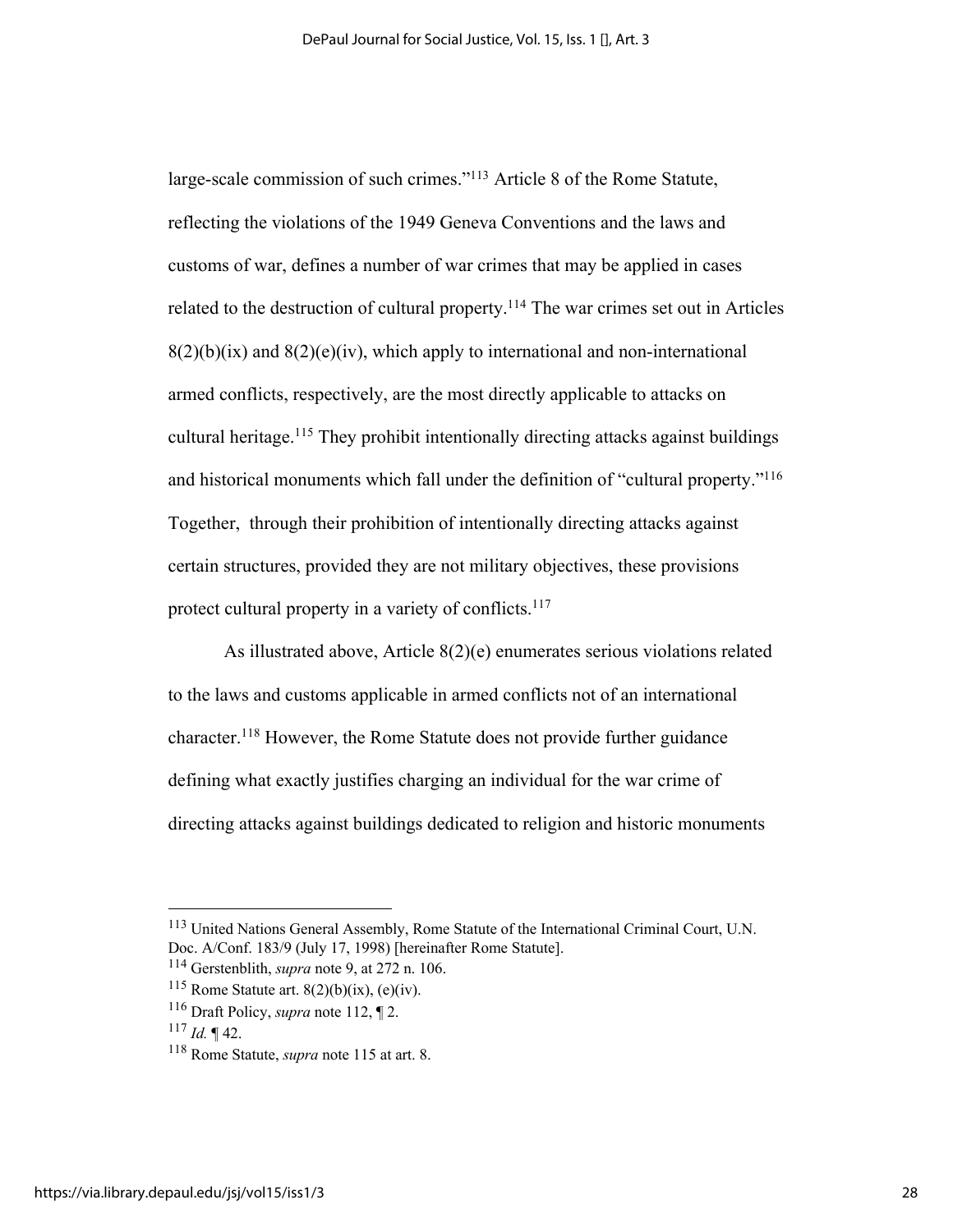large-scale commission of such crimes."113 Article 8 of the Rome Statute, reflecting the violations of the 1949 Geneva Conventions and the laws and customs of war, defines a number of war crimes that may be applied in cases related to the destruction of cultural property.<sup>114</sup> The war crimes set out in Articles  $8(2)(b)(ix)$  and  $8(2)(e)(iv)$ , which apply to international and non-international armed conflicts, respectively, are the most directly applicable to attacks on cultural heritage.<sup>115</sup> They prohibit intentionally directing attacks against buildings and historical monuments which fall under the definition of "cultural property."116 Together, through their prohibition of intentionally directing attacks against certain structures, provided they are not military objectives, these provisions protect cultural property in a variety of conflicts.<sup>117</sup>

As illustrated above, Article 8(2)(e) enumerates serious violations related to the laws and customs applicable in armed conflicts not of an international character. <sup>118</sup> However, the Rome Statute does not provide further guidance defining what exactly justifies charging an individual for the war crime of directing attacks against buildings dedicated to religion and historic monuments

<sup>113</sup> United Nations General Assembly, Rome Statute of the International Criminal Court, U.N. Doc. A/Conf. 183/9 (July 17, 1998) [hereinafter Rome Statute].

<sup>&</sup>lt;sup>114</sup> Gerstenblith, *supra* note 9, at 272 n. 106.<br><sup>115</sup> Rome Statute art. 8(2)(b)(ix), (e)(iv).

<sup>116</sup> Draft Policy, *supra* note 112, ¶ 2. 117 *Id.* ¶ 42.

<sup>118</sup> Rome Statute, *supra* note 115 at art. 8.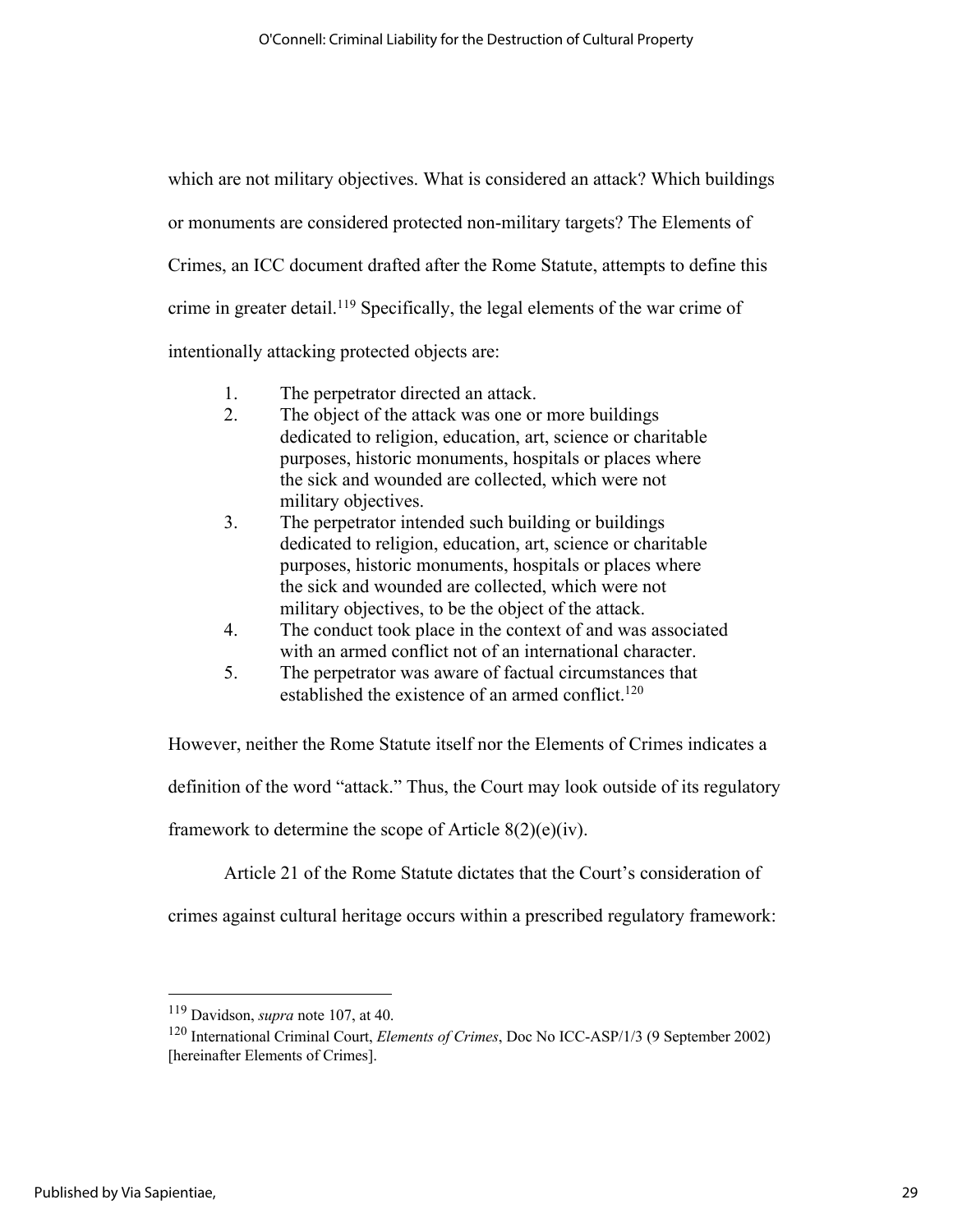which are not military objectives. What is considered an attack? Which buildings or monuments are considered protected non-military targets? The Elements of Crimes, an ICC document drafted after the Rome Statute, attempts to define this crime in greater detail.<sup>119</sup> Specifically, the legal elements of the war crime of intentionally attacking protected objects are:

- 1. The perpetrator directed an attack.
- 2. The object of the attack was one or more buildings dedicated to religion, education, art, science or charitable purposes, historic monuments, hospitals or places where the sick and wounded are collected, which were not military objectives.
- 3. The perpetrator intended such building or buildings dedicated to religion, education, art, science or charitable purposes, historic monuments, hospitals or places where the sick and wounded are collected, which were not military objectives, to be the object of the attack.
- 4. The conduct took place in the context of and was associated with an armed conflict not of an international character.
- 5. The perpetrator was aware of factual circumstances that established the existence of an armed conflict.<sup>120</sup>

However, neither the Rome Statute itself nor the Elements of Crimes indicates a

definition of the word "attack." Thus, the Court may look outside of its regulatory

framework to determine the scope of Article 8(2)(e)(iv).

Article 21 of the Rome Statute dictates that the Court's consideration of

crimes against cultural heritage occurs within a prescribed regulatory framework:

<sup>119</sup> Davidson, *supra* note 107, at 40.

<sup>120</sup> International Criminal Court, *Elements of Crimes*, Doc No ICC-ASP/1/3 (9 September 2002) [hereinafter Elements of Crimes].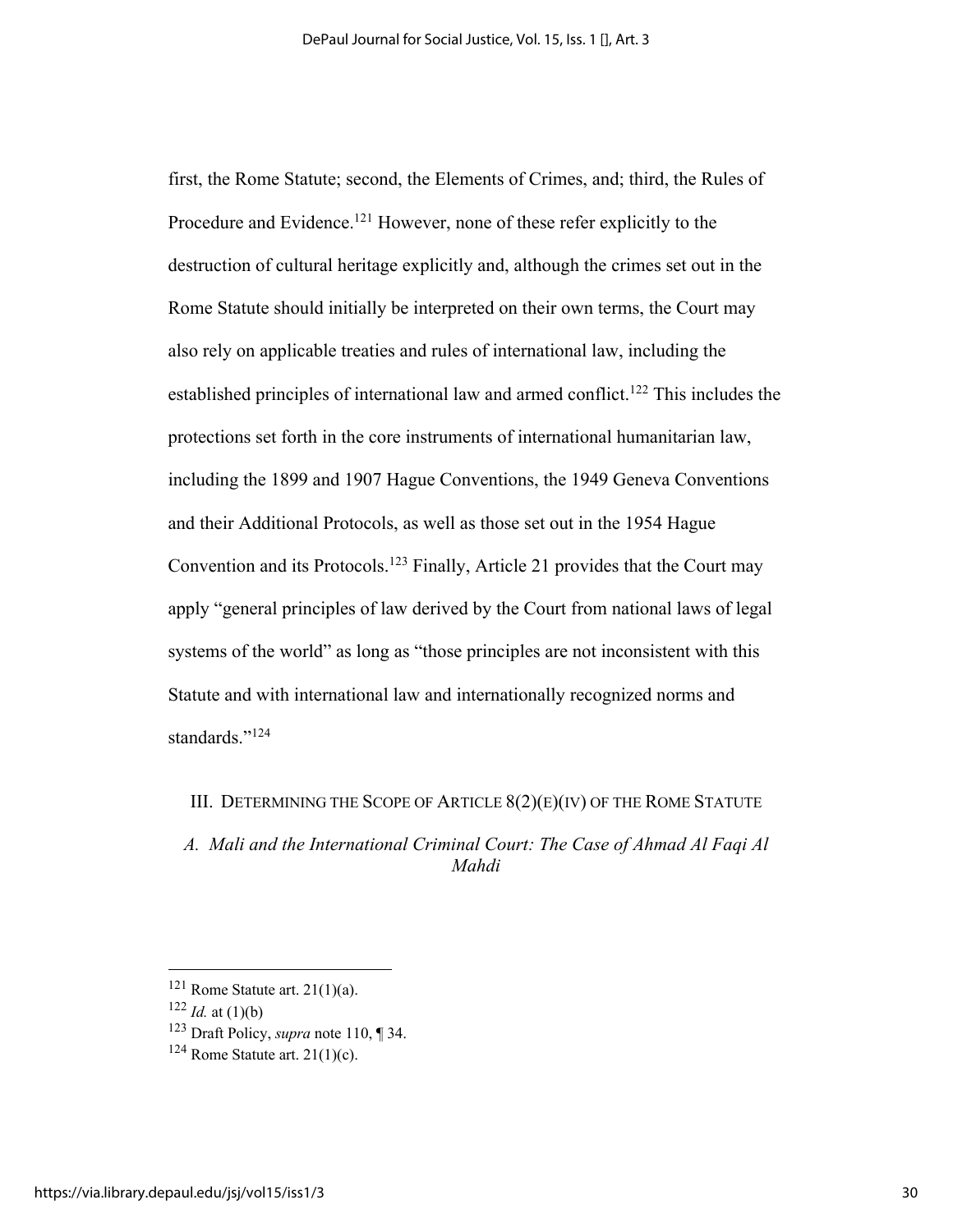first, the Rome Statute; second, the Elements of Crimes, and; third, the Rules of Procedure and Evidence.<sup>121</sup> However, none of these refer explicitly to the destruction of cultural heritage explicitly and, although the crimes set out in the Rome Statute should initially be interpreted on their own terms, the Court may also rely on applicable treaties and rules of international law, including the established principles of international law and armed conflict.<sup>122</sup> This includes the protections set forth in the core instruments of international humanitarian law, including the 1899 and 1907 Hague Conventions, the 1949 Geneva Conventions and their Additional Protocols, as well as those set out in the 1954 Hague Convention and its Protocols.123 Finally, Article 21 provides that the Court may apply "general principles of law derived by the Court from national laws of legal systems of the world" as long as "those principles are not inconsistent with this Statute and with international law and internationally recognized norms and standards."<sup>124</sup>

III. DETERMINING THE SCOPE OF ARTICLE 8(2)(E)(IV) OF THE ROME STATUTE

*A. Mali and the International Criminal Court: The Case of Ahmad Al Faqi Al Mahdi*

<sup>121</sup> Rome Statute art. 21(1)(a). 122 *Id.* at (1)(b)

<sup>123</sup> Draft Policy, *supra* note 110, ¶ 34.

 $124$  Rome Statute art. 21(1)(c).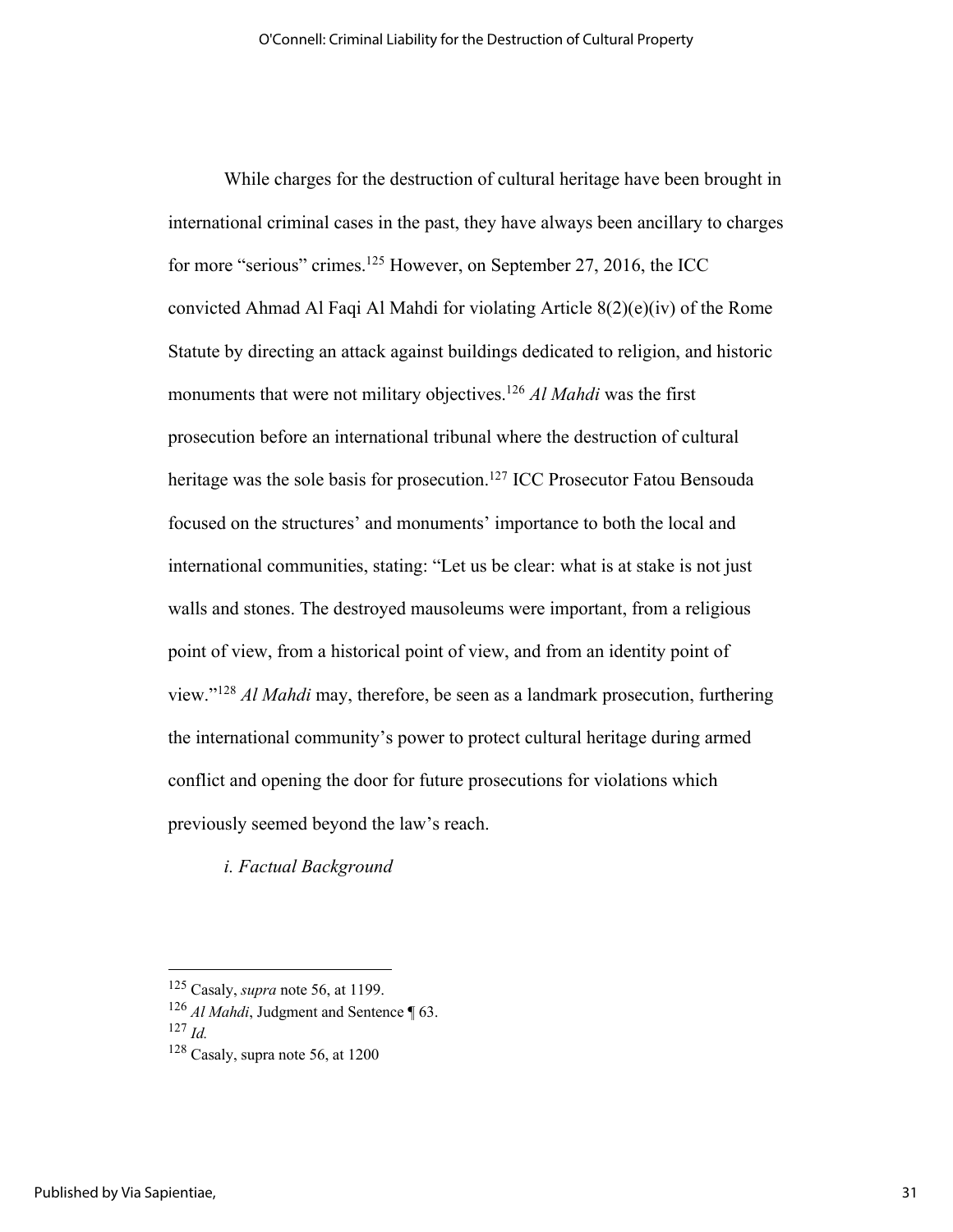While charges for the destruction of cultural heritage have been brought in international criminal cases in the past, they have always been ancillary to charges for more "serious" crimes.<sup>125</sup> However, on September 27, 2016, the ICC convicted Ahmad Al Faqi Al Mahdi for violating Article 8(2)(e)(iv) of the Rome Statute by directing an attack against buildings dedicated to religion, and historic monuments that were not military objectives.126 *Al Mahdi* was the first prosecution before an international tribunal where the destruction of cultural heritage was the sole basis for prosecution.<sup>127</sup> ICC Prosecutor Fatou Bensouda focused on the structures' and monuments' importance to both the local and international communities, stating: "Let us be clear: what is at stake is not just walls and stones. The destroyed mausoleums were important, from a religious point of view, from a historical point of view, and from an identity point of view."128 *Al Mahdi* may, therefore, be seen as a landmark prosecution, furthering the international community's power to protect cultural heritage during armed conflict and opening the door for future prosecutions for violations which previously seemed beyond the law's reach.

*i. Factual Background* 

<sup>125</sup> Casaly, *supra* note 56, at 1199.

<sup>&</sup>lt;sup>126</sup> *Al Mahdi*, Judgment and Sentence ¶ 63.

<sup>127</sup> *Id.*

 $128$  Casaly, supra note 56, at 1200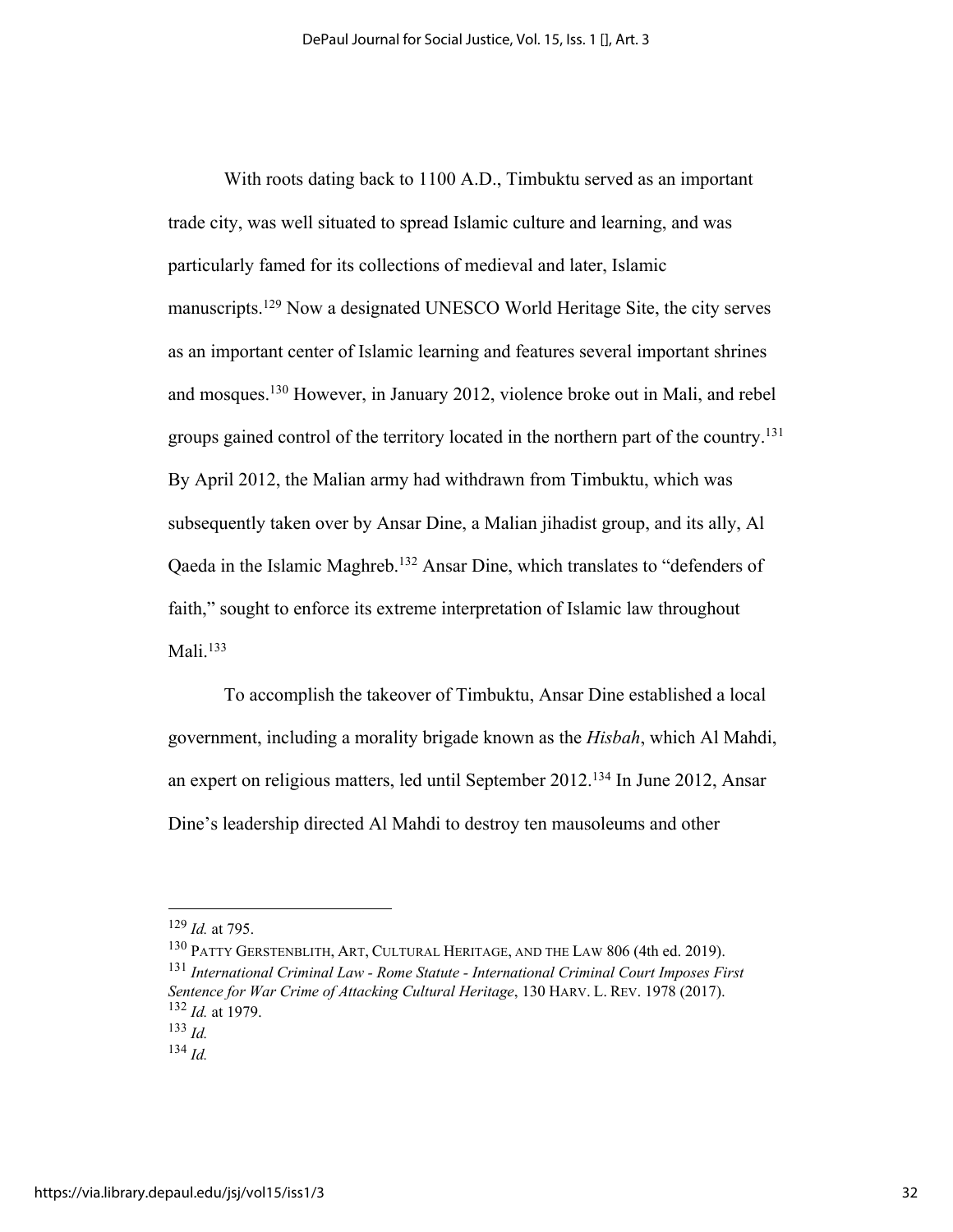With roots dating back to 1100 A.D., Timbuktu served as an important trade city, was well situated to spread Islamic culture and learning, and was particularly famed for its collections of medieval and later, Islamic manuscripts.<sup>129</sup> Now a designated UNESCO World Heritage Site, the city serves as an important center of Islamic learning and features several important shrines and mosques.130 However, in January 2012, violence broke out in Mali, and rebel groups gained control of the territory located in the northern part of the country.<sup>131</sup> By April 2012, the Malian army had withdrawn from Timbuktu, which was subsequently taken over by Ansar Dine, a Malian jihadist group, and its ally, Al Qaeda in the Islamic Maghreb.132 Ansar Dine, which translates to "defenders of faith," sought to enforce its extreme interpretation of Islamic law throughout Mali. $133$ 

To accomplish the takeover of Timbuktu, Ansar Dine established a local government, including a morality brigade known as the *Hisbah*, which Al Mahdi, an expert on religious matters, led until September 2012.134 In June 2012, Ansar Dine's leadership directed Al Mahdi to destroy ten mausoleums and other

<sup>129</sup> *Id.* at 795.

<sup>130</sup> PATTY GERSTENBLITH, ART, CULTURAL HERITAGE, AND THE LAW 806 (4th ed. 2019). <sup>131</sup> *International Criminal Law - Rome Statute - International Criminal Court Imposes First Sentence for War Crime of Attacking Cultural Heritage*, 130 HARV. L. REV. 1978 (2017). <sup>132</sup> *Id.* at 1979.

<sup>133</sup> *Id.*

<sup>134</sup> *Id.*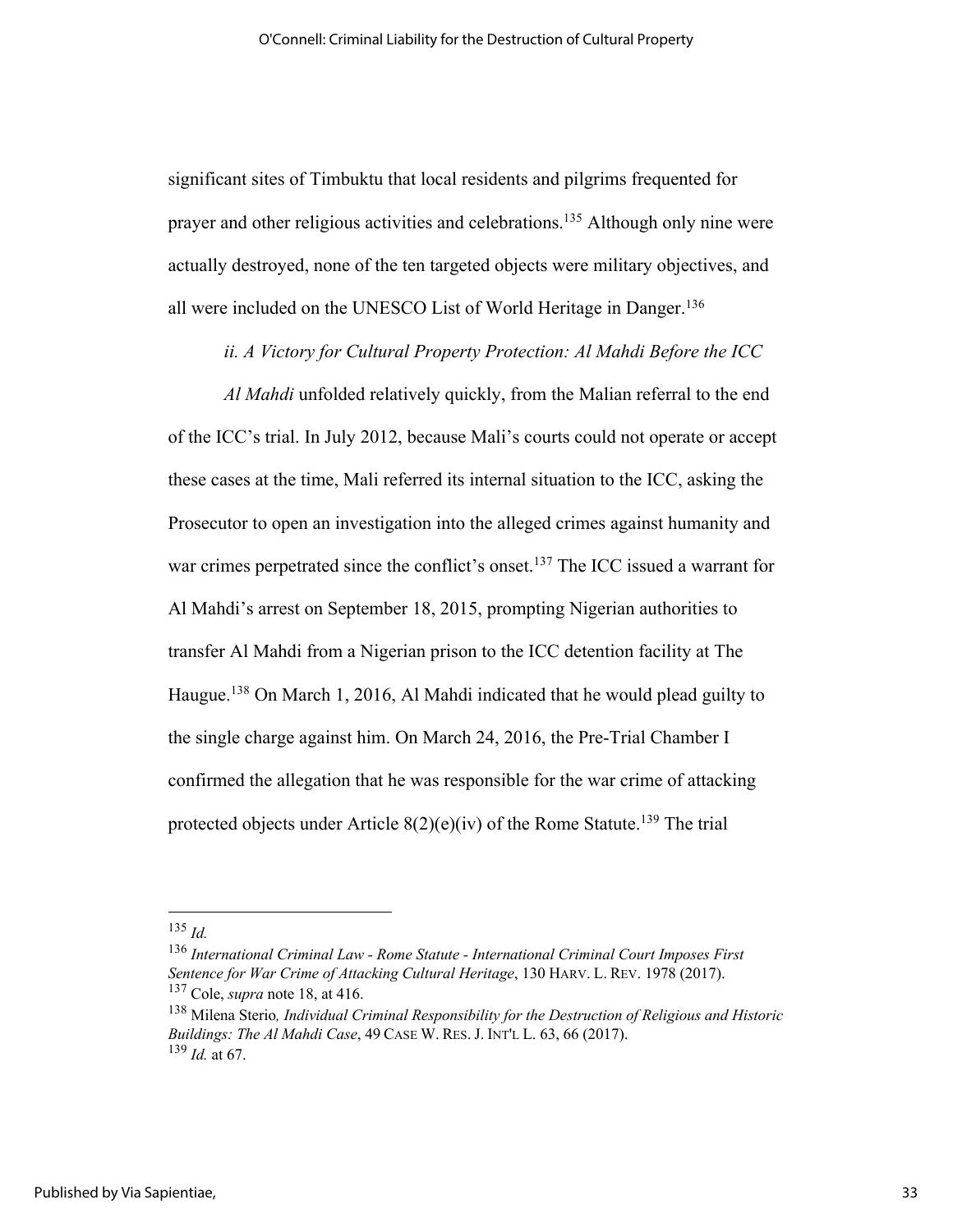significant sites of Timbuktu that local residents and pilgrims frequented for prayer and other religious activities and celebrations.135 Although only nine were actually destroyed, none of the ten targeted objects were military objectives, and all were included on the UNESCO List of World Heritage in Danger.<sup>136</sup>

*ii. A Victory for Cultural Property Protection: Al Mahdi Before the ICC*

*Al Mahdi* unfolded relatively quickly, from the Malian referral to the end of the ICC's trial. In July 2012, because Mali's courts could not operate or accept these cases at the time, Mali referred its internal situation to the ICC, asking the Prosecutor to open an investigation into the alleged crimes against humanity and war crimes perpetrated since the conflict's onset. <sup>137</sup> The ICC issued a warrant for Al Mahdi's arrest on September 18, 2015, prompting Nigerian authorities to transfer Al Mahdi from a Nigerian prison to the ICC detention facility at The Haugue.<sup>138</sup> On March 1, 2016, Al Mahdi indicated that he would plead guilty to the single charge against him. On March 24, 2016, the Pre-Trial Chamber I confirmed the allegation that he was responsible for the war crime of attacking protected objects under Article  $8(2)(e)(iv)$  of the Rome Statute.<sup>139</sup> The trial

<sup>135</sup> *Id.*

<sup>136</sup> *International Criminal Law - Rome Statute - International Criminal Court Imposes First Sentence for War Crime of Attacking Cultural Heritage*, 130 HARV. L. REV. 1978 (2017). <sup>137</sup> Cole, *supra* note 18, at 416.

<sup>138</sup> Milena Sterio*, Individual Criminal Responsibility for the Destruction of Religious and Historic Buildings: The Al Mahdi Case*, 49 CASE W. RES. J. INT'L L. 63, 66 (2017). <sup>139</sup> *Id.* at 67.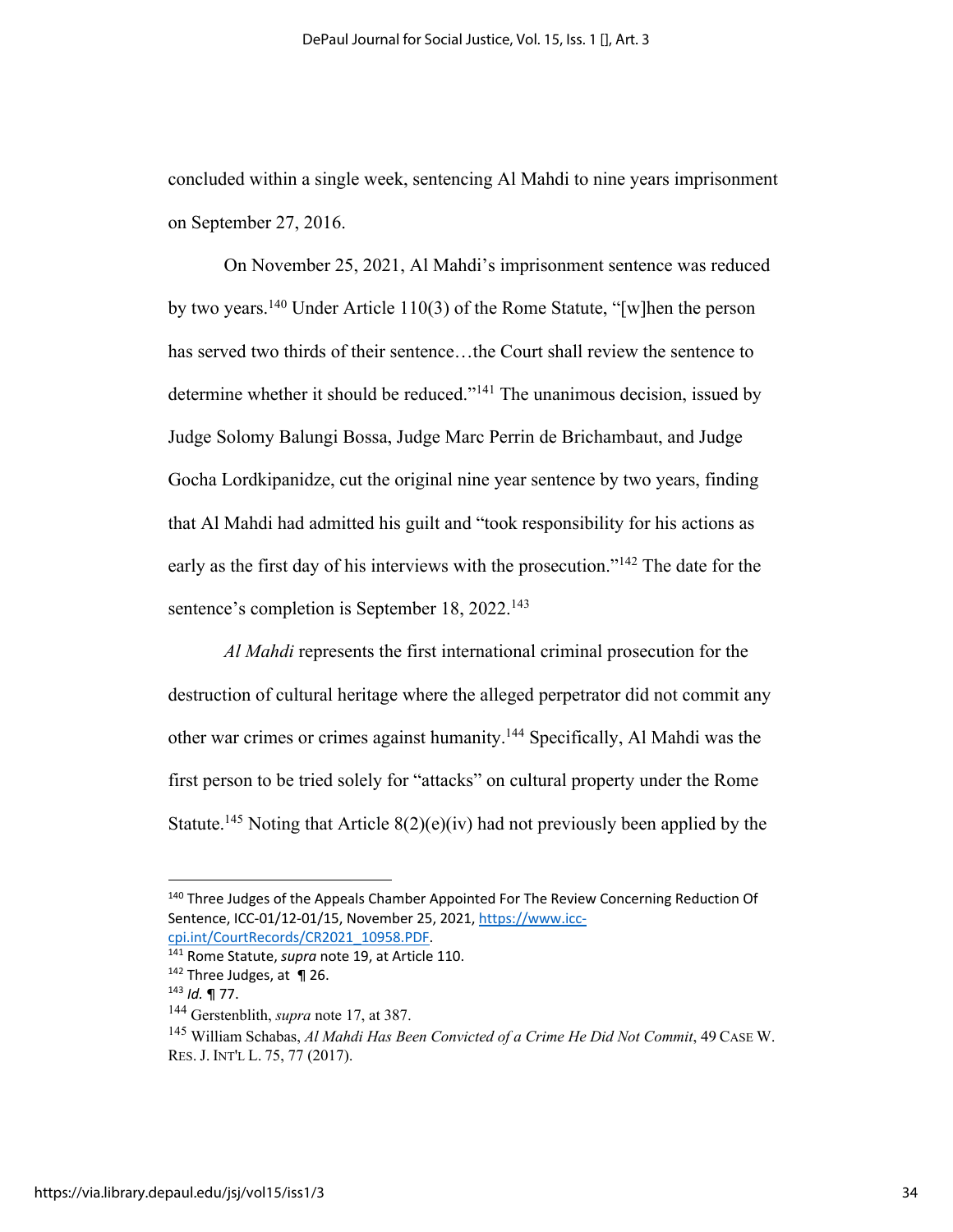concluded within a single week, sentencing Al Mahdi to nine years imprisonment on September 27, 2016.

On November 25, 2021, Al Mahdi's imprisonment sentence was reduced by two years.<sup>140</sup> Under Article 110(3) of the Rome Statute, "[w]hen the person has served two thirds of their sentence…the Court shall review the sentence to determine whether it should be reduced."141 The unanimous decision, issued by Judge Solomy Balungi Bossa, Judge Marc Perrin de Brichambaut, and Judge Gocha Lordkipanidze, cut the original nine year sentence by two years, finding that Al Mahdi had admitted his guilt and "took responsibility for his actions as early as the first day of his interviews with the prosecution."142 The date for the sentence's completion is September 18, 2022.<sup>143</sup>

*Al Mahdi* represents the first international criminal prosecution for the destruction of cultural heritage where the alleged perpetrator did not commit any other war crimes or crimes against humanity.144 Specifically, Al Mahdi was the first person to be tried solely for "attacks" on cultural property under the Rome Statute.<sup>145</sup> Noting that Article  $8(2)(e)(iv)$  had not previously been applied by the

<sup>&</sup>lt;sup>140</sup> Three Judges of the Appeals Chamber Appointed For The Review Concerning Reduction Of Sentence, ICC-01/12-01/15, November 25, 2021, https://www.icc-

cpi.int/CourtRecords/CR2021\_10958.PDF. 141 Rome Statute, *supra* note 19, at Article 110. 142 Three Judges, at ¶ 26.

<sup>143</sup> *Id.* ¶ 77.

<sup>144</sup> Gerstenblith, *supra* note 17, at 387.

<sup>145</sup> William Schabas, *Al Mahdi Has Been Convicted of a Crime He Did Not Commit*, 49 CASE W. RES. J. INT'L L. 75, 77 (2017).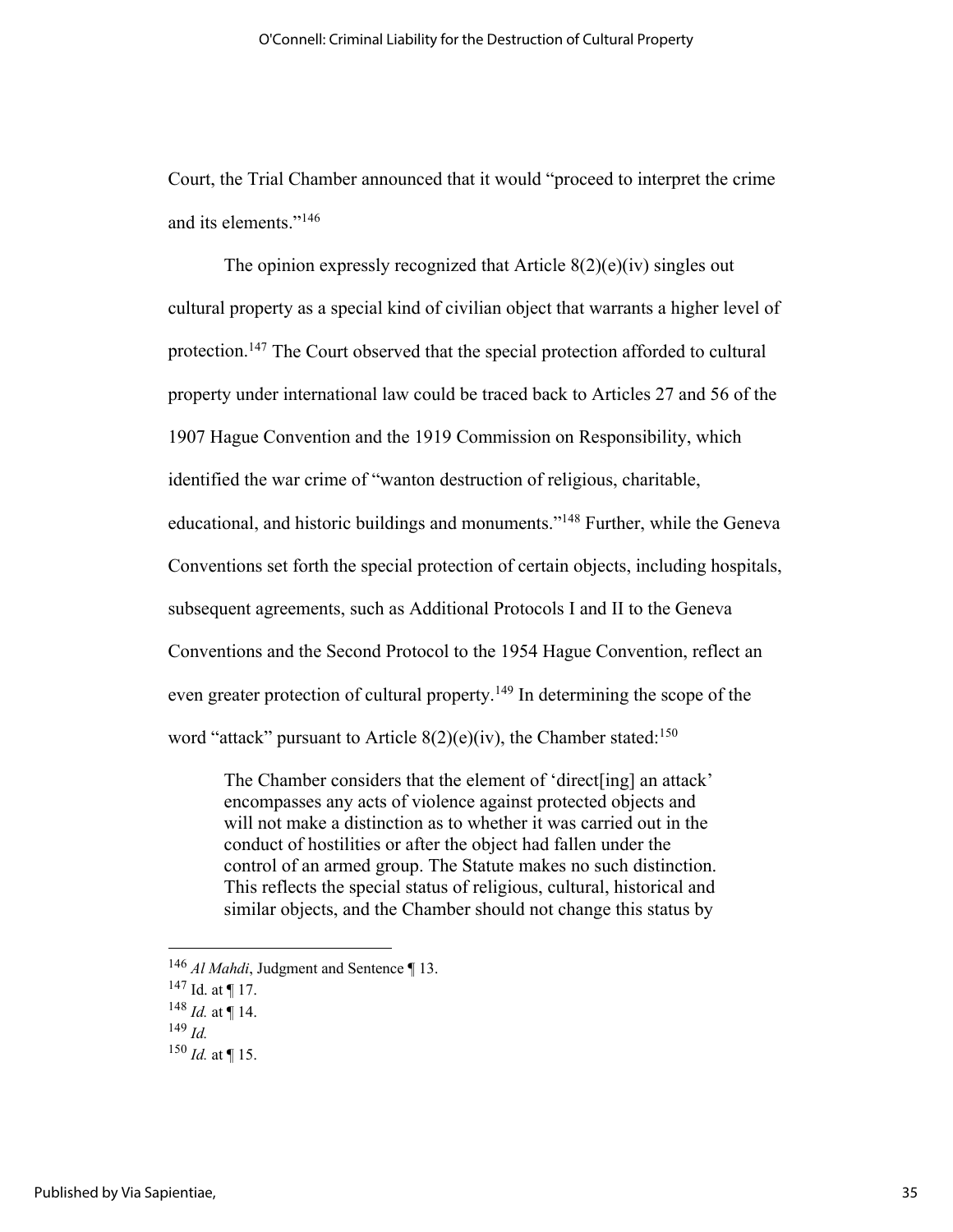Court, the Trial Chamber announced that it would "proceed to interpret the crime and its elements."146

The opinion expressly recognized that Article  $8(2)(e)(iv)$  singles out cultural property as a special kind of civilian object that warrants a higher level of protection.<sup>147</sup> The Court observed that the special protection afforded to cultural property under international law could be traced back to Articles 27 and 56 of the 1907 Hague Convention and the 1919 Commission on Responsibility, which identified the war crime of "wanton destruction of religious, charitable, educational, and historic buildings and monuments."<sup>148</sup> Further, while the Geneva Conventions set forth the special protection of certain objects, including hospitals, subsequent agreements, such as Additional Protocols I and II to the Geneva Conventions and the Second Protocol to the 1954 Hague Convention, reflect an even greater protection of cultural property.<sup>149</sup> In determining the scope of the word "attack" pursuant to Article  $8(2)(e)(iv)$ , the Chamber stated:<sup>150</sup>

The Chamber considers that the element of 'direct[ing] an attack' encompasses any acts of violence against protected objects and will not make a distinction as to whether it was carried out in the conduct of hostilities or after the object had fallen under the control of an armed group. The Statute makes no such distinction. This reflects the special status of religious, cultural, historical and similar objects, and the Chamber should not change this status by

- <sup>146</sup> *Al Mahdi*, Judgment and Sentence ¶ 13.
- $147$  Id. at ¶ 17.
- $148$  *Id.* at ¶ 14.
- <sup>149</sup> *Id.*
- $150$  *Id.* at  $\P$  15.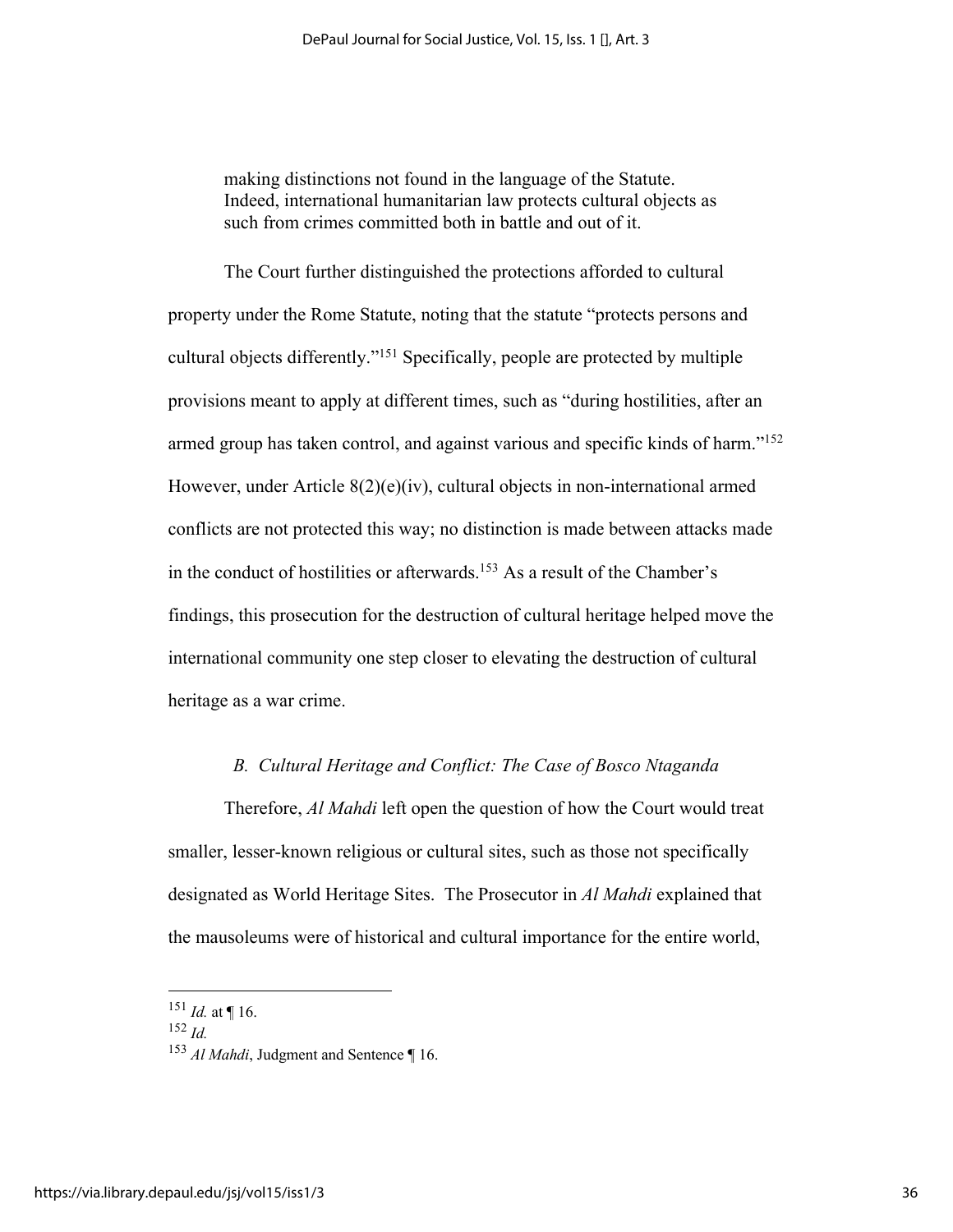making distinctions not found in the language of the Statute. Indeed, international humanitarian law protects cultural objects as such from crimes committed both in battle and out of it.

The Court further distinguished the protections afforded to cultural property under the Rome Statute, noting that the statute "protects persons and cultural objects differently."151 Specifically, people are protected by multiple provisions meant to apply at different times, such as "during hostilities, after an armed group has taken control, and against various and specific kinds of harm."<sup>152</sup> However, under Article 8(2)(e)(iv), cultural objects in non-international armed conflicts are not protected this way; no distinction is made between attacks made in the conduct of hostilities or afterwards.<sup>153</sup> As a result of the Chamber's findings, this prosecution for the destruction of cultural heritage helped move the international community one step closer to elevating the destruction of cultural heritage as a war crime.

## *B. Cultural Heritage and Conflict: The Case of Bosco Ntaganda*

Therefore, *Al Mahdi* left open the question of how the Court would treat smaller, lesser-known religious or cultural sites, such as those not specifically designated as World Heritage Sites. The Prosecutor in *Al Mahdi* explained that the mausoleums were of historical and cultural importance for the entire world,

 $^{151}$  *Id.* at ¶ 16.

<sup>152</sup> *Id.*

<sup>153</sup> *Al Mahdi*, Judgment and Sentence ¶ 16.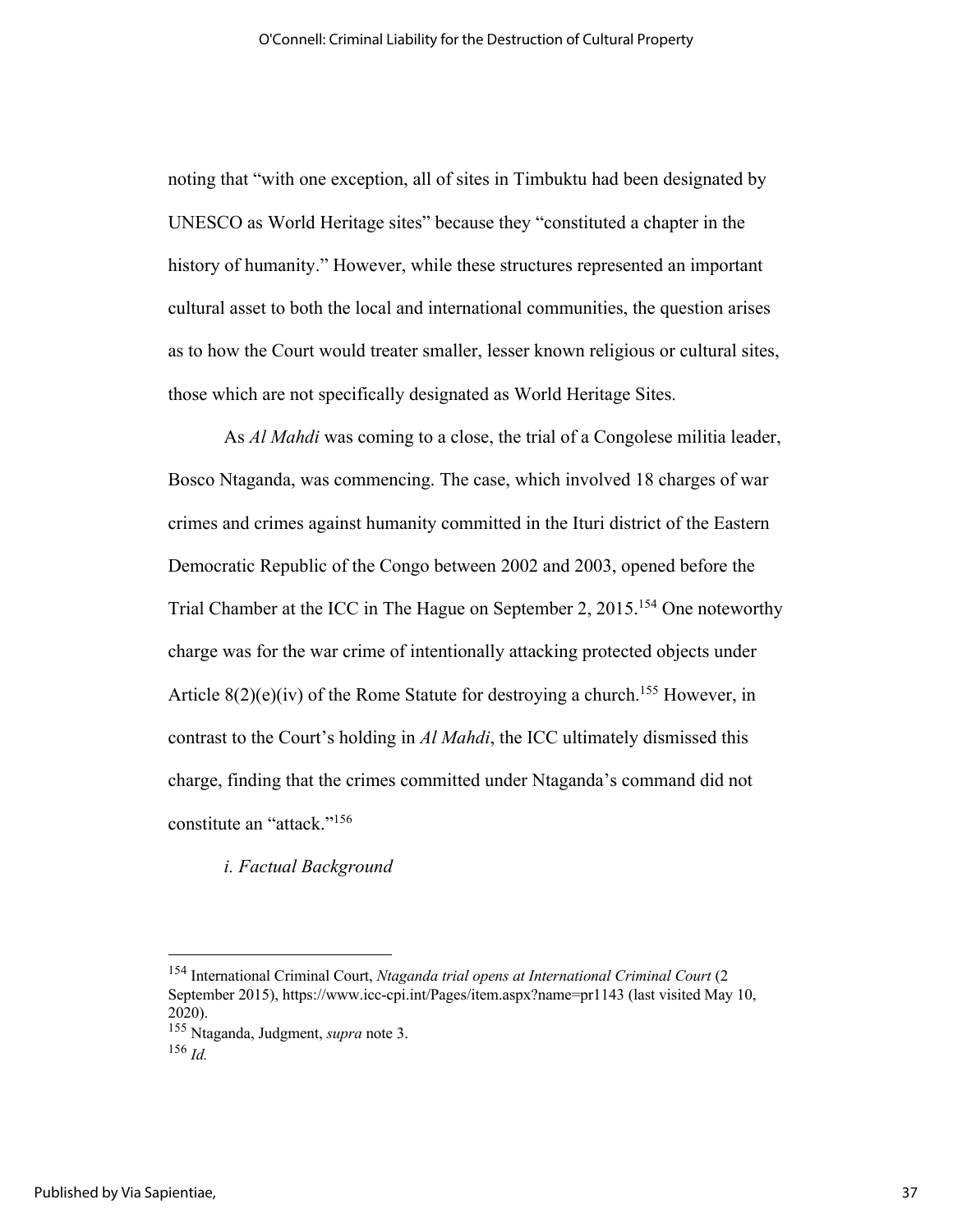noting that "with one exception, all of sites in Timbuktu had been designated by UNESCO as World Heritage sites" because they "constituted a chapter in the history of humanity." However, while these structures represented an important cultural asset to both the local and international communities, the question arises as to how the Court would treater smaller, lesser known religious or cultural sites, those which are not specifically designated as World Heritage Sites.

As *Al Mahdi* was coming to a close, the trial of a Congolese militia leader, Bosco Ntaganda, was commencing. The case, which involved 18 charges of war crimes and crimes against humanity committed in the Ituri district of the Eastern Democratic Republic of the Congo between 2002 and 2003, opened before the Trial Chamber at the ICC in The Hague on September 2, 2015.<sup>154</sup> One noteworthy charge was for the war crime of intentionally attacking protected objects under Article  $8(2)(e)(iv)$  of the Rome Statute for destroying a church.<sup>155</sup> However, in contrast to the Court's holding in *Al Mahdi*, the ICC ultimately dismissed this charge, finding that the crimes committed under Ntaganda's command did not constitute an "attack."156

*i. Factual Background* 

<sup>154</sup> International Criminal Court, *Ntaganda trial opens at International Criminal Court* (2 September 2015), https://www.icc-cpi.int/Pages/item.aspx?name=pr1143 (last visited May 10, 2020).

<sup>155</sup> Ntaganda, Judgment, *supra* note 3.

<sup>156</sup> *Id.*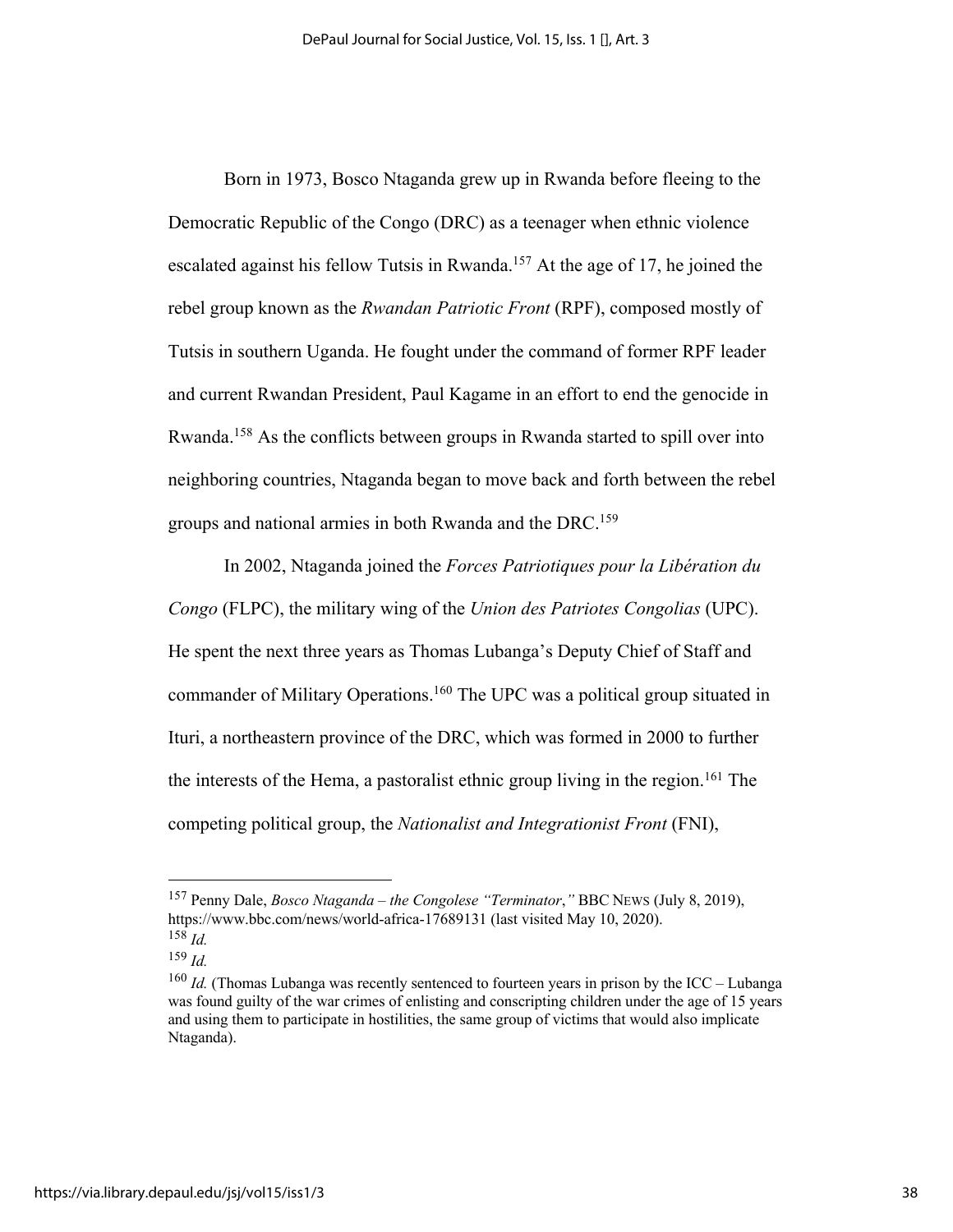Born in 1973, Bosco Ntaganda grew up in Rwanda before fleeing to the Democratic Republic of the Congo (DRC) as a teenager when ethnic violence escalated against his fellow Tutsis in Rwanda.<sup>157</sup> At the age of 17, he joined the rebel group known as the *Rwandan Patriotic Front* (RPF), composed mostly of Tutsis in southern Uganda. He fought under the command of former RPF leader and current Rwandan President, Paul Kagame in an effort to end the genocide in Rwanda.158 As the conflicts between groups in Rwanda started to spill over into neighboring countries, Ntaganda began to move back and forth between the rebel groups and national armies in both Rwanda and the DRC.159

In 2002, Ntaganda joined the *Forces Patriotiques pour la Libération du Congo* (FLPC), the military wing of the *Union des Patriotes Congolias* (UPC). He spent the next three years as Thomas Lubanga's Deputy Chief of Staff and commander of Military Operations.160 The UPC was a political group situated in Ituri, a northeastern province of the DRC, which was formed in 2000 to further the interests of the Hema, a pastoralist ethnic group living in the region.161 The competing political group, the *Nationalist and Integrationist Front* (FNI),

<sup>157</sup> Penny Dale, *Bosco Ntaganda – the Congolese "Terminator*,*"* BBC NEWS (July 8, 2019), https://www.bbc.com/news/world-africa-17689131 (last visited May 10, 2020). <sup>158</sup> *Id.*

<sup>159</sup> *Id.*

<sup>&</sup>lt;sup>160</sup> *Id.* (Thomas Lubanga was recently sentenced to fourteen years in prison by the ICC – Lubanga was found guilty of the war crimes of enlisting and conscripting children under the age of 15 years and using them to participate in hostilities, the same group of victims that would also implicate Ntaganda).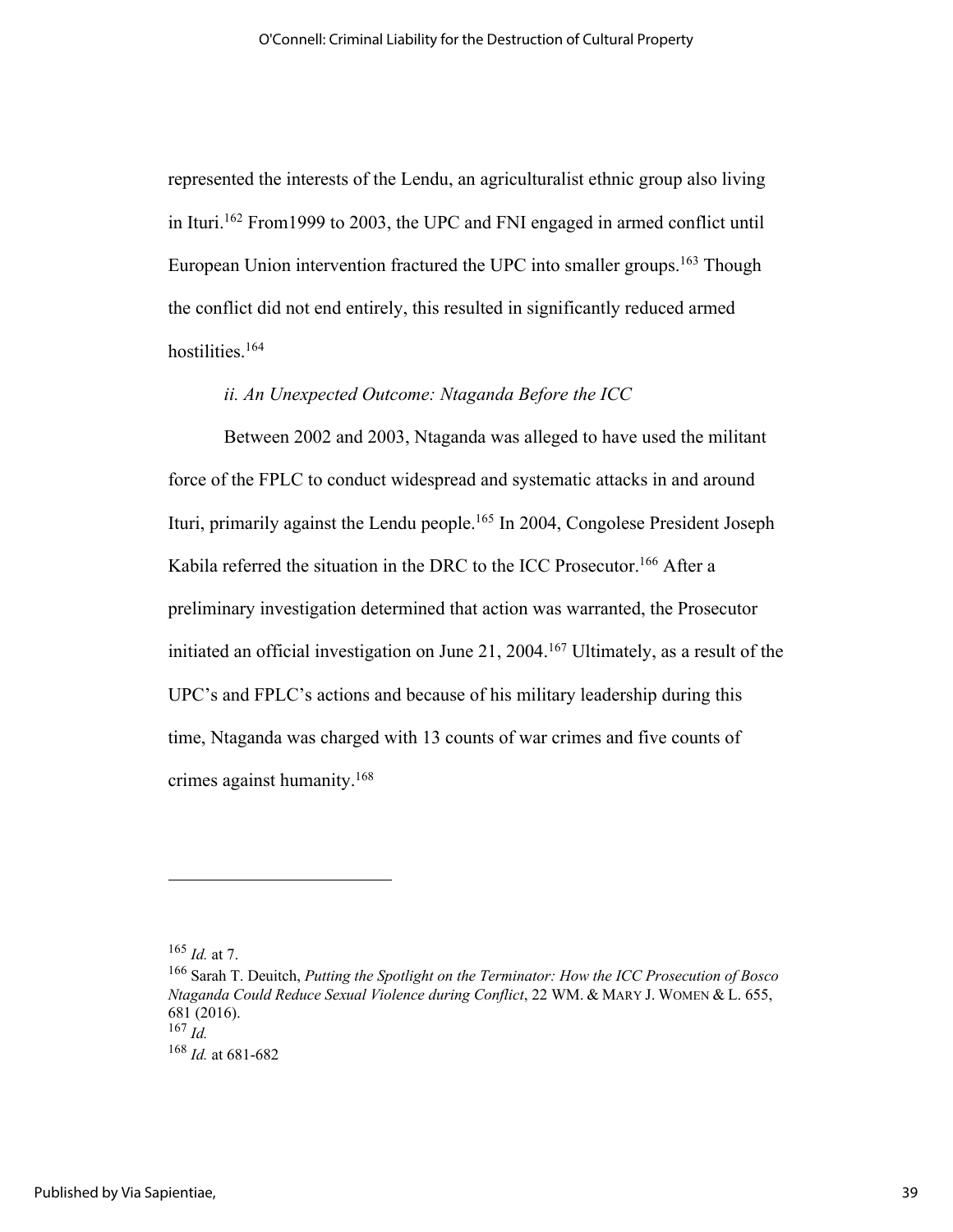represented the interests of the Lendu, an agriculturalist ethnic group also living in Ituri.162 From1999 to 2003, the UPC and FNI engaged in armed conflict until European Union intervention fractured the UPC into smaller groups.<sup>163</sup> Though the conflict did not end entirely, this resulted in significantly reduced armed hostilities.164

## *ii. An Unexpected Outcome: Ntaganda Before the ICC*

Between 2002 and 2003, Ntaganda was alleged to have used the militant force of the FPLC to conduct widespread and systematic attacks in and around Ituri, primarily against the Lendu people.165 In 2004, Congolese President Joseph Kabila referred the situation in the DRC to the ICC Prosecutor.<sup>166</sup> After a preliminary investigation determined that action was warranted, the Prosecutor initiated an official investigation on June 21, 2004.<sup>167</sup> Ultimately, as a result of the UPC's and FPLC's actions and because of his military leadership during this time, Ntaganda was charged with 13 counts of war crimes and five counts of crimes against humanity.168

 $165$  *Id.* at 7.

<sup>166</sup> Sarah T. Deuitch, *Putting the Spotlight on the Terminator: How the ICC Prosecution of Bosco Ntaganda Could Reduce Sexual Violence during Conflict*, 22 WM. & MARY J. WOMEN & L. 655, 681 (2016).  $167 \dot{Id}$ 

<sup>168</sup> *Id.* at 681-682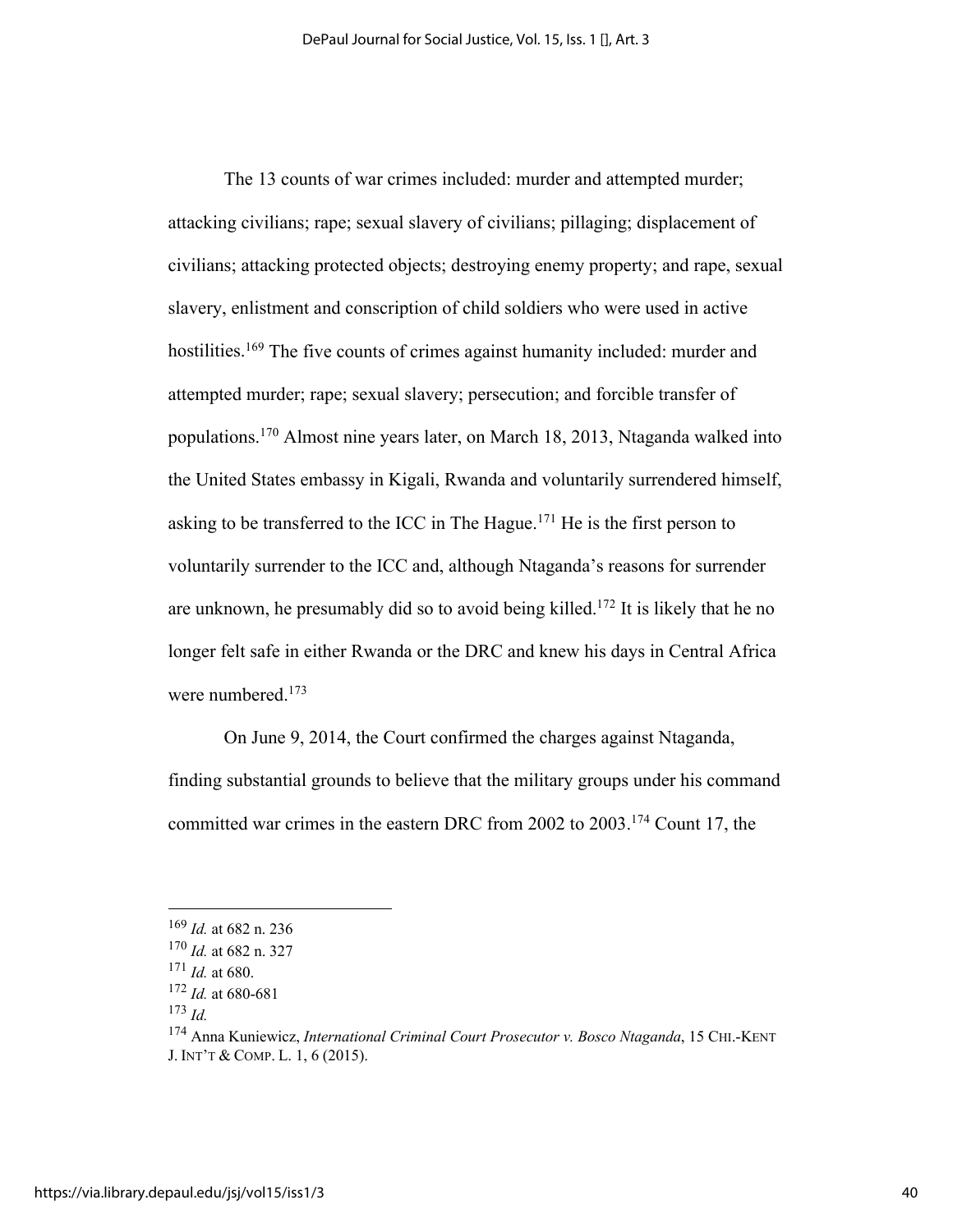The 13 counts of war crimes included: murder and attempted murder; attacking civilians; rape; sexual slavery of civilians; pillaging; displacement of civilians; attacking protected objects; destroying enemy property; and rape, sexual slavery, enlistment and conscription of child soldiers who were used in active hostilities.<sup>169</sup> The five counts of crimes against humanity included: murder and attempted murder; rape; sexual slavery; persecution; and forcible transfer of populations.170 Almost nine years later, on March 18, 2013, Ntaganda walked into the United States embassy in Kigali, Rwanda and voluntarily surrendered himself, asking to be transferred to the ICC in The Hague.<sup>171</sup> He is the first person to voluntarily surrender to the ICC and, although Ntaganda's reasons for surrender are unknown, he presumably did so to avoid being killed.172 It is likely that he no longer felt safe in either Rwanda or the DRC and knew his days in Central Africa were numbered.<sup>173</sup>

On June 9, 2014, the Court confirmed the charges against Ntaganda, finding substantial grounds to believe that the military groups under his command committed war crimes in the eastern DRC from 2002 to 2003.174 Count 17, the

<sup>169</sup> *Id.* at 682 n. 236

<sup>170</sup> *Id.* at 682 n. 327

<sup>171</sup> *Id.* at 680.

<sup>172</sup> *Id.* at 680-681

<sup>173</sup> *Id.* 174 Anna Kuniewicz, *International Criminal Court Prosecutor v. Bosco Ntaganda*, 15 CHI.-KENT J. INT'T & COMP. L. 1, 6 (2015).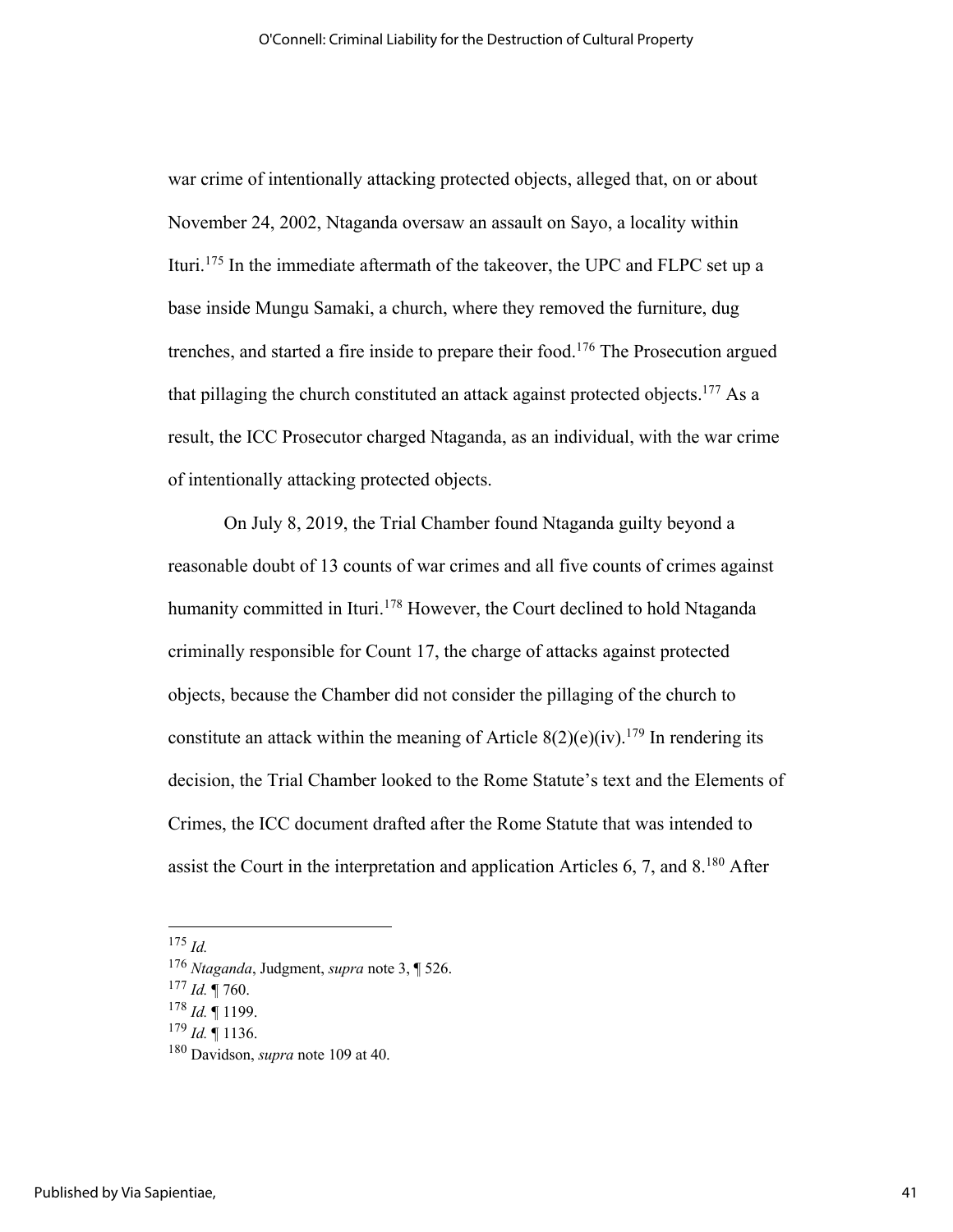war crime of intentionally attacking protected objects, alleged that, on or about November 24, 2002, Ntaganda oversaw an assault on Sayo, a locality within Ituri.175 In the immediate aftermath of the takeover, the UPC and FLPC set up a base inside Mungu Samaki, a church, where they removed the furniture, dug trenches, and started a fire inside to prepare their food.176 The Prosecution argued that pillaging the church constituted an attack against protected objects.<sup>177</sup> As a result, the ICC Prosecutor charged Ntaganda, as an individual, with the war crime of intentionally attacking protected objects.

On July 8, 2019, the Trial Chamber found Ntaganda guilty beyond a reasonable doubt of 13 counts of war crimes and all five counts of crimes against humanity committed in Ituri.<sup>178</sup> However, the Court declined to hold Ntaganda criminally responsible for Count 17, the charge of attacks against protected objects, because the Chamber did not consider the pillaging of the church to constitute an attack within the meaning of Article  $8(2)(e)(iv)$ .<sup>179</sup> In rendering its decision, the Trial Chamber looked to the Rome Statute's text and the Elements of Crimes, the ICC document drafted after the Rome Statute that was intended to assist the Court in the interpretation and application Articles  $6, 7$ , and  $8.^{180}$  After

 $175$  *Id.* 

<sup>176</sup> *Ntaganda*, Judgment, *supra* note 3, ¶ 526.

<sup>177</sup> *Id.* ¶ 760.

<sup>178</sup> *Id.* ¶ 1199.

 $179$  *Id.* 1136.

<sup>180</sup> Davidson, *supra* note 109 at 40.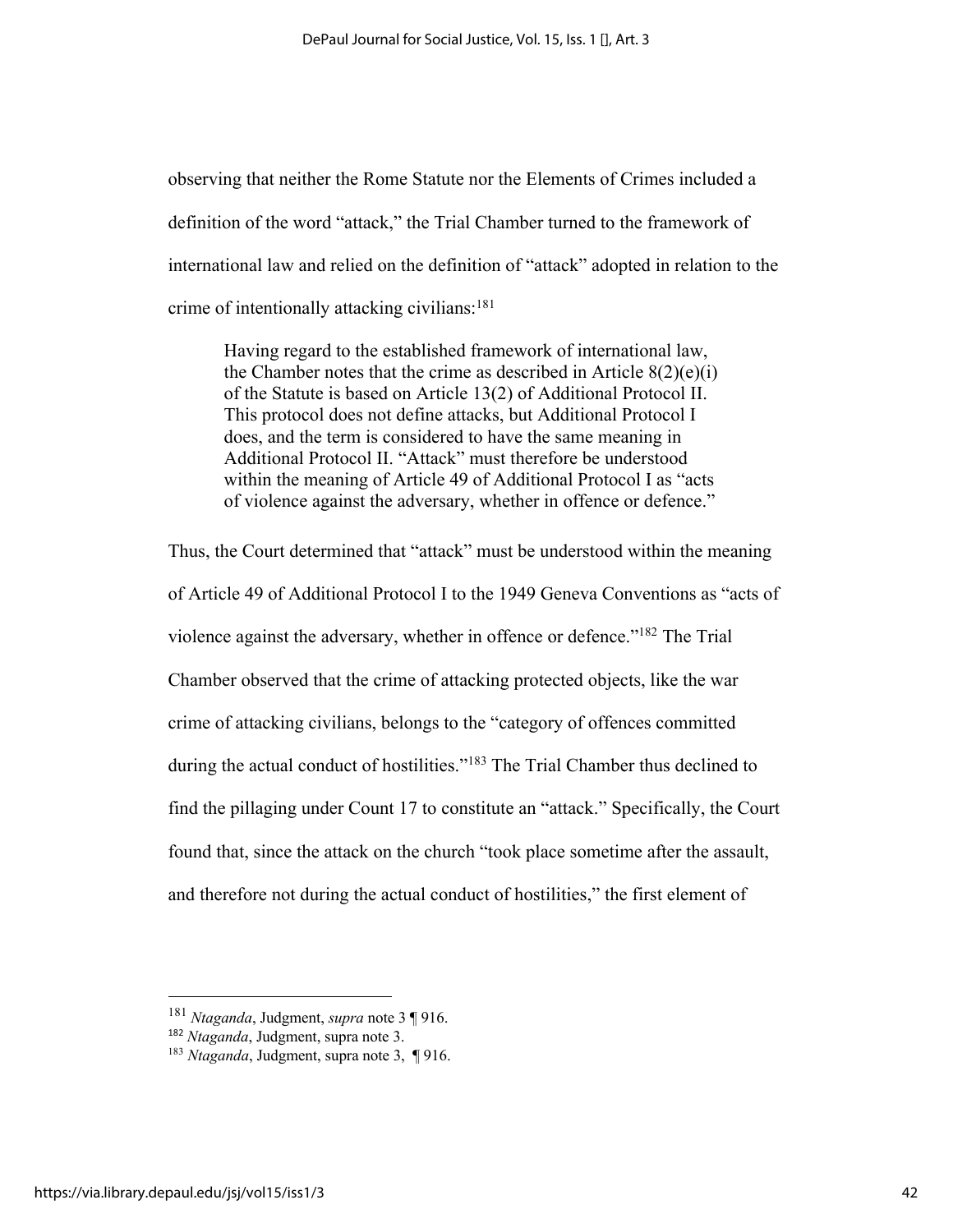observing that neither the Rome Statute nor the Elements of Crimes included a definition of the word "attack," the Trial Chamber turned to the framework of international law and relied on the definition of "attack" adopted in relation to the crime of intentionally attacking civilians:<sup>181</sup>

Having regard to the established framework of international law, the Chamber notes that the crime as described in Article  $8(2)(e)(i)$ of the Statute is based on Article 13(2) of Additional Protocol II. This protocol does not define attacks, but Additional Protocol I does, and the term is considered to have the same meaning in Additional Protocol II. "Attack" must therefore be understood within the meaning of Article 49 of Additional Protocol I as "acts of violence against the adversary, whether in offence or defence."

Thus, the Court determined that "attack" must be understood within the meaning of Article 49 of Additional Protocol I to the 1949 Geneva Conventions as "acts of violence against the adversary, whether in offence or defence."182 The Trial Chamber observed that the crime of attacking protected objects, like the war crime of attacking civilians, belongs to the "category of offences committed during the actual conduct of hostilities."<sup>183</sup> The Trial Chamber thus declined to find the pillaging under Count 17 to constitute an "attack." Specifically, the Court found that, since the attack on the church "took place sometime after the assault, and therefore not during the actual conduct of hostilities," the first element of

<sup>181</sup> *Ntaganda*, Judgment, *supra* note 3 ¶ 916.

<sup>182</sup> *Ntaganda*, Judgment, supra note 3.

<sup>183</sup> *Ntaganda*, Judgment, supra note 3, ¶ 916.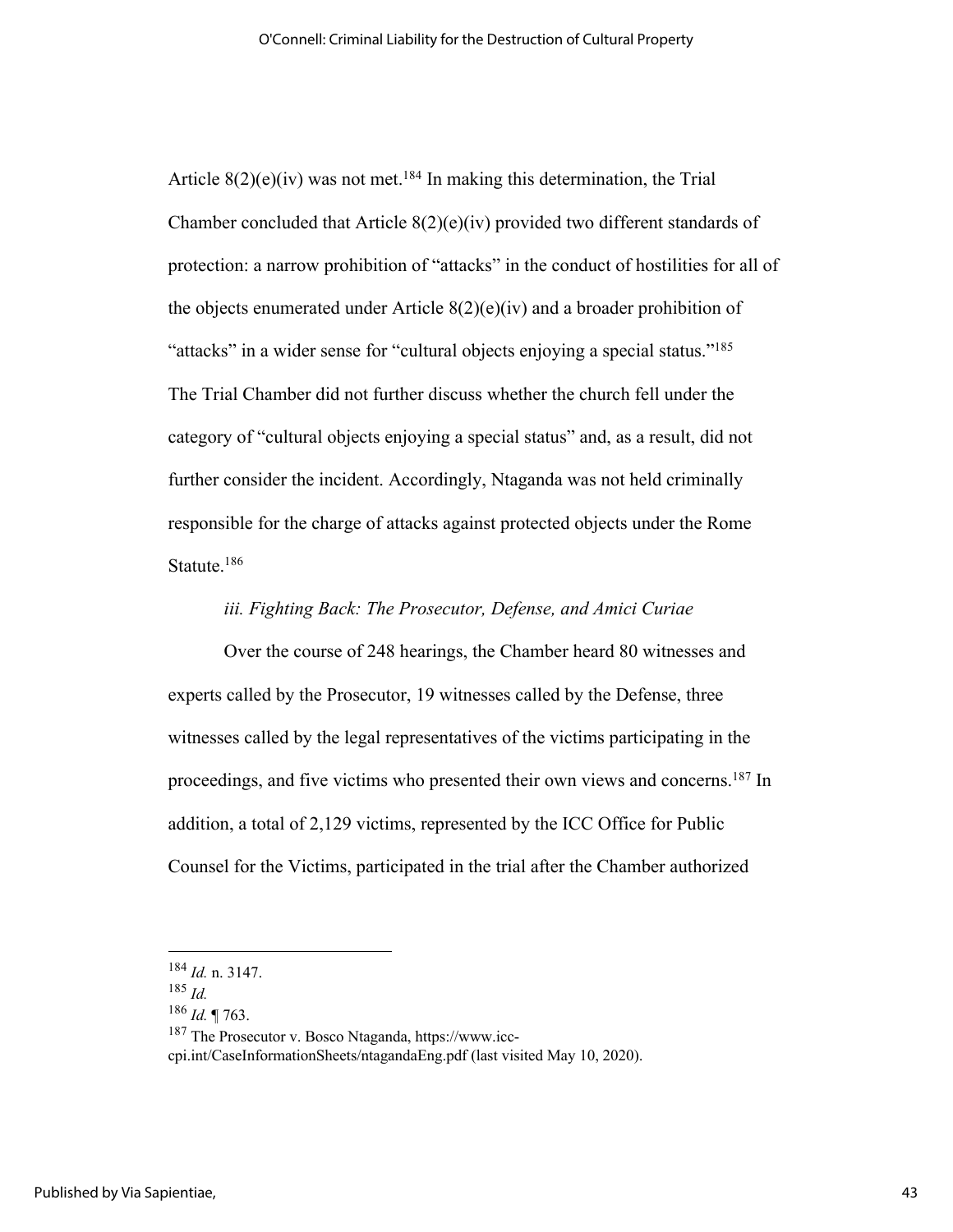Article  $8(2)(e)(iv)$  was not met.<sup>184</sup> In making this determination, the Trial Chamber concluded that Article 8(2)(e)(iv) provided two different standards of protection: a narrow prohibition of "attacks" in the conduct of hostilities for all of the objects enumerated under Article  $8(2)(e)(iv)$  and a broader prohibition of "attacks" in a wider sense for "cultural objects enjoying a special status."<sup>185</sup> The Trial Chamber did not further discuss whether the church fell under the category of "cultural objects enjoying a special status" and, as a result, did not further consider the incident. Accordingly, Ntaganda was not held criminally responsible for the charge of attacks against protected objects under the Rome Statute.<sup>186</sup>

## *iii. Fighting Back: The Prosecutor, Defense, and Amici Curiae*

Over the course of 248 hearings, the Chamber heard 80 witnesses and experts called by the Prosecutor, 19 witnesses called by the Defense, three witnesses called by the legal representatives of the victims participating in the proceedings, and five victims who presented their own views and concerns.187 In addition, a total of 2,129 victims, represented by the ICC Office for Public Counsel for the Victims, participated in the trial after the Chamber authorized

cpi.int/CaseInformationSheets/ntagandaEng.pdf (last visited May 10, 2020).

<sup>184</sup> *Id.* n. 3147.

<sup>185</sup> *Id.*

<sup>186</sup> *Id.* ¶ 763.

<sup>187</sup> The Prosecutor v. Bosco Ntaganda, https://www.icc-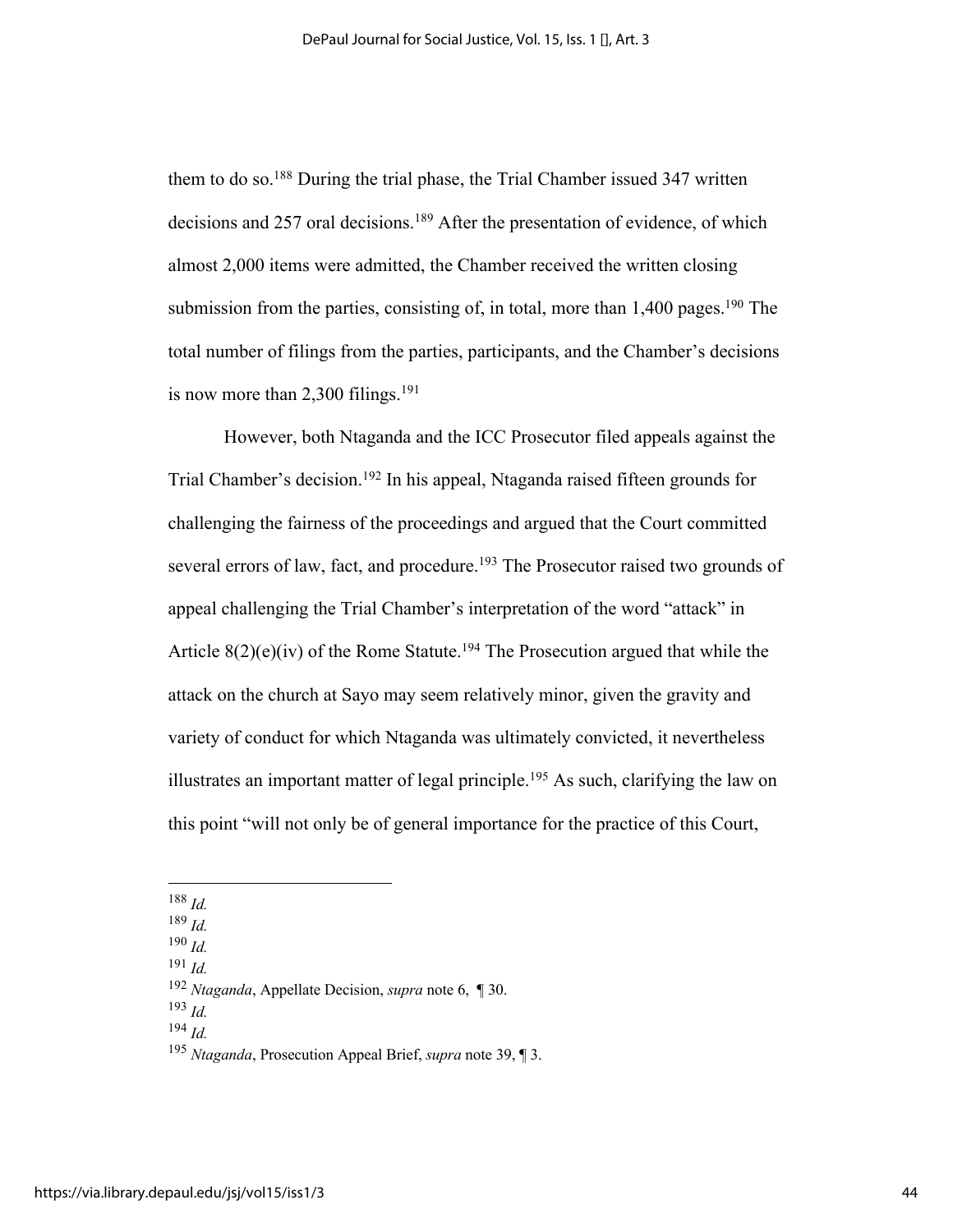them to do so.<sup>188</sup> During the trial phase, the Trial Chamber issued 347 written decisions and 257 oral decisions.<sup>189</sup> After the presentation of evidence, of which almost 2,000 items were admitted, the Chamber received the written closing submission from the parties, consisting of, in total, more than  $1,400$  pages.<sup>190</sup> The total number of filings from the parties, participants, and the Chamber's decisions is now more than  $2,300$  filings.<sup>191</sup>

However, both Ntaganda and the ICC Prosecutor filed appeals against the Trial Chamber's decision.<sup>192</sup> In his appeal, Ntaganda raised fifteen grounds for challenging the fairness of the proceedings and argued that the Court committed several errors of law, fact, and procedure.<sup>193</sup> The Prosecutor raised two grounds of appeal challenging the Trial Chamber's interpretation of the word "attack" in Article  $8(2)(e)(iv)$  of the Rome Statute.<sup>194</sup> The Prosecution argued that while the attack on the church at Sayo may seem relatively minor, given the gravity and variety of conduct for which Ntaganda was ultimately convicted, it nevertheless illustrates an important matter of legal principle.195 As such, clarifying the law on this point "will not only be of general importance for the practice of this Court,

<sup>190</sup> *Id.*

<sup>191</sup> *Id.*

<sup>193</sup> *Id.*

<sup>194</sup> *Id.*

<sup>188</sup> *Id.*

<sup>189</sup> *Id.*

<sup>192</sup> *Ntaganda*, Appellate Decision, *supra* note 6, ¶ 30.

<sup>195</sup> *Ntaganda*, Prosecution Appeal Brief, *supra* note 39, ¶ 3.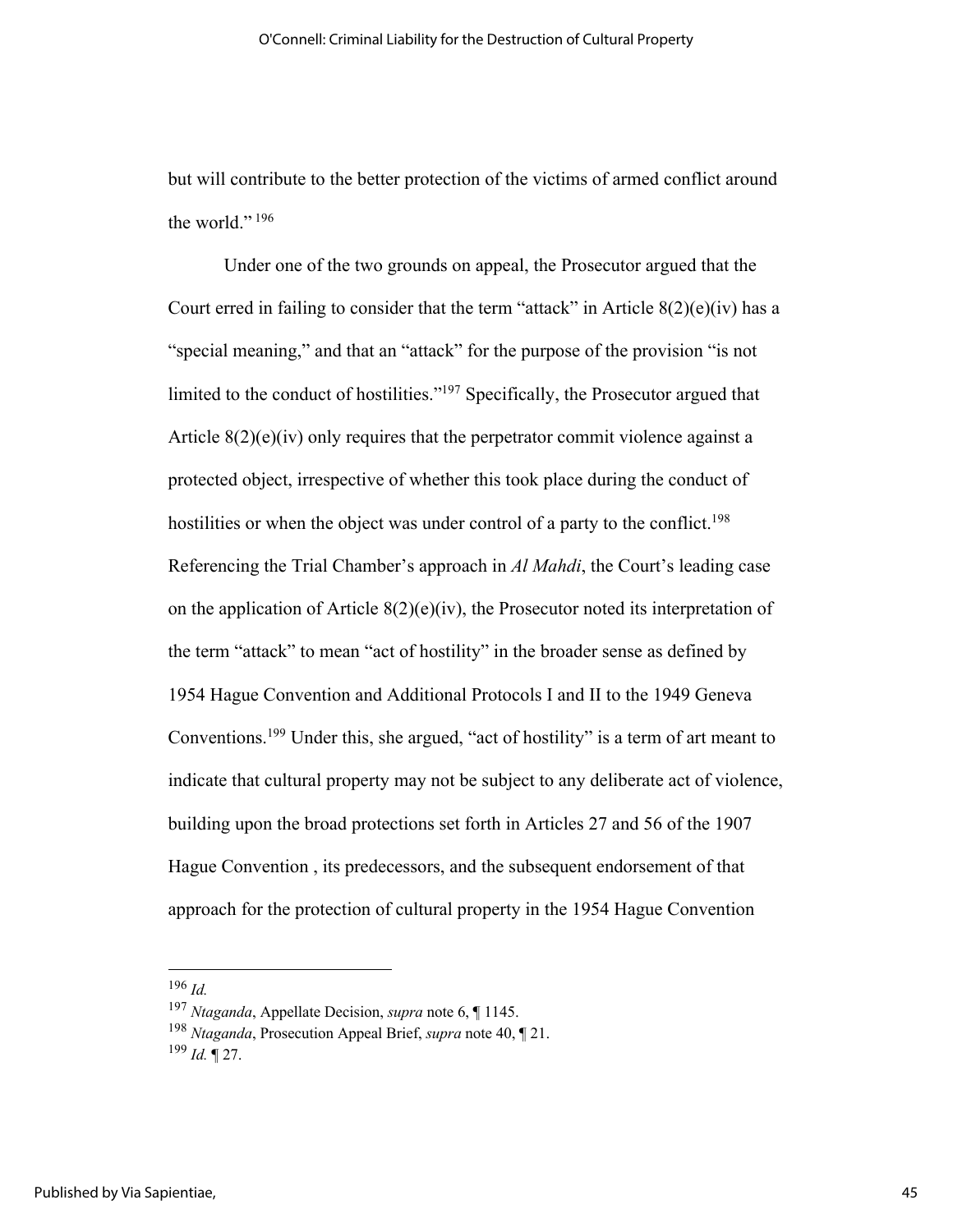but will contribute to the better protection of the victims of armed conflict around the world." $196$ 

Under one of the two grounds on appeal, the Prosecutor argued that the Court erred in failing to consider that the term "attack" in Article  $8(2)(e)(iv)$  has a "special meaning," and that an "attack" for the purpose of the provision "is not limited to the conduct of hostilities."197 Specifically, the Prosecutor argued that Article  $8(2)(e)(iv)$  only requires that the perpetrator commit violence against a protected object, irrespective of whether this took place during the conduct of hostilities or when the object was under control of a party to the conflict.<sup>198</sup> Referencing the Trial Chamber's approach in *Al Mahdi*, the Court's leading case on the application of Article  $8(2)(e)(iv)$ , the Prosecutor noted its interpretation of the term "attack" to mean "act of hostility" in the broader sense as defined by 1954 Hague Convention and Additional Protocols I and II to the 1949 Geneva Conventions.199 Under this, she argued, "act of hostility" is a term of art meant to indicate that cultural property may not be subject to any deliberate act of violence, building upon the broad protections set forth in Articles 27 and 56 of the 1907 Hague Convention , its predecessors, and the subsequent endorsement of that approach for the protection of cultural property in the 1954 Hague Convention

<sup>196</sup> *Id.*

<sup>197</sup> *Ntaganda*, Appellate Decision, *supra* note 6, ¶ 1145.

<sup>198</sup> *Ntaganda*, Prosecution Appeal Brief, *supra* note 40, ¶ 21.

<sup>199</sup> *Id.* ¶ 27.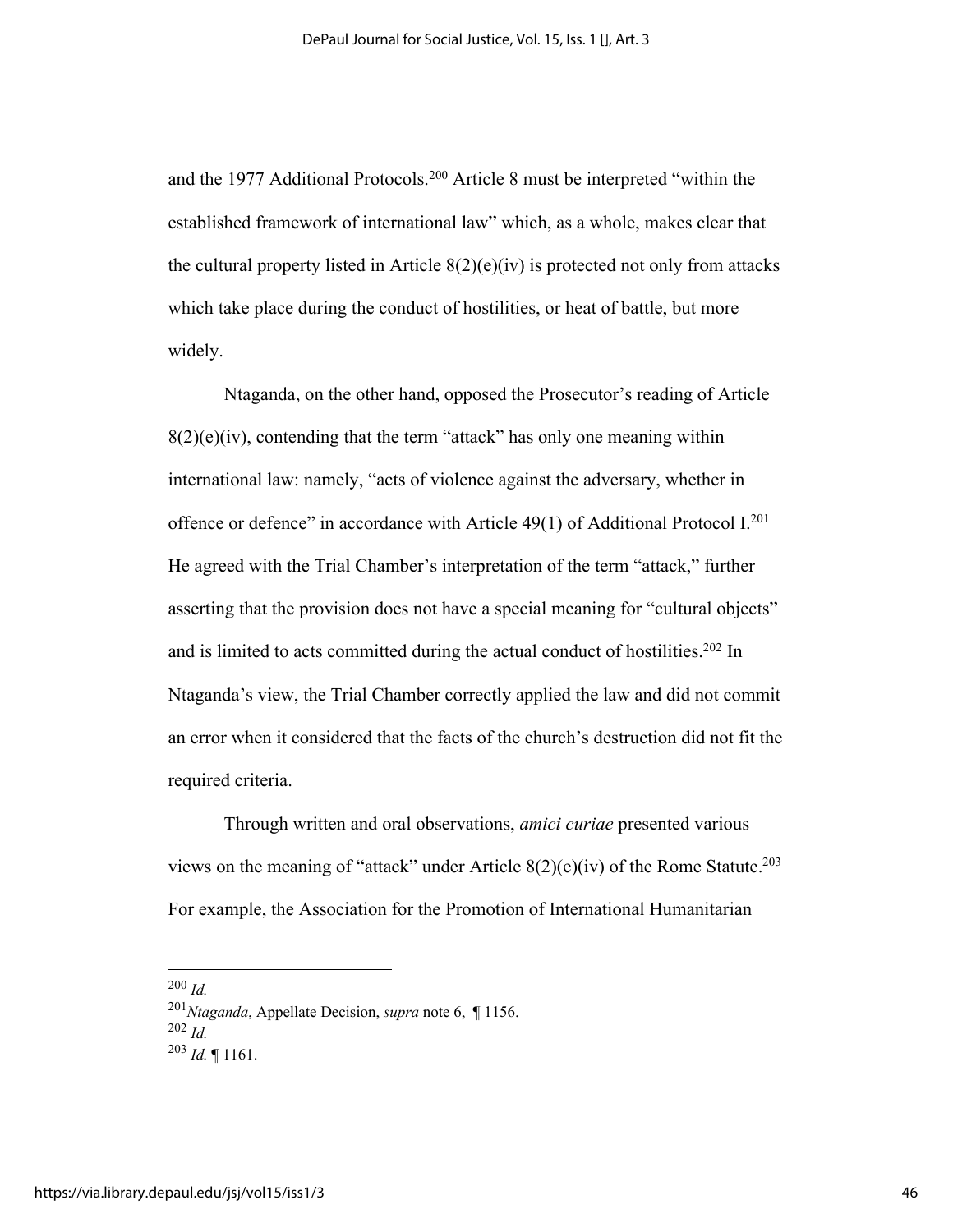and the 1977 Additional Protocols.<sup>200</sup> Article 8 must be interpreted "within the established framework of international law" which, as a whole, makes clear that the cultural property listed in Article  $8(2)(e)(iv)$  is protected not only from attacks which take place during the conduct of hostilities, or heat of battle, but more widely.

Ntaganda, on the other hand, opposed the Prosecutor's reading of Article  $8(2)(e)(iv)$ , contending that the term "attack" has only one meaning within international law: namely, "acts of violence against the adversary, whether in offence or defence" in accordance with Article 49(1) of Additional Protocol I.201 He agreed with the Trial Chamber's interpretation of the term "attack," further asserting that the provision does not have a special meaning for "cultural objects" and is limited to acts committed during the actual conduct of hostilities.<sup>202</sup> In Ntaganda's view, the Trial Chamber correctly applied the law and did not commit an error when it considered that the facts of the church's destruction did not fit the required criteria.

Through written and oral observations, *amici curiae* presented various views on the meaning of "attack" under Article  $8(2)(e)(iv)$  of the Rome Statute.<sup>203</sup> For example, the Association for the Promotion of International Humanitarian

<sup>200</sup> *Id.*

<sup>201</sup>*Ntaganda*, Appellate Decision, *supra* note 6, ¶ 1156. <sup>202</sup> *Id.* <sup>203</sup> *Id.* ¶ 1161.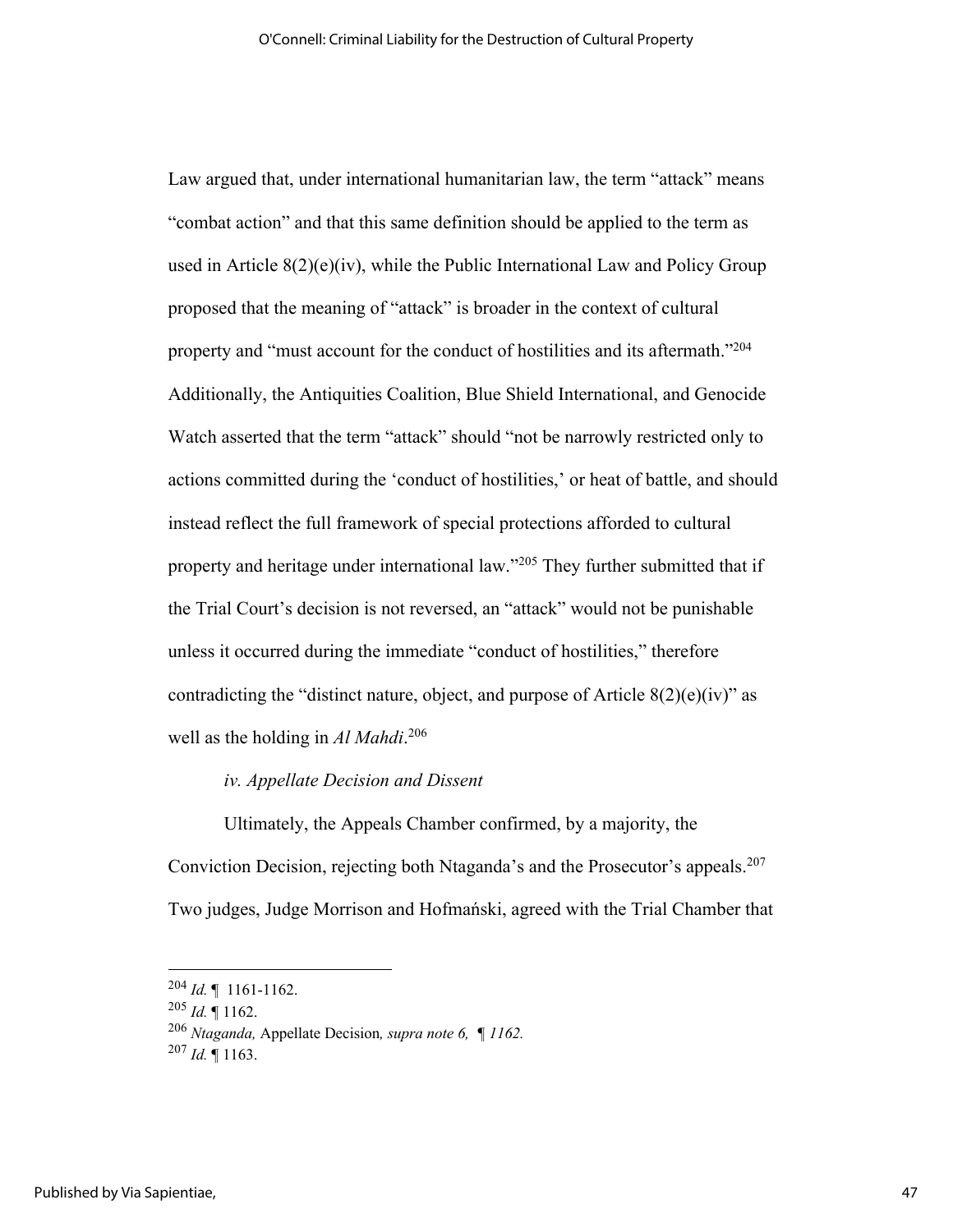Law argued that, under international humanitarian law, the term "attack" means "combat action" and that this same definition should be applied to the term as used in Article 8(2)(e)(iv), while the Public International Law and Policy Group proposed that the meaning of "attack" is broader in the context of cultural property and "must account for the conduct of hostilities and its aftermath."<sup>204</sup> Additionally, the Antiquities Coalition, Blue Shield International, and Genocide Watch asserted that the term "attack" should "not be narrowly restricted only to actions committed during the 'conduct of hostilities,' or heat of battle, and should instead reflect the full framework of special protections afforded to cultural property and heritage under international law."205 They further submitted that if the Trial Court's decision is not reversed, an "attack" would not be punishable unless it occurred during the immediate "conduct of hostilities," therefore contradicting the "distinct nature, object, and purpose of Article  $8(2)(e)(iv)$ " as well as the holding in *Al Mahdi*. 206

## *iv. Appellate Decision and Dissent*

Ultimately, the Appeals Chamber confirmed, by a majority, the Conviction Decision, rejecting both Ntaganda's and the Prosecutor's appeals.<sup>207</sup> Two judges, Judge Morrison and Hofmański, agreed with the Trial Chamber that

<sup>204</sup> *Id.* ¶ 1161-1162.

<sup>205</sup> *Id.* ¶ 1162.

<sup>206</sup> *Ntaganda,* Appellate Decision*, supra note 6, ¶ 1162.*

 $^{207}$  *Id.* ¶ 1163.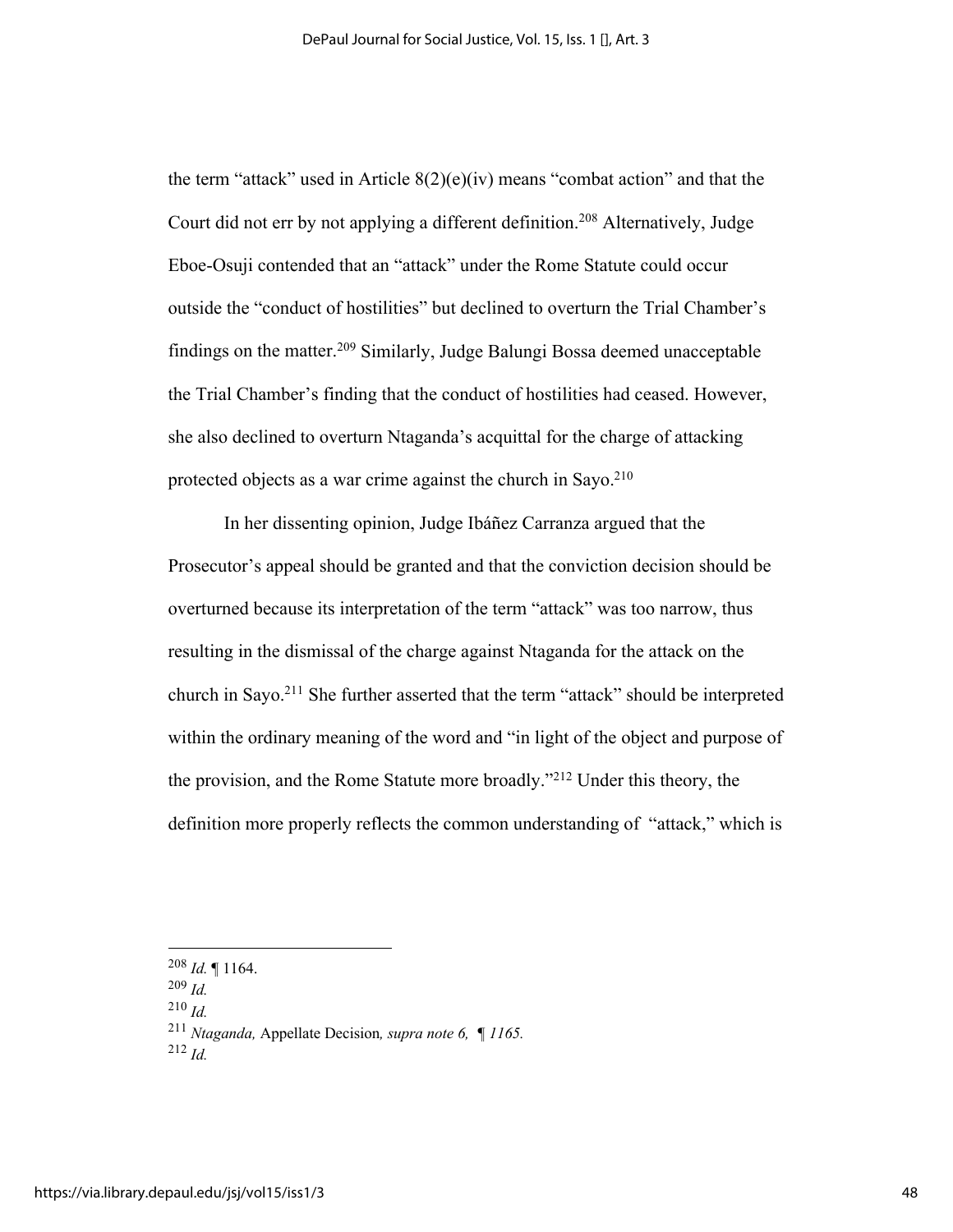the term "attack" used in Article  $8(2)(e)(iv)$  means "combat action" and that the Court did not err by not applying a different definition.<sup>208</sup> Alternatively, Judge Eboe-Osuji contended that an "attack" under the Rome Statute could occur outside the "conduct of hostilities" but declined to overturn the Trial Chamber's findings on the matter. <sup>209</sup> Similarly, Judge Balungi Bossa deemed unacceptable the Trial Chamber's finding that the conduct of hostilities had ceased. However, she also declined to overturn Ntaganda's acquittal for the charge of attacking protected objects as a war crime against the church in Sayo. $210$ 

In her dissenting opinion, Judge Ibáñez Carranza argued that the Prosecutor's appeal should be granted and that the conviction decision should be overturned because its interpretation of the term "attack" was too narrow, thus resulting in the dismissal of the charge against Ntaganda for the attack on the church in Sayo.<sup>211</sup> She further asserted that the term "attack" should be interpreted within the ordinary meaning of the word and "in light of the object and purpose of the provision, and the Rome Statute more broadly."212 Under this theory, the definition more properly reflects the common understanding of "attack," which is

<sup>210</sup> *Id.*

<sup>208</sup> *Id.* ¶ 1164. 209 *Id.*

<sup>211</sup> *Ntaganda,* Appellate Decision*, supra note 6, ¶ 1165.*

<sup>212</sup> *Id.*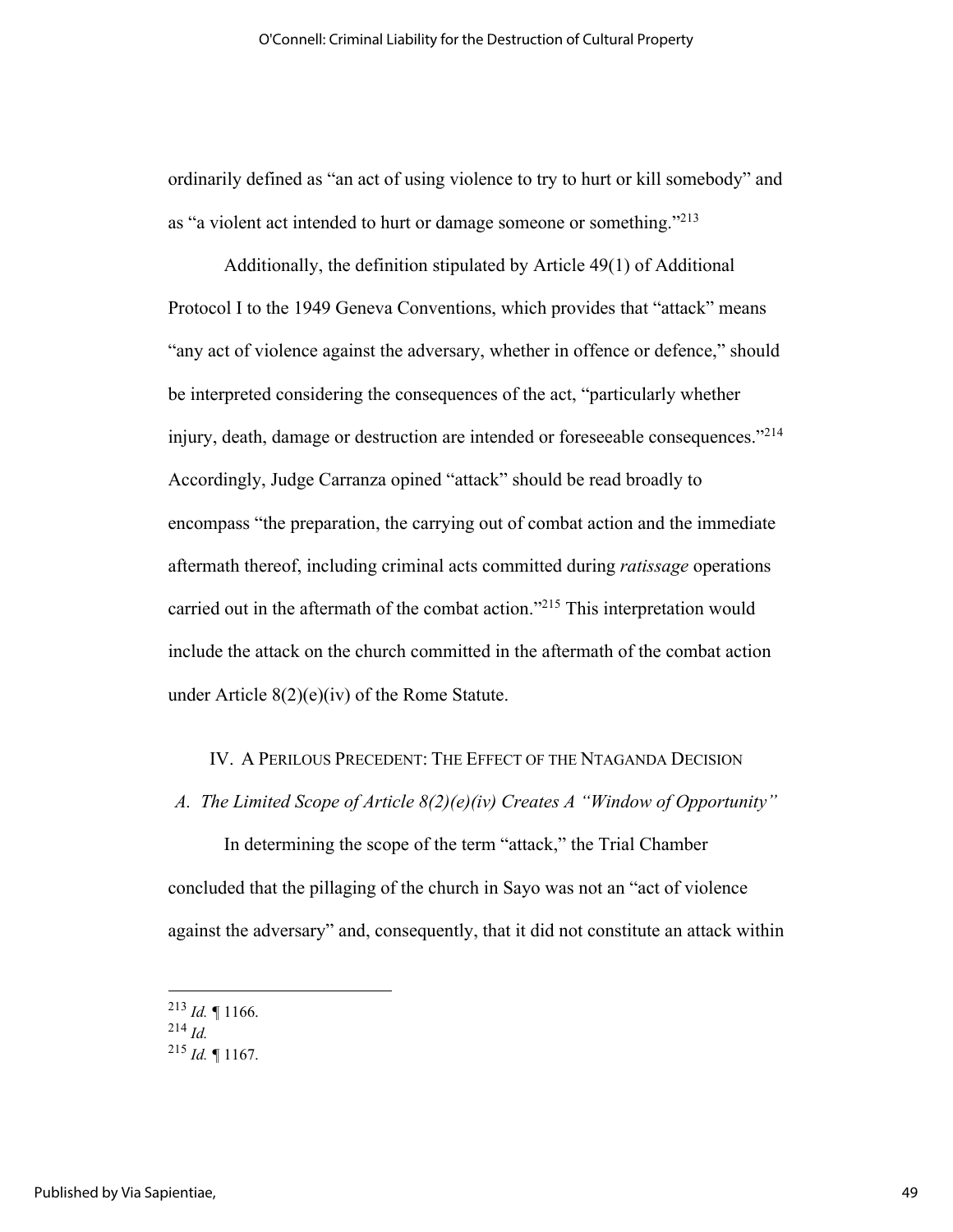ordinarily defined as "an act of using violence to try to hurt or kill somebody" and as "a violent act intended to hurt or damage someone or something."213

Additionally, the definition stipulated by Article 49(1) of Additional Protocol I to the 1949 Geneva Conventions, which provides that "attack" means "any act of violence against the adversary, whether in offence or defence," should be interpreted considering the consequences of the act, "particularly whether injury, death, damage or destruction are intended or foreseeable consequences."214 Accordingly, Judge Carranza opined "attack" should be read broadly to encompass "the preparation, the carrying out of combat action and the immediate aftermath thereof, including criminal acts committed during *ratissage* operations carried out in the aftermath of the combat action."215 This interpretation would include the attack on the church committed in the aftermath of the combat action under Article 8(2)(e)(iv) of the Rome Statute.

#### IV. A PERILOUS PRECEDENT: THE EFFECT OF THE NTAGANDA DECISION

#### *A. The Limited Scope of Article 8(2)(e)(iv) Creates A "Window of Opportunity"*

In determining the scope of the term "attack," the Trial Chamber concluded that the pillaging of the church in Sayo was not an "act of violence against the adversary" and, consequently, that it did not constitute an attack within

 $^{213}$  *Id.*  $\blacksquare$  1166.

<sup>214</sup> *Id.*

 $^{215}$  *Id.*  $\blacksquare$  1167.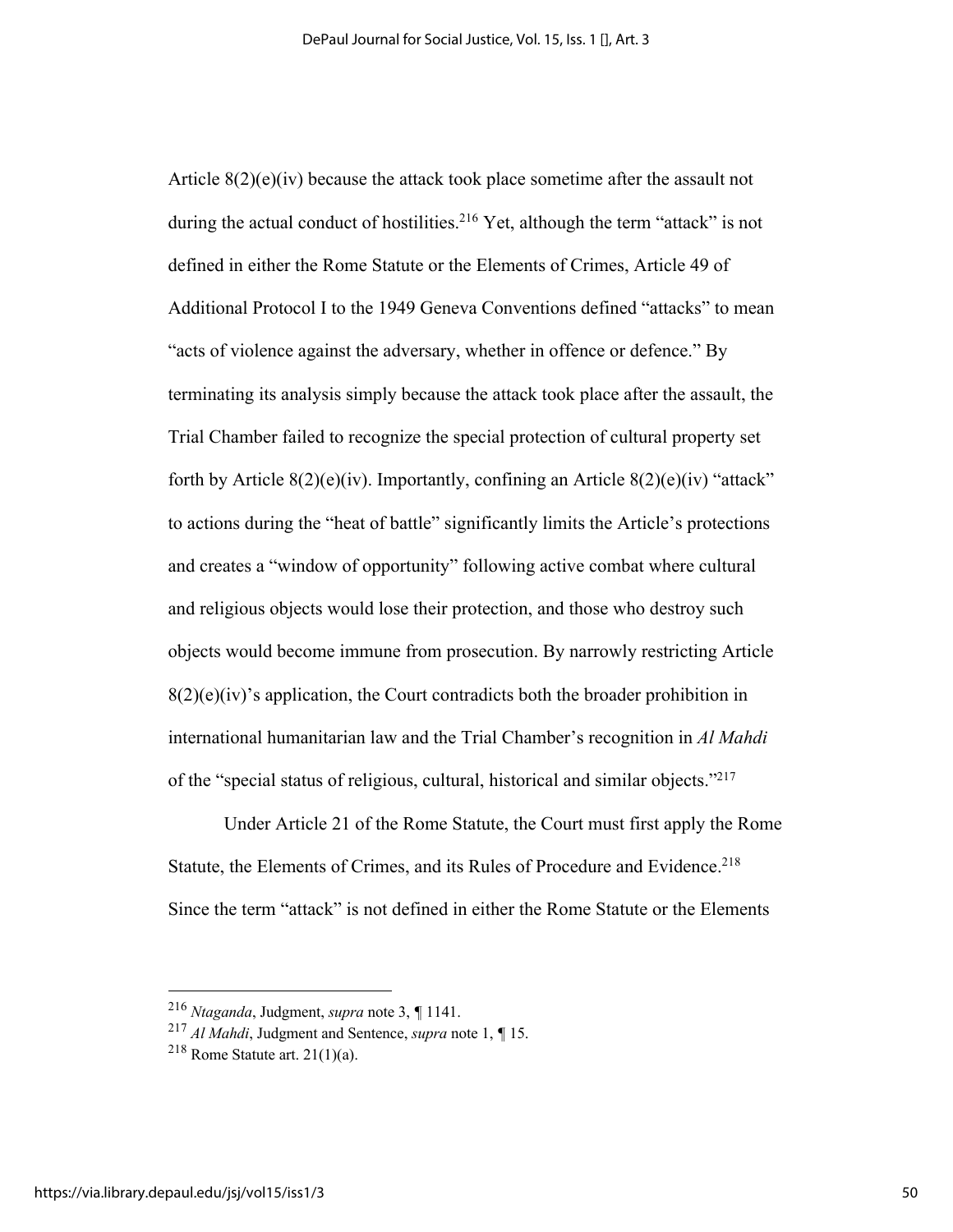Article  $8(2)(e)(iv)$  because the attack took place sometime after the assault not during the actual conduct of hostilities.<sup>216</sup> Yet, although the term "attack" is not defined in either the Rome Statute or the Elements of Crimes, Article 49 of Additional Protocol I to the 1949 Geneva Conventions defined "attacks" to mean "acts of violence against the adversary, whether in offence or defence." By terminating its analysis simply because the attack took place after the assault, the Trial Chamber failed to recognize the special protection of cultural property set forth by Article  $8(2)(e)(iv)$ . Importantly, confining an Article  $8(2)(e)(iv)$  "attack" to actions during the "heat of battle" significantly limits the Article's protections and creates a "window of opportunity" following active combat where cultural and religious objects would lose their protection, and those who destroy such objects would become immune from prosecution. By narrowly restricting Article  $8(2)(e)(iv)$ 's application, the Court contradicts both the broader prohibition in international humanitarian law and the Trial Chamber's recognition in *Al Mahdi* of the "special status of religious, cultural, historical and similar objects."217

Under Article 21 of the Rome Statute, the Court must first apply the Rome Statute, the Elements of Crimes, and its Rules of Procedure and Evidence.<sup>218</sup> Since the term "attack" is not defined in either the Rome Statute or the Elements

<sup>216</sup> *Ntaganda*, Judgment, *supra* note 3, *¶* 1141.

<sup>217</sup> *Al Mahdi*, Judgment and Sentence, *supra* note 1, *¶* 15.

<sup>&</sup>lt;sup>218</sup> Rome Statute art.  $21(1)(a)$ .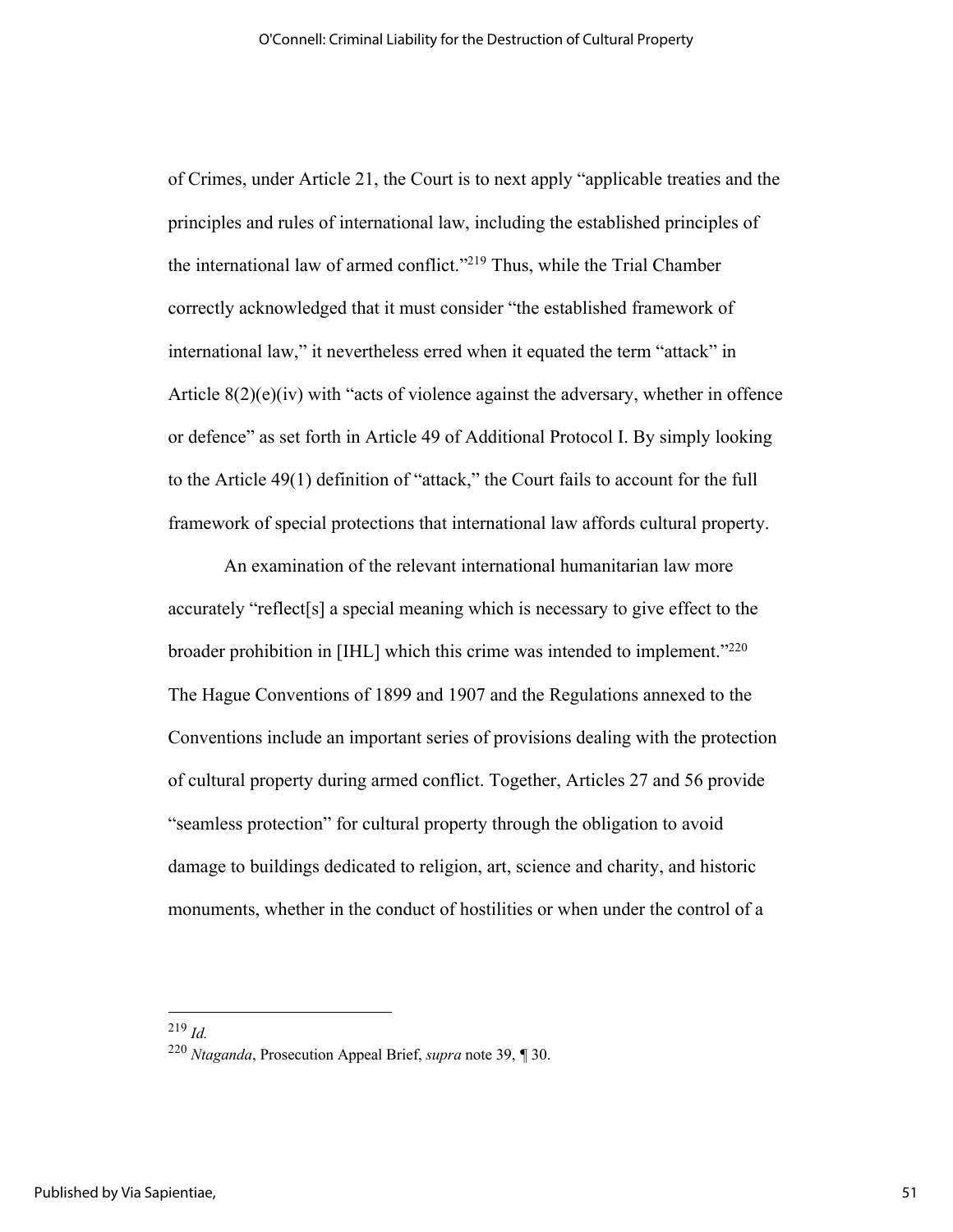of Crimes, under Article 21, the Court is to next apply "applicable treaties and the principles and rules of international law, including the established principles of the international law of armed conflict."219 Thus, while the Trial Chamber correctly acknowledged that it must consider "the established framework of international law," it nevertheless erred when it equated the term "attack" in Article  $8(2)(e)(iv)$  with "acts of violence against the adversary, whether in offence or defence" as set forth in Article 49 of Additional Protocol I. By simply looking to the Article 49(1) definition of "attack," the Court fails to account for the full framework of special protections that international law affords cultural property.

An examination of the relevant international humanitarian law more accurately "reflect[s] a special meaning which is necessary to give effect to the broader prohibition in [IHL] which this crime was intended to implement."<sup>220</sup> The Hague Conventions of 1899 and 1907 and the Regulations annexed to the Conventions include an important series of provisions dealing with the protection of cultural property during armed conflict. Together, Articles 27 and 56 provide "seamless protection" for cultural property through the obligation to avoid damage to buildings dedicated to religion, art, science and charity, and historic monuments, whether in the conduct of hostilities or when under the control of a

<sup>219</sup> *Id.*

<sup>220</sup> *Ntaganda*, Prosecution Appeal Brief, *supra* note 39, *¶* 30.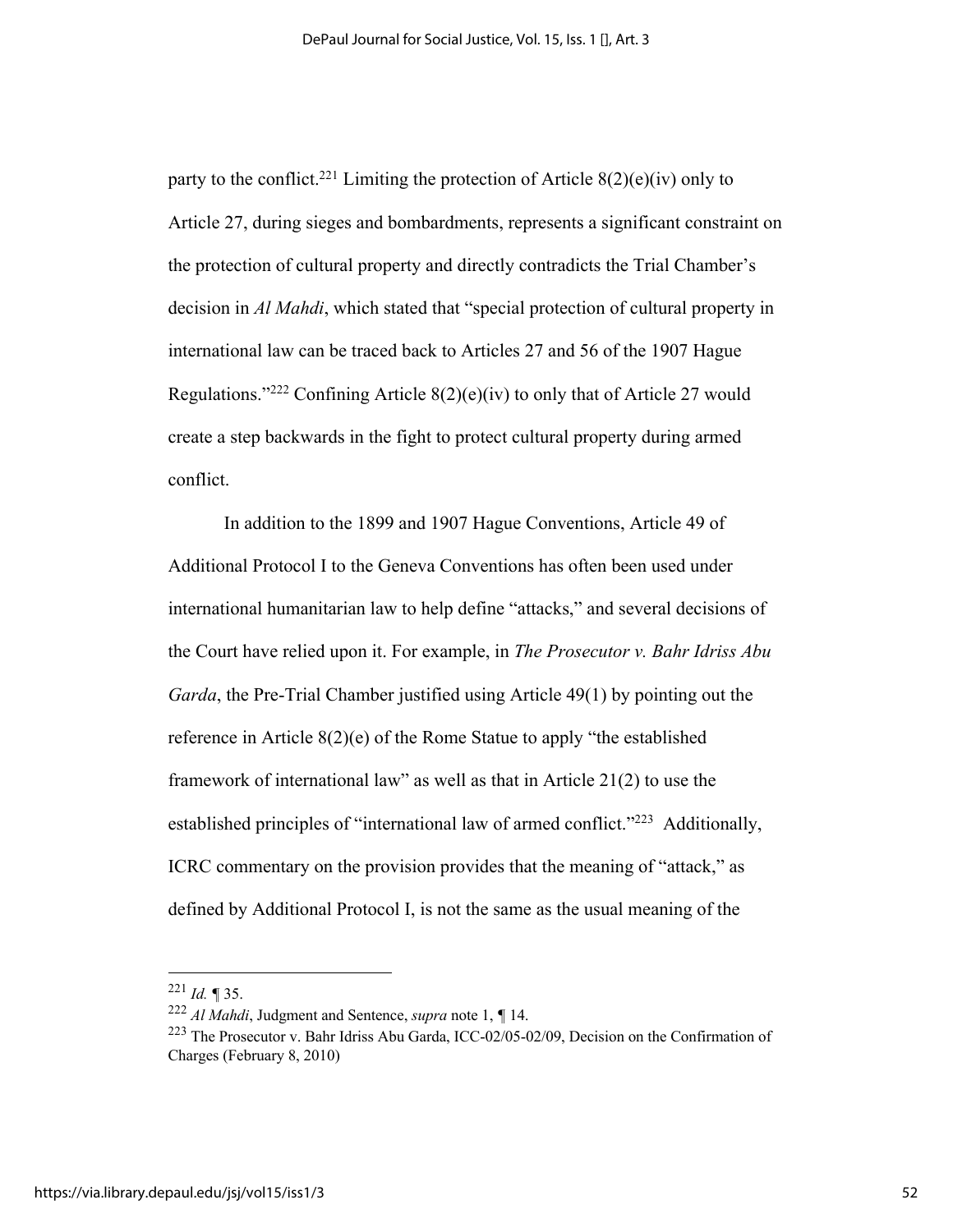party to the conflict.<sup>221</sup> Limiting the protection of Article  $8(2)(e)(iv)$  only to Article 27, during sieges and bombardments, represents a significant constraint on the protection of cultural property and directly contradicts the Trial Chamber's decision in *Al Mahdi*, which stated that "special protection of cultural property in international law can be traced back to Articles 27 and 56 of the 1907 Hague Regulations."<sup>222</sup> Confining Article  $8(2)(e)(iv)$  to only that of Article 27 would create a step backwards in the fight to protect cultural property during armed conflict.

In addition to the 1899 and 1907 Hague Conventions, Article 49 of Additional Protocol I to the Geneva Conventions has often been used under international humanitarian law to help define "attacks," and several decisions of the Court have relied upon it. For example, in *The Prosecutor v. Bahr Idriss Abu Garda*, the Pre-Trial Chamber justified using Article 49(1) by pointing out the reference in Article 8(2)(e) of the Rome Statue to apply "the established framework of international law" as well as that in Article 21(2) to use the established principles of "international law of armed conflict."<sup>223</sup> Additionally, ICRC commentary on the provision provides that the meaning of "attack," as defined by Additional Protocol I, is not the same as the usual meaning of the

<sup>221</sup> *Id. ¶* 35.

<sup>222</sup> *Al Mahdi*, Judgment and Sentence, *supra* note 1, *¶* 14.

<sup>223</sup> The Prosecutor v. Bahr Idriss Abu Garda, ICC-02/05-02/09, Decision on the Confirmation of Charges (February 8, 2010)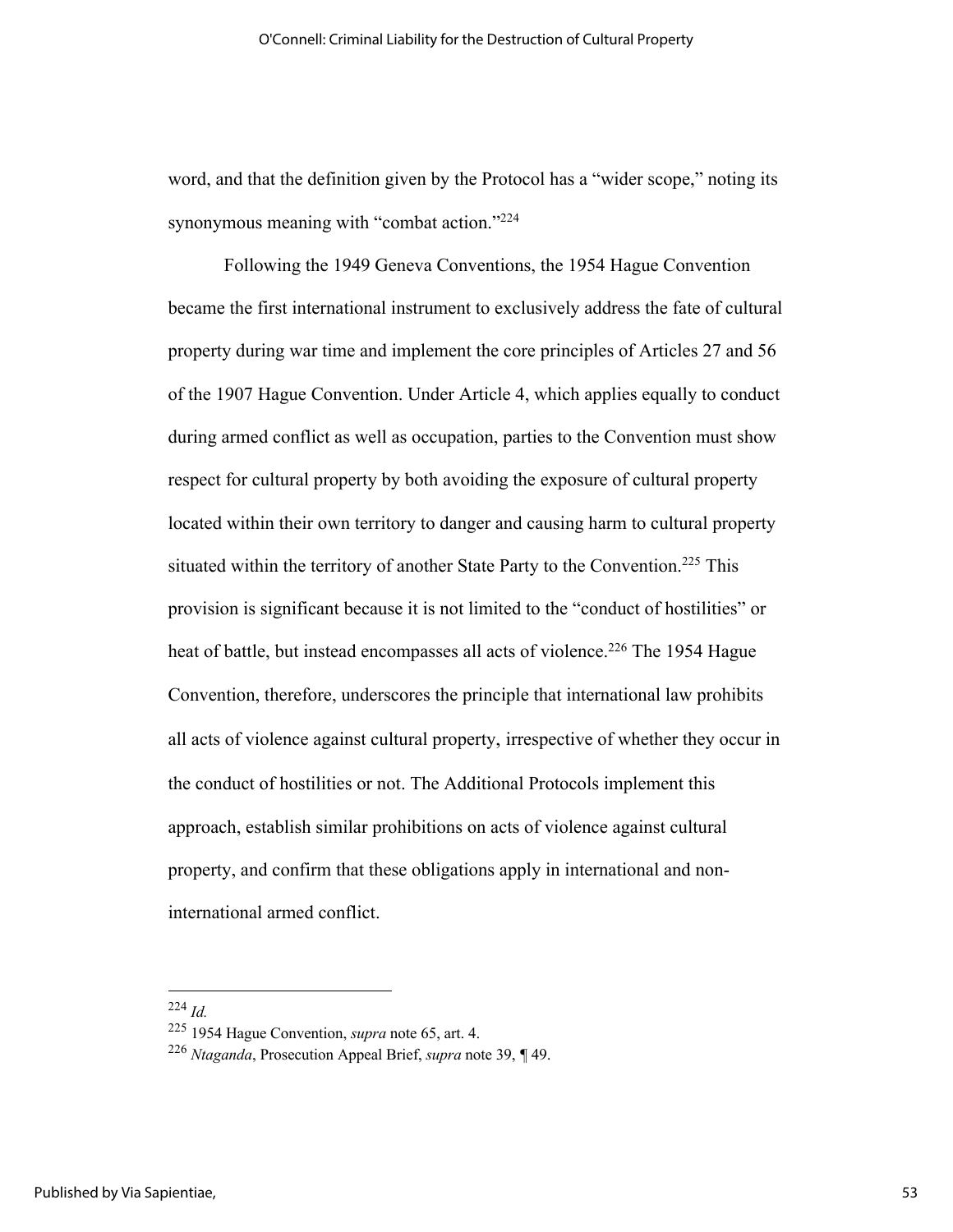word, and that the definition given by the Protocol has a "wider scope," noting its synonymous meaning with "combat action."<sup>224</sup>

Following the 1949 Geneva Conventions, the 1954 Hague Convention became the first international instrument to exclusively address the fate of cultural property during war time and implement the core principles of Articles 27 and 56 of the 1907 Hague Convention. Under Article 4, which applies equally to conduct during armed conflict as well as occupation, parties to the Convention must show respect for cultural property by both avoiding the exposure of cultural property located within their own territory to danger and causing harm to cultural property situated within the territory of another State Party to the Convention.<sup>225</sup> This provision is significant because it is not limited to the "conduct of hostilities" or heat of battle, but instead encompasses all acts of violence.<sup>226</sup> The 1954 Hague Convention, therefore, underscores the principle that international law prohibits all acts of violence against cultural property, irrespective of whether they occur in the conduct of hostilities or not. The Additional Protocols implement this approach, establish similar prohibitions on acts of violence against cultural property, and confirm that these obligations apply in international and noninternational armed conflict.

<sup>224</sup> *Id.*

<sup>225</sup> 1954 Hague Convention, *supra* note 65, art. 4.

<sup>226</sup> *Ntaganda*, Prosecution Appeal Brief, *supra* note 39, *¶* 49.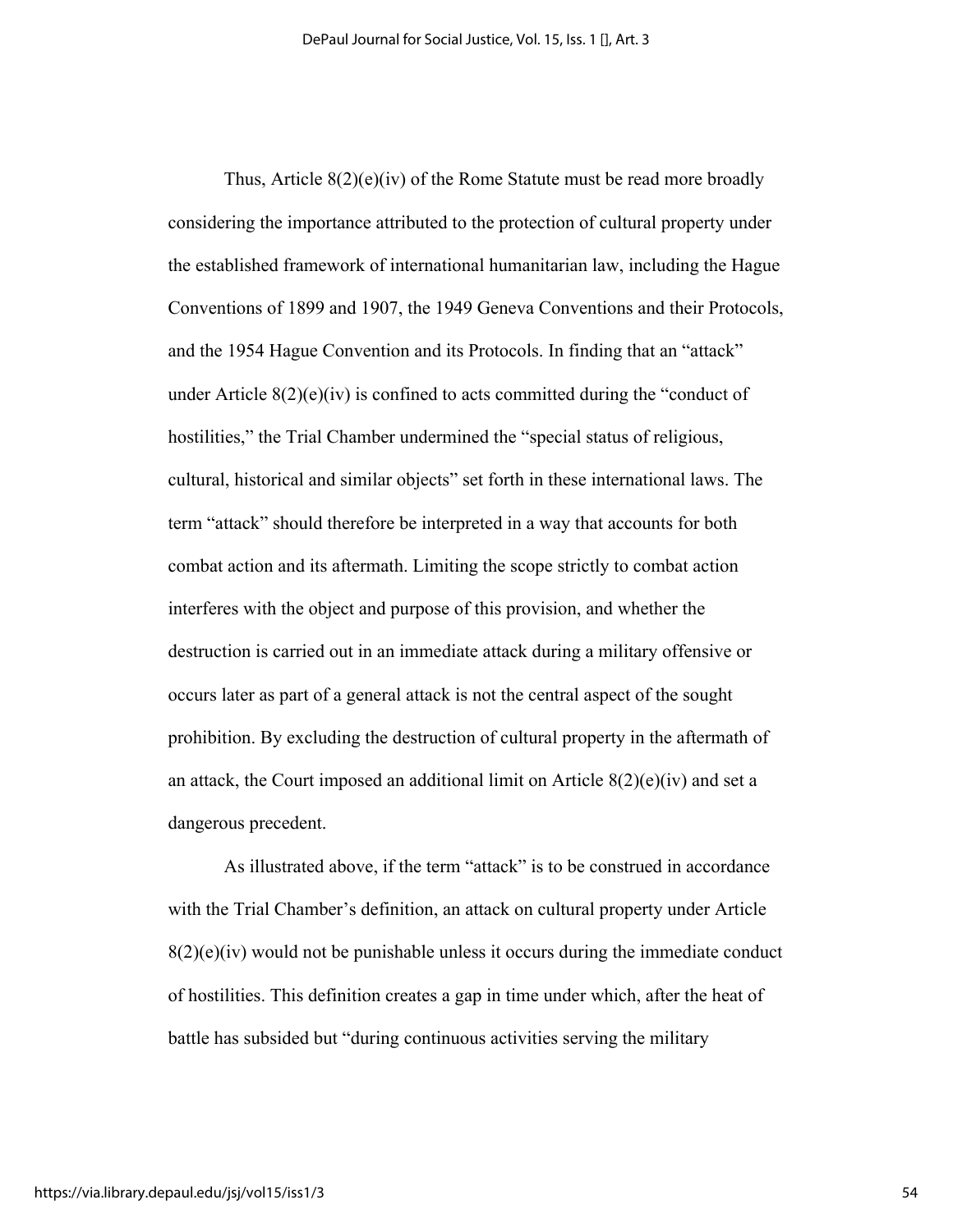Thus, Article  $8(2)(e)(iv)$  of the Rome Statute must be read more broadly considering the importance attributed to the protection of cultural property under the established framework of international humanitarian law, including the Hague Conventions of 1899 and 1907, the 1949 Geneva Conventions and their Protocols, and the 1954 Hague Convention and its Protocols. In finding that an "attack" under Article  $8(2)(e)(iv)$  is confined to acts committed during the "conduct of hostilities," the Trial Chamber undermined the "special status of religious, cultural, historical and similar objects" set forth in these international laws. The term "attack" should therefore be interpreted in a way that accounts for both combat action and its aftermath. Limiting the scope strictly to combat action interferes with the object and purpose of this provision, and whether the destruction is carried out in an immediate attack during a military offensive or occurs later as part of a general attack is not the central aspect of the sought prohibition. By excluding the destruction of cultural property in the aftermath of an attack, the Court imposed an additional limit on Article 8(2)(e)(iv) and set a dangerous precedent.

As illustrated above, if the term "attack" is to be construed in accordance with the Trial Chamber's definition, an attack on cultural property under Article  $8(2)(e)(iv)$  would not be punishable unless it occurs during the immediate conduct of hostilities. This definition creates a gap in time under which, after the heat of battle has subsided but "during continuous activities serving the military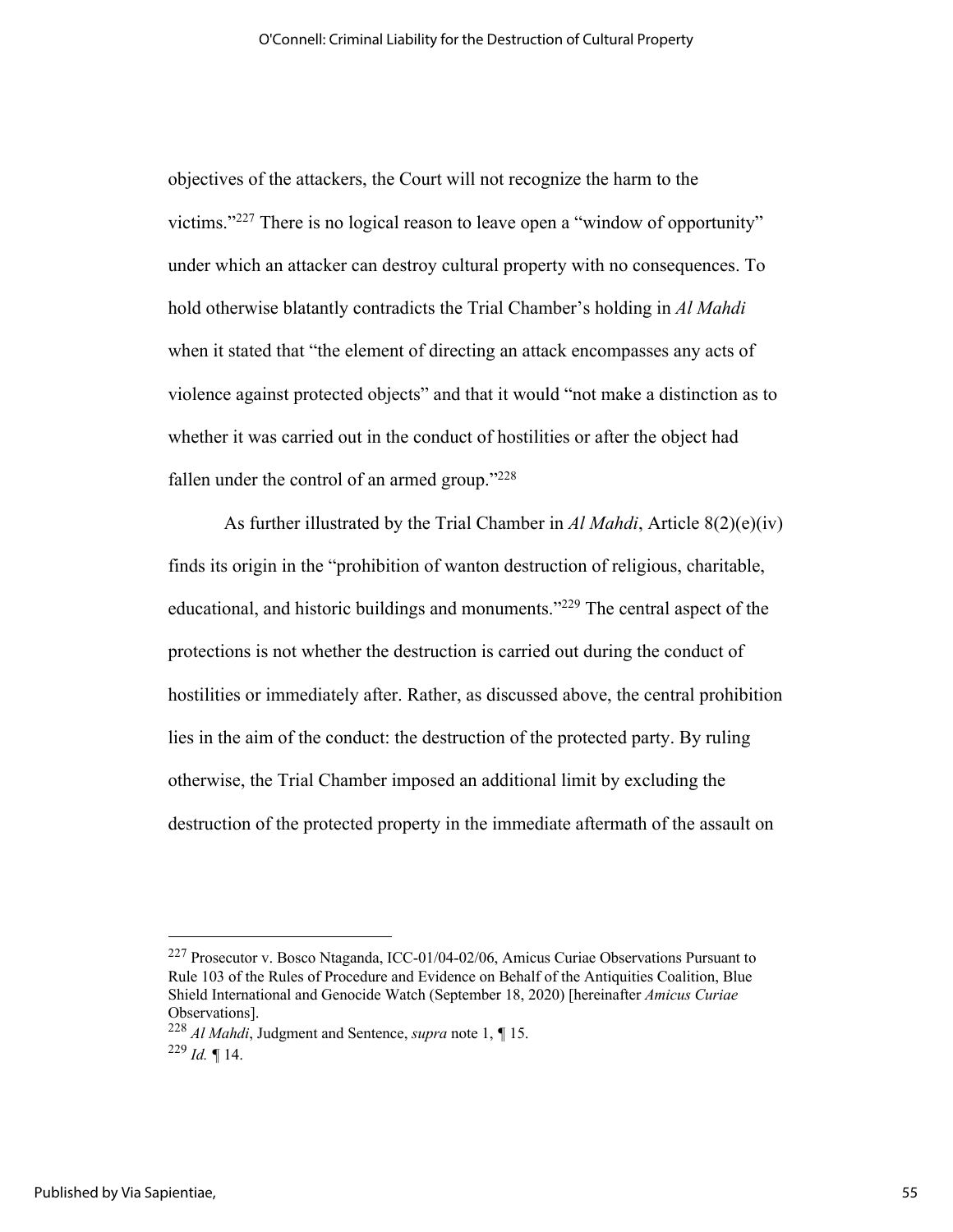objectives of the attackers, the Court will not recognize the harm to the victims."227 There is no logical reason to leave open a "window of opportunity" under which an attacker can destroy cultural property with no consequences. To hold otherwise blatantly contradicts the Trial Chamber's holding in *Al Mahdi* when it stated that "the element of directing an attack encompasses any acts of violence against protected objects" and that it would "not make a distinction as to whether it was carried out in the conduct of hostilities or after the object had fallen under the control of an armed group." $228$ 

As further illustrated by the Trial Chamber in *Al Mahdi*, Article 8(2)(e)(iv) finds its origin in the "prohibition of wanton destruction of religious, charitable, educational, and historic buildings and monuments."<sup>229</sup> The central aspect of the protections is not whether the destruction is carried out during the conduct of hostilities or immediately after. Rather, as discussed above, the central prohibition lies in the aim of the conduct: the destruction of the protected party. By ruling otherwise, the Trial Chamber imposed an additional limit by excluding the destruction of the protected property in the immediate aftermath of the assault on

<sup>227</sup> Prosecutor v. Bosco Ntaganda, ICC-01/04-02/06, Amicus Curiae Observations Pursuant to Rule 103 of the Rules of Procedure and Evidence on Behalf of the Antiquities Coalition, Blue Shield International and Genocide Watch (September 18, 2020) [hereinafter *Amicus Curiae* Observations].

<sup>228</sup> *Al Mahdi*, Judgment and Sentence, *supra* note 1, *¶* 15.  $^{229}$  *Id.*  $\blacksquare$  14.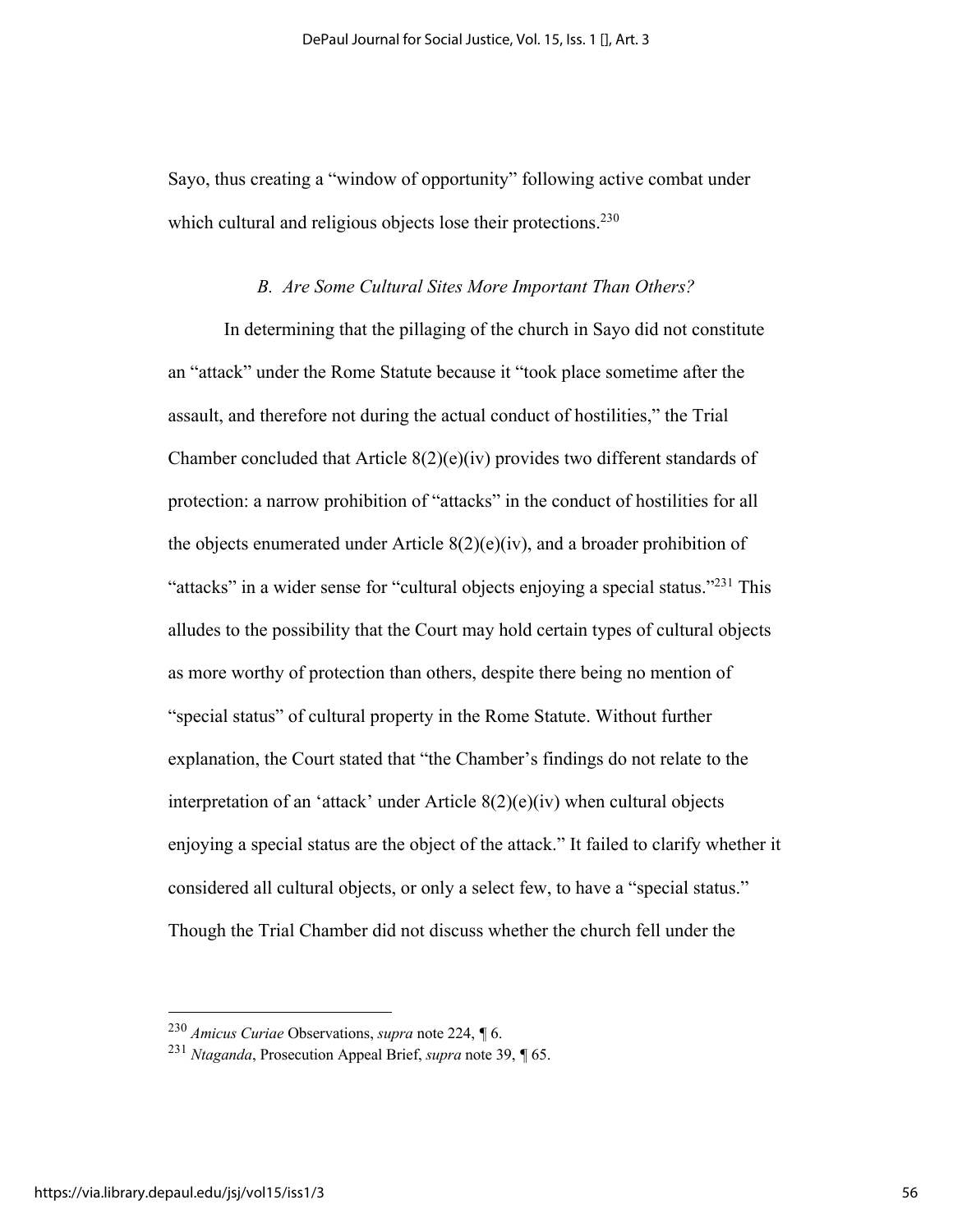Sayo, thus creating a "window of opportunity" following active combat under which cultural and religious objects lose their protections.<sup>230</sup>

## *B. Are Some Cultural Sites More Important Than Others?*

In determining that the pillaging of the church in Sayo did not constitute an "attack" under the Rome Statute because it "took place sometime after the assault, and therefore not during the actual conduct of hostilities," the Trial Chamber concluded that Article  $8(2)(e)(iv)$  provides two different standards of protection: a narrow prohibition of "attacks" in the conduct of hostilities for all the objects enumerated under Article  $8(2)(e)(iv)$ , and a broader prohibition of "attacks" in a wider sense for "cultural objects enjoying a special status."<sup>231</sup> This alludes to the possibility that the Court may hold certain types of cultural objects as more worthy of protection than others, despite there being no mention of "special status" of cultural property in the Rome Statute. Without further explanation, the Court stated that "the Chamber's findings do not relate to the interpretation of an 'attack' under Article 8(2)(e)(iv) when cultural objects enjoying a special status are the object of the attack." It failed to clarify whether it considered all cultural objects, or only a select few, to have a "special status." Though the Trial Chamber did not discuss whether the church fell under the

<sup>230</sup> *Amicus Curiae* Observations, *supra* note 224, *¶* 6.

<sup>231</sup> *Ntaganda*, Prosecution Appeal Brief, *supra* note 39, *¶* 65.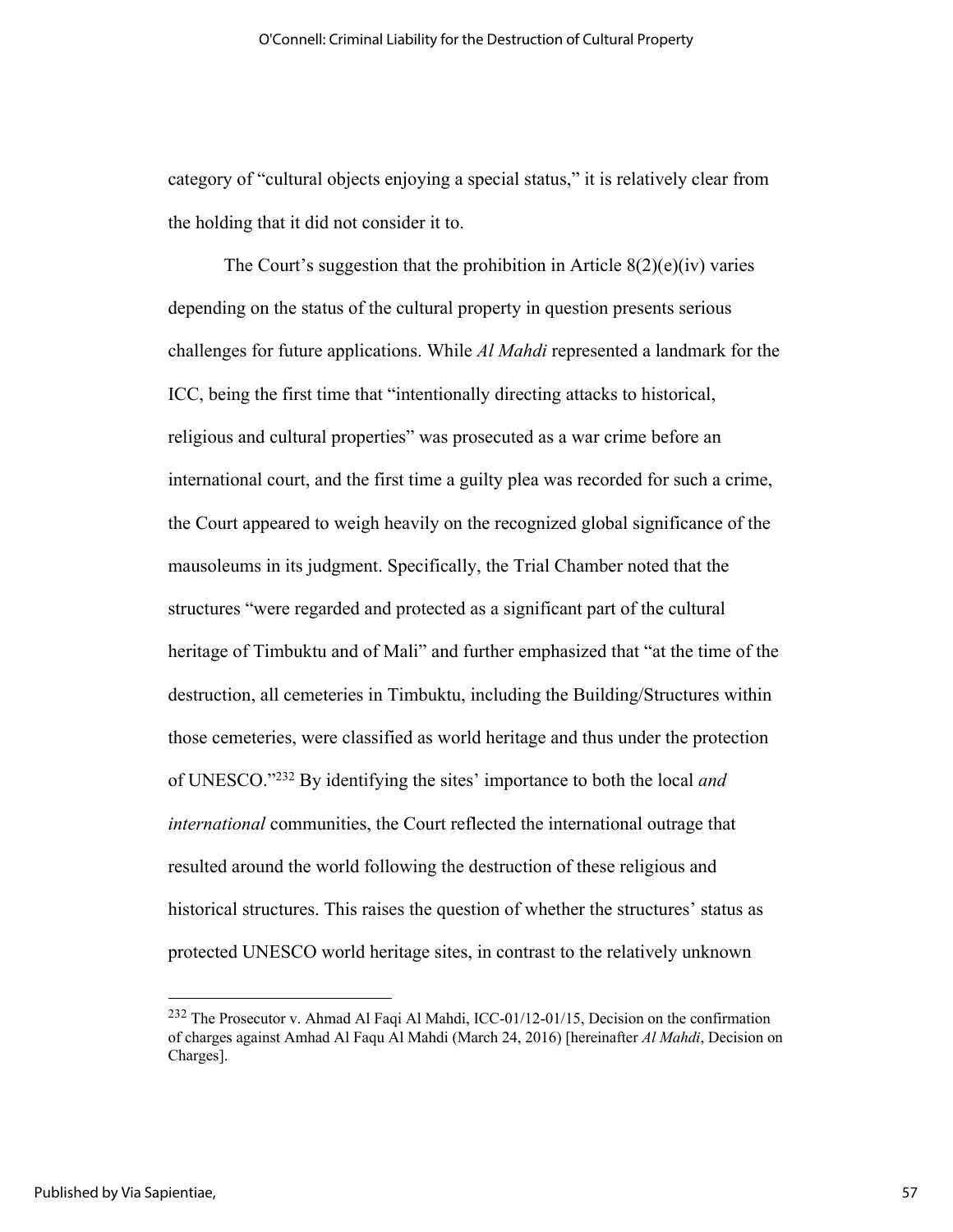category of "cultural objects enjoying a special status," it is relatively clear from the holding that it did not consider it to.

The Court's suggestion that the prohibition in Article  $8(2)(e)(iv)$  varies depending on the status of the cultural property in question presents serious challenges for future applications. While *Al Mahdi* represented a landmark for the ICC, being the first time that "intentionally directing attacks to historical, religious and cultural properties" was prosecuted as a war crime before an international court, and the first time a guilty plea was recorded for such a crime, the Court appeared to weigh heavily on the recognized global significance of the mausoleums in its judgment. Specifically, the Trial Chamber noted that the structures "were regarded and protected as a significant part of the cultural heritage of Timbuktu and of Mali" and further emphasized that "at the time of the destruction, all cemeteries in Timbuktu, including the Building/Structures within those cemeteries, were classified as world heritage and thus under the protection of UNESCO."232 By identifying the sites' importance to both the local *and international* communities, the Court reflected the international outrage that resulted around the world following the destruction of these religious and historical structures. This raises the question of whether the structures' status as protected UNESCO world heritage sites, in contrast to the relatively unknown

<sup>232</sup> The Prosecutor v. Ahmad Al Faqi Al Mahdi, ICC-01/12-01/15, Decision on the confirmation of charges against Amhad Al Faqu Al Mahdi (March 24, 2016) [hereinafter *Al Mahdi*, Decision on Charges].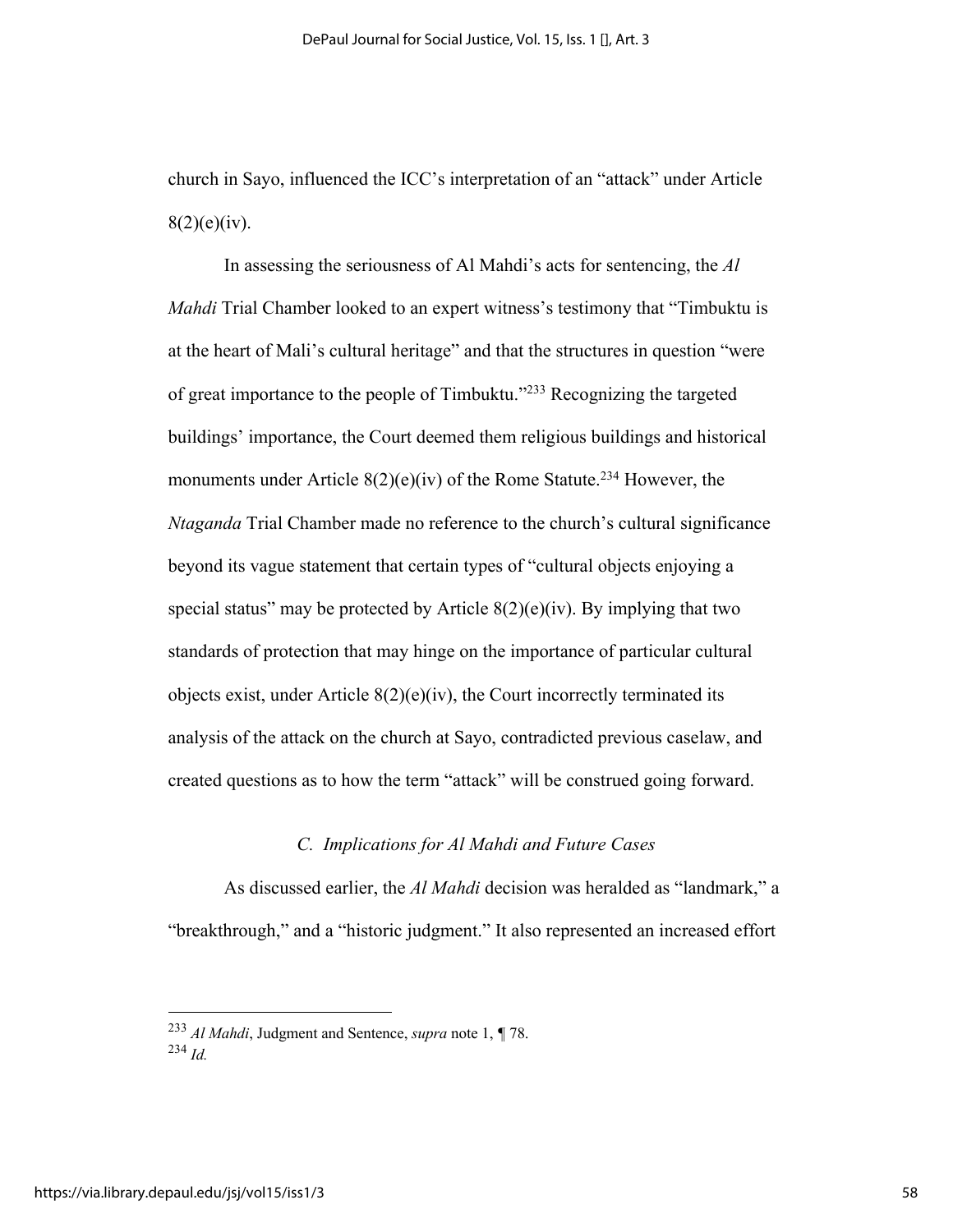church in Sayo, influenced the ICC's interpretation of an "attack" under Article  $8(2)(e)(iv)$ .

In assessing the seriousness of Al Mahdi's acts for sentencing, the *Al Mahdi* Trial Chamber looked to an expert witness's testimony that "Timbuktu is at the heart of Mali's cultural heritage" and that the structures in question "were of great importance to the people of Timbuktu."233 Recognizing the targeted buildings' importance, the Court deemed them religious buildings and historical monuments under Article  $8(2)(e)(iv)$  of the Rome Statute.<sup>234</sup> However, the *Ntaganda* Trial Chamber made no reference to the church's cultural significance beyond its vague statement that certain types of "cultural objects enjoying a special status" may be protected by Article  $8(2)(e)(iv)$ . By implying that two standards of protection that may hinge on the importance of particular cultural objects exist, under Article  $8(2)(e)(iv)$ , the Court incorrectly terminated its analysis of the attack on the church at Sayo, contradicted previous caselaw, and created questions as to how the term "attack" will be construed going forward.

## *C. Implications for Al Mahdi and Future Cases*

As discussed earlier, the *Al Mahdi* decision was heralded as "landmark," a "breakthrough," and a "historic judgment." It also represented an increased effort

<sup>233</sup> *Al Mahdi*, Judgment and Sentence, *supra* note 1, *¶* 78. <sup>234</sup> *Id.*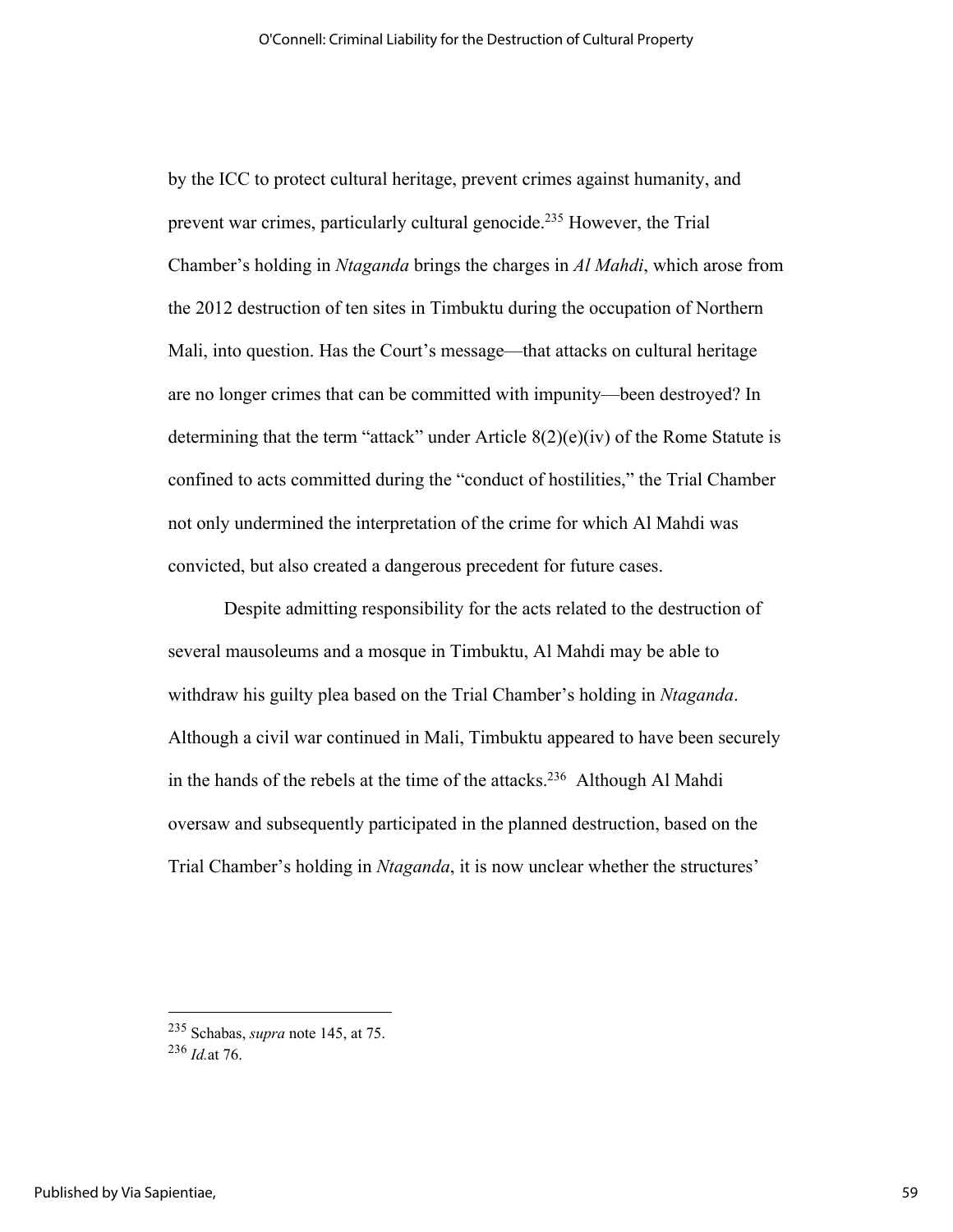by the ICC to protect cultural heritage, prevent crimes against humanity, and prevent war crimes, particularly cultural genocide.235 However, the Trial Chamber's holding in *Ntaganda* brings the charges in *Al Mahdi*, which arose from the 2012 destruction of ten sites in Timbuktu during the occupation of Northern Mali, into question. Has the Court's message—that attacks on cultural heritage are no longer crimes that can be committed with impunity––been destroyed? In determining that the term "attack" under Article  $8(2)(e)(iv)$  of the Rome Statute is confined to acts committed during the "conduct of hostilities," the Trial Chamber not only undermined the interpretation of the crime for which Al Mahdi was convicted, but also created a dangerous precedent for future cases.

Despite admitting responsibility for the acts related to the destruction of several mausoleums and a mosque in Timbuktu, Al Mahdi may be able to withdraw his guilty plea based on the Trial Chamber's holding in *Ntaganda*. Although a civil war continued in Mali, Timbuktu appeared to have been securely in the hands of the rebels at the time of the attacks.<sup>236</sup> Although Al Mahdi oversaw and subsequently participated in the planned destruction, based on the Trial Chamber's holding in *Ntaganda*, it is now unclear whether the structures'

<sup>235</sup> Schabas, *supra* note 145, at 75.

<sup>236</sup> *Id.*at 76.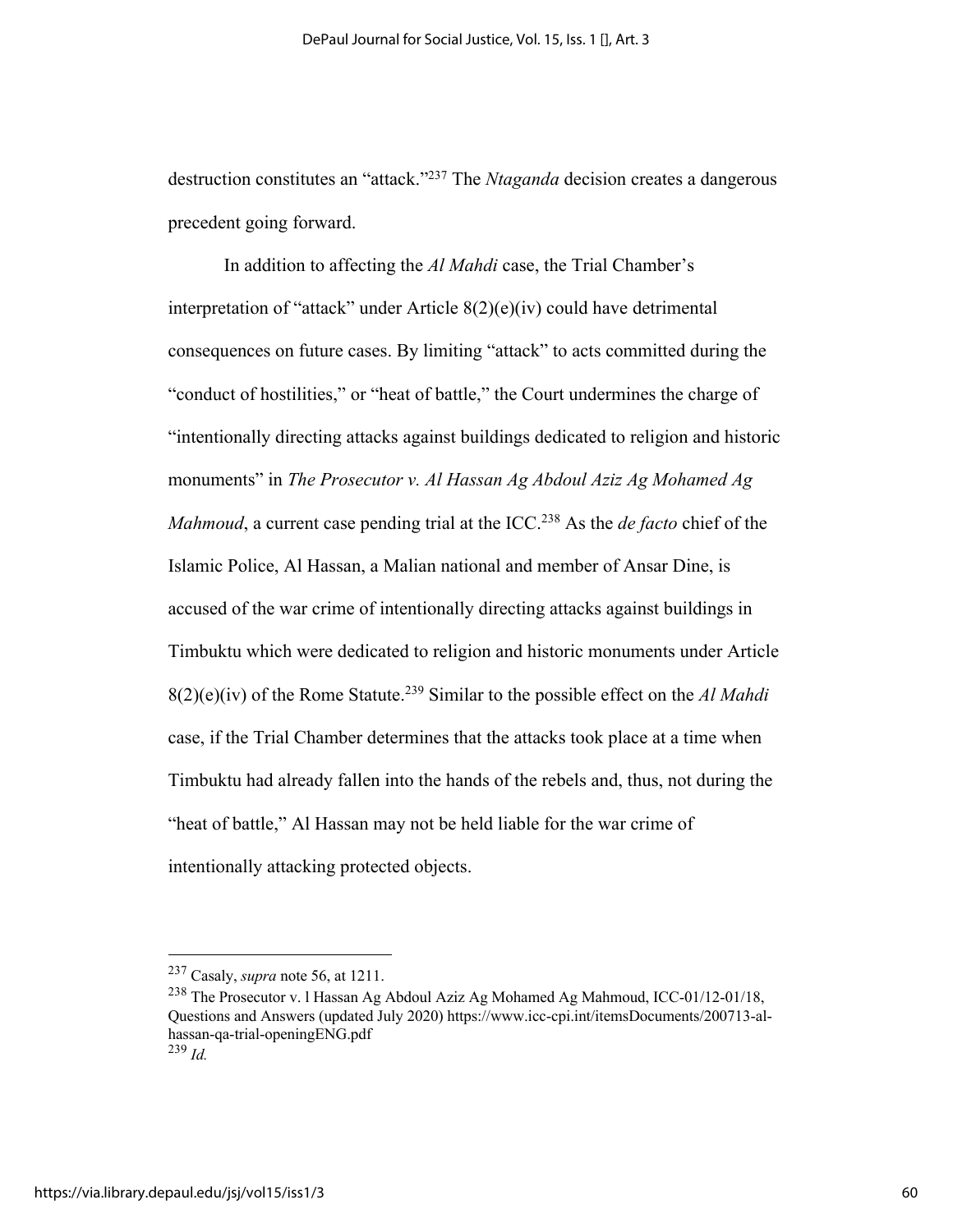destruction constitutes an "attack."237 The *Ntaganda* decision creates a dangerous precedent going forward.

In addition to affecting the *Al Mahdi* case, the Trial Chamber's interpretation of "attack" under Article 8(2)(e)(iv) could have detrimental consequences on future cases. By limiting "attack" to acts committed during the "conduct of hostilities," or "heat of battle," the Court undermines the charge of "intentionally directing attacks against buildings dedicated to religion and historic monuments" in *The Prosecutor v. Al Hassan Ag Abdoul Aziz Ag Mohamed Ag Mahmoud*, a current case pending trial at the ICC.<sup>238</sup> As the *de facto* chief of the Islamic Police, Al Hassan, a Malian national and member of Ansar Dine, is accused of the war crime of intentionally directing attacks against buildings in Timbuktu which were dedicated to religion and historic monuments under Article 8(2)(e)(iv) of the Rome Statute.239 Similar to the possible effect on the *Al Mahdi* case, if the Trial Chamber determines that the attacks took place at a time when Timbuktu had already fallen into the hands of the rebels and, thus, not during the "heat of battle," Al Hassan may not be held liable for the war crime of intentionally attacking protected objects.

<sup>237</sup> Casaly, *supra* note 56, at 1211.

<sup>238</sup> The Prosecutor v. l Hassan Ag Abdoul Aziz Ag Mohamed Ag Mahmoud, ICC-01/12-01/18, Questions and Answers (updated July 2020) https://www.icc-cpi.int/itemsDocuments/200713-alhassan-qa-trial-openingENG.pdf

<sup>239</sup> *Id.*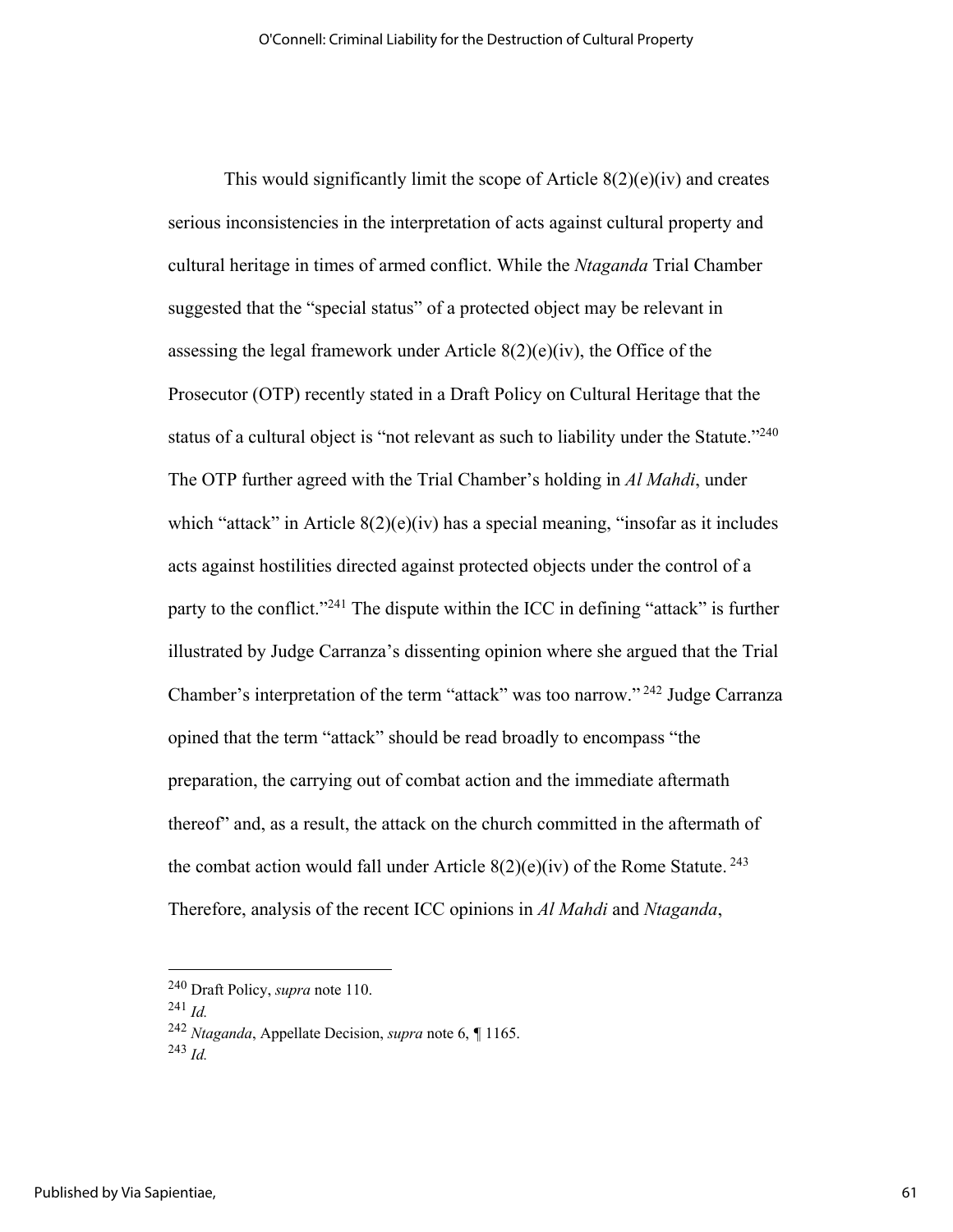This would significantly limit the scope of Article  $8(2)(e)(iv)$  and creates serious inconsistencies in the interpretation of acts against cultural property and cultural heritage in times of armed conflict. While the *Ntaganda* Trial Chamber suggested that the "special status" of a protected object may be relevant in assessing the legal framework under Article  $8(2)(e)(iv)$ , the Office of the Prosecutor (OTP) recently stated in a Draft Policy on Cultural Heritage that the status of a cultural object is "not relevant as such to liability under the Statute."<sup>240</sup> The OTP further agreed with the Trial Chamber's holding in *Al Mahdi*, under which "attack" in Article  $8(2)(e)(iv)$  has a special meaning, "insofar as it includes acts against hostilities directed against protected objects under the control of a party to the conflict."<sup>241</sup> The dispute within the ICC in defining "attack" is further illustrated by Judge Carranza's dissenting opinion where she argued that the Trial Chamber's interpretation of the term "attack" was too narrow." <sup>242</sup> Judge Carranza opined that the term "attack" should be read broadly to encompass "the preparation, the carrying out of combat action and the immediate aftermath thereof" and, as a result, the attack on the church committed in the aftermath of the combat action would fall under Article  $8(2)(e)(iv)$  of the Rome Statute.<sup>243</sup> Therefore, analysis of the recent ICC opinions in *Al Mahdi* and *Ntaganda*,

<sup>240</sup> Draft Policy, *supra* note 110. 241 *Id.*<sup>242</sup> *Ntaganda*, Appellate Decision, *supra* note 6, *¶* 1165.

 $^{243}$  *Id.*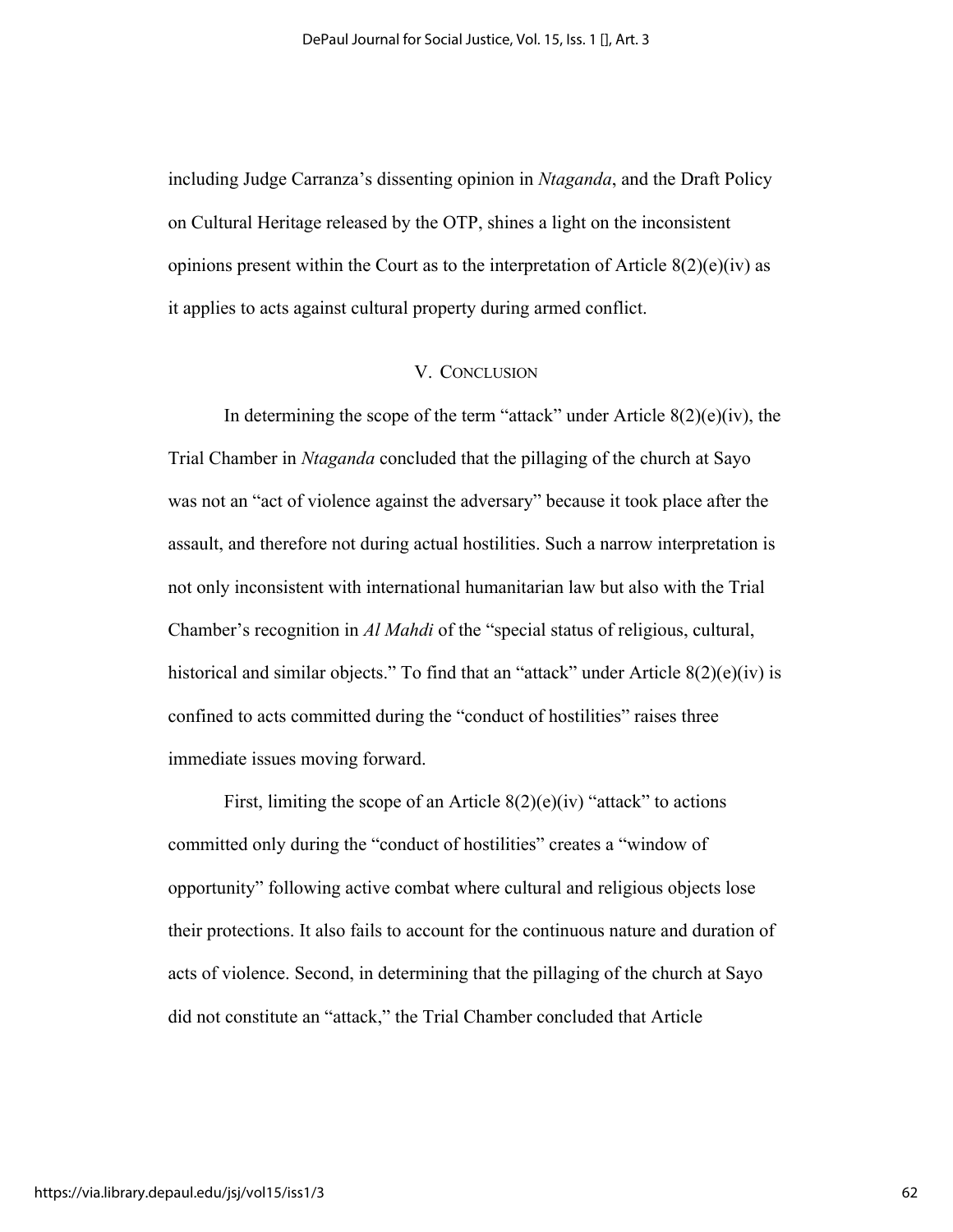including Judge Carranza's dissenting opinion in *Ntaganda*, and the Draft Policy on Cultural Heritage released by the OTP, shines a light on the inconsistent opinions present within the Court as to the interpretation of Article  $8(2)(e)(iv)$  as it applies to acts against cultural property during armed conflict.

## V. CONCLUSION

In determining the scope of the term "attack" under Article  $8(2)(e)(iv)$ , the Trial Chamber in *Ntaganda* concluded that the pillaging of the church at Sayo was not an "act of violence against the adversary" because it took place after the assault, and therefore not during actual hostilities. Such a narrow interpretation is not only inconsistent with international humanitarian law but also with the Trial Chamber's recognition in *Al Mahdi* of the "special status of religious, cultural, historical and similar objects." To find that an "attack" under Article 8(2)(e)(iv) is confined to acts committed during the "conduct of hostilities" raises three immediate issues moving forward.

First, limiting the scope of an Article  $8(2)(e)(iv)$  "attack" to actions committed only during the "conduct of hostilities" creates a "window of opportunity" following active combat where cultural and religious objects lose their protections. It also fails to account for the continuous nature and duration of acts of violence. Second, in determining that the pillaging of the church at Sayo did not constitute an "attack," the Trial Chamber concluded that Article